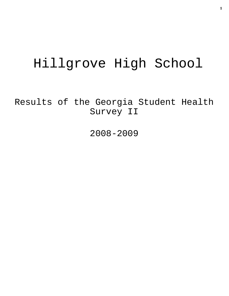# Hillgrove High School

Results of the Georgia Student Health Survey II

2008-2009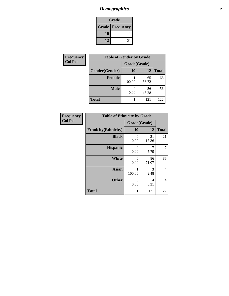# *Demographics* **2**

| Grade                  |     |  |  |  |
|------------------------|-----|--|--|--|
| <b>Grade Frequency</b> |     |  |  |  |
| 10                     |     |  |  |  |
| 12                     | 121 |  |  |  |

| <b>Frequency</b> | <b>Table of Gender by Grade</b> |              |             |              |  |
|------------------|---------------------------------|--------------|-------------|--------------|--|
| <b>Col Pct</b>   |                                 | Grade(Grade) |             |              |  |
|                  | Gender(Gender)                  | <b>10</b>    | 12          | <b>Total</b> |  |
|                  | <b>Female</b>                   | 100.00       | 65<br>53.72 | 66           |  |
|                  | <b>Male</b>                     | 0.00         | 56<br>46.28 | 56           |  |
|                  | <b>Total</b>                    |              | 121         | 122          |  |

| <b>Frequency</b> |  |
|------------------|--|
| <b>Col Pct</b>   |  |

| <b>Table of Ethnicity by Grade</b> |              |             |              |  |  |
|------------------------------------|--------------|-------------|--------------|--|--|
|                                    | Grade(Grade) |             |              |  |  |
| <b>Ethnicity</b> (Ethnicity)       | 10           | 12          | <b>Total</b> |  |  |
| <b>Black</b>                       | 0<br>0.00    | 21<br>17.36 | 21           |  |  |
| <b>Hispanic</b>                    | 0<br>0.00    | 7<br>5.79   | 7            |  |  |
| White                              | 0<br>0.00    | 86<br>71.07 | 86           |  |  |
| <b>Asian</b>                       | 1<br>100.00  | 3<br>2.48   | 4            |  |  |
| <b>Other</b>                       | 0<br>0.00    | 4<br>3.31   | 4            |  |  |
| <b>Total</b>                       | 1            | 121         | 122          |  |  |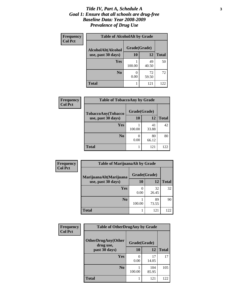### *Title IV, Part A, Schedule A* **3** *Goal 1: Ensure that all schools are drug-free Baseline Data: Year 2008-2009 Prevalence of Drug Use*

| Frequency<br><b>Col Pct</b> | <b>Table of AlcoholAlt by Grade</b> |              |             |              |  |  |
|-----------------------------|-------------------------------------|--------------|-------------|--------------|--|--|
|                             | AlcoholAlt(Alcohol                  | Grade(Grade) |             |              |  |  |
|                             | use, past 30 days)                  | 10           | 12          | <b>Total</b> |  |  |
|                             | Yes                                 | 100.00       | 49<br>40.50 | 50           |  |  |
|                             | N <sub>0</sub>                      | 0.00         | 72<br>59.50 | 72           |  |  |
|                             | <b>Total</b>                        |              | 121         | 122          |  |  |

| <b>Frequency</b><br><b>Col Pct</b> | <b>Table of TobaccoAny by Grade</b> |              |             |              |  |
|------------------------------------|-------------------------------------|--------------|-------------|--------------|--|
|                                    | TobaccoAny(Tobacco                  | Grade(Grade) |             |              |  |
|                                    | use, past 30 days)                  | 10           | 12          | <b>Total</b> |  |
|                                    | <b>Yes</b>                          | 100.00       | 41<br>33.88 | 42           |  |
|                                    | N <sub>0</sub>                      | 0.00         | 80<br>66.12 | 80           |  |
|                                    | <b>Total</b>                        |              | 121         | 122          |  |

| Frequency<br><b>Col Pct</b> | <b>Table of MarijuanaAlt by Grade</b> |              |             |              |  |
|-----------------------------|---------------------------------------|--------------|-------------|--------------|--|
|                             | MarijuanaAlt(Marijuana                | Grade(Grade) |             |              |  |
|                             | use, past 30 days)                    | 10           | 12          | <b>Total</b> |  |
|                             | Yes                                   | 0<br>0.00    | 32<br>26.45 | 32           |  |
|                             | N <sub>0</sub>                        | 100.00       | 89<br>73.55 | 90           |  |
|                             | <b>Total</b>                          |              | 121         | 122          |  |

| Frequency      | <b>Table of OtherDrugAny by Grade</b>  |              |              |     |  |
|----------------|----------------------------------------|--------------|--------------|-----|--|
| <b>Col Pct</b> | <b>OtherDrugAny(Other</b><br>drug use, | Grade(Grade) |              |     |  |
| past 30 days)  | 10                                     | 12           | <b>Total</b> |     |  |
|                | Yes                                    | 0.00         | 17<br>14.05  | 17  |  |
|                | N <sub>0</sub>                         | 100.00       | 104<br>85.95 | 105 |  |
|                | <b>Total</b>                           |              | 121          | 122 |  |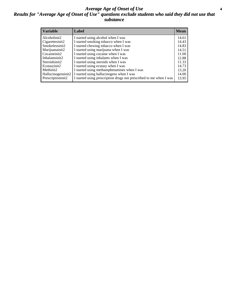### *Average Age of Onset of Use* **4** *Results for "Average Age of Onset of Use" questions exclude students who said they did not use that substance*

| <b>Variable</b>    | Label                                                              | <b>Mean</b> |
|--------------------|--------------------------------------------------------------------|-------------|
| Alcoholinit2       | I started using alcohol when I was                                 | 14.61       |
| Cigarettesinit2    | I started smoking tobacco when I was                               | 14.43       |
| Smokelessinit2     | I started chewing tobacco when I was                               | 14.83       |
| Marijuanainit2     | I started using marijuana when I was                               | 14.51       |
| Cocaineinit2       | I started using cocaine when I was                                 | 11.00       |
| Inhalantsinit2     | I started using inhalants when I was                               | 12.88       |
| Steroidsinit2      | I started using steroids when I was                                | 11.33       |
| Ecstasyinit2       | I started using ecstasy when I was                                 | 14.73       |
| Methinit2          | I started using methamphetamines when I was                        | 13.20       |
| Hallucinogensinit2 | I started using hallucinogens when I was                           | 14.00       |
| Prescriptioninit2  | I started using prescription drugs not prescribed to me when I was | 13.95       |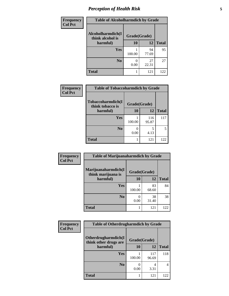# *Perception of Health Risk* **5**

| Frequency      | <b>Table of Alcoholharmdich by Grade</b> |              |             |              |  |
|----------------|------------------------------------------|--------------|-------------|--------------|--|
| <b>Col Pct</b> | Alcoholharmdich(I<br>think alcohol is    | Grade(Grade) |             |              |  |
|                | harmful)                                 | 10           | 12          | <b>Total</b> |  |
|                | <b>Yes</b>                               |              | 94          | 95           |  |
|                |                                          | 100.00       | 77.69       |              |  |
|                | N <sub>0</sub>                           | 0.00         | 27<br>22.31 | 27           |  |
|                | <b>Total</b>                             |              | 121         | 122          |  |

| <b>Frequency</b> | <b>Table of Tobaccoharmdich by Grade</b> |              |              |              |  |
|------------------|------------------------------------------|--------------|--------------|--------------|--|
| <b>Col Pct</b>   | Tobaccoharmdich(I<br>think tobacco is    | Grade(Grade) |              |              |  |
|                  | harmful)                                 | <b>10</b>    | 12           | <b>Total</b> |  |
|                  | Yes                                      | 100.00       | 116<br>95.87 | 117          |  |
|                  | N <sub>0</sub>                           | 0.00         | 5<br>4.13    |              |  |
|                  | <b>Total</b>                             |              | 121          | 122          |  |

| Frequency      | <b>Table of Marijuanaharmdich by Grade</b> |              |             |              |  |
|----------------|--------------------------------------------|--------------|-------------|--------------|--|
| <b>Col Pct</b> | Marijuanaharmdich(I<br>think marijuana is  | Grade(Grade) |             |              |  |
|                | harmful)                                   | 10           | 12          | <b>Total</b> |  |
|                | Yes                                        | 100.00       | 83<br>68.60 | 84           |  |
|                | N <sub>0</sub>                             | 0.00         | 38<br>31.40 | 38           |  |
|                | <b>Total</b>                               |              | 121         | 122          |  |

| Frequency      | <b>Table of Otherdrugharmdich by Grade</b>   |              |              |              |  |
|----------------|----------------------------------------------|--------------|--------------|--------------|--|
| <b>Col Pct</b> | Otherdrugharmdich(I<br>think other drugs are | Grade(Grade) |              |              |  |
|                | harmful)                                     | 10           | 12           | <b>Total</b> |  |
|                | <b>Yes</b>                                   | 100.00       | 117<br>96.69 | 118          |  |
|                | N <sub>0</sub>                               | 0.00         | 4<br>3.31    | 4            |  |
|                | <b>Total</b>                                 |              | 121          | 122          |  |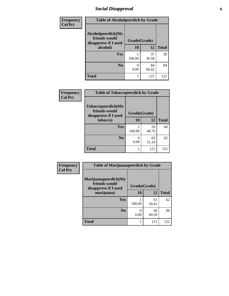# *Social Disapproval* **6**

| Frequency      | <b>Table of Alcoholpeerdich by Grade</b>                    |              |             |              |  |
|----------------|-------------------------------------------------------------|--------------|-------------|--------------|--|
| <b>Col Pct</b> | Alcoholpeerdich(My<br>friends would<br>disapprove if I used | Grade(Grade) |             |              |  |
|                | alcohol)                                                    | 10           | 12          | <b>Total</b> |  |
|                | <b>Yes</b>                                                  | 100.00       | 37<br>30.58 | 38           |  |
|                | N <sub>0</sub>                                              | 0.00         | 84<br>69.42 | 84           |  |
|                | <b>Total</b>                                                |              | 121         | 122          |  |

| <b>Frequency</b> |
|------------------|
| <b>Col Pct</b>   |

| <b>Table of Tobaccopeerdich by Grade</b>                    |              |             |              |  |  |  |  |
|-------------------------------------------------------------|--------------|-------------|--------------|--|--|--|--|
| Tobaccopeerdich(My<br>friends would<br>disapprove if I used | Grade(Grade) |             |              |  |  |  |  |
| tobacco)                                                    | 10           | 12          | <b>Total</b> |  |  |  |  |
| Yes                                                         | 100.00       | 59<br>48.76 | 60           |  |  |  |  |
| N <sub>0</sub>                                              | 0<br>0.00    | 62<br>51.24 | 62           |  |  |  |  |
| <b>Total</b>                                                |              | 121         | 122          |  |  |  |  |

| Frequency      | <b>Table of Marijuanapeerdich by Grade</b>                    |              |             |              |  |
|----------------|---------------------------------------------------------------|--------------|-------------|--------------|--|
| <b>Col Pct</b> | Marijuanapeerdich(My<br>friends would<br>disapprove if I used | Grade(Grade) |             |              |  |
|                | marijuana)                                                    | 10           | 12          | <b>Total</b> |  |
|                | <b>Yes</b>                                                    | 100.00       | 61<br>50.41 | 62           |  |
|                | N <sub>0</sub>                                                | 0.00         | 60<br>49.59 | 60           |  |
|                | <b>Total</b>                                                  |              | 121         | 122          |  |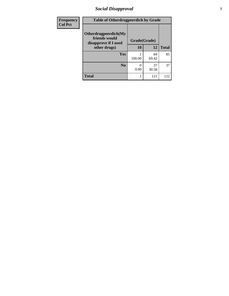# *Social Disapproval* **7**

| Frequency      | <b>Table of Otherdrugpeerdich by Grade</b>                    |              |             |              |  |
|----------------|---------------------------------------------------------------|--------------|-------------|--------------|--|
| <b>Col Pct</b> | Otherdrugpeerdich(My<br>friends would<br>disapprove if I used | Grade(Grade) |             |              |  |
|                | other drugs)                                                  | 10           | 12          | <b>Total</b> |  |
|                | <b>Yes</b>                                                    | 100.00       | 84<br>69.42 | 85           |  |
|                | N <sub>0</sub>                                                | 0.00         | 37<br>30.58 | 37           |  |
|                | <b>Total</b>                                                  |              | 121         | 122          |  |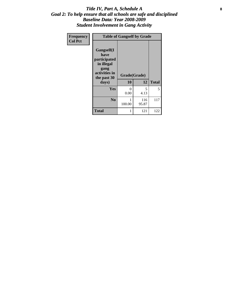### Title IV, Part A, Schedule A **8** *Goal 2: To help ensure that all schools are safe and disciplined Baseline Data: Year 2008-2009 Student Involvement in Gang Activity*

| Frequency      | <b>Table of Gangself by Grade</b>                                                                 |                    |              |              |  |
|----------------|---------------------------------------------------------------------------------------------------|--------------------|--------------|--------------|--|
| <b>Col Pct</b> | Gangself(I<br>have<br>participated<br>in illegal<br>gang<br>activities in<br>the past 30<br>days) | Grade(Grade)<br>10 | 12           | <b>Total</b> |  |
|                | Yes                                                                                               | $\theta$<br>0.00   | 5<br>4.13    | 5            |  |
|                | N <sub>0</sub>                                                                                    | 1<br>100.00        | 116<br>95.87 | 117          |  |
|                | <b>Total</b>                                                                                      | 1                  | 121          | 122          |  |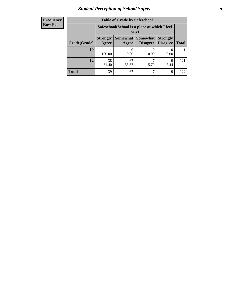# *Student Perception of School Safety* **9**

| <b>Frequency</b><br>Row Pct |
|-----------------------------|
|                             |

| <b>Table of Grade by Safeschool</b> |                          |                                                                                                               |      |           |     |  |  |
|-------------------------------------|--------------------------|---------------------------------------------------------------------------------------------------------------|------|-----------|-----|--|--|
|                                     |                          | Safeschool (School is a place at which I feel<br>safe)                                                        |      |           |     |  |  |
| Grade(Grade)                        | <b>Strongly</b><br>Agree | Somewhat<br><b>Somewhat</b><br><b>Strongly</b><br><b>Disagree</b><br><b>Disagree</b><br><b>Total</b><br>Agree |      |           |     |  |  |
| <b>10</b>                           | 100.00                   | 0.00                                                                                                          | 0.00 | 0.00      |     |  |  |
| 12                                  | 38<br>31.40              | 67<br>55.37                                                                                                   | 5.79 | 9<br>7.44 | 121 |  |  |
| Total                               | 39                       | 67                                                                                                            |      | 9         | 122 |  |  |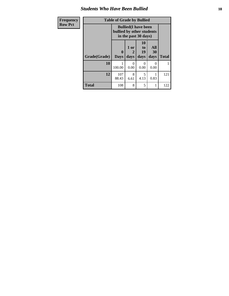### *Students Who Have Been Bullied* **10**

| Frequency      | <b>Table of Grade by Bullied</b> |                           |                                                     |                        |                          |              |
|----------------|----------------------------------|---------------------------|-----------------------------------------------------|------------------------|--------------------------|--------------|
| <b>Row Pct</b> |                                  | bullied by other students | <b>Bullied</b> (I have been<br>in the past 30 days) |                        |                          |              |
|                | Grade(Grade)                     | 0<br><b>Days</b>          | 1 or<br>2<br>days                                   | 10<br>to<br>19<br>days | All<br><b>30</b><br>days | <b>Total</b> |
|                | 10                               | 100.00                    | 0<br>0.00                                           | 0<br>0.00              | 0<br>0.00                |              |
|                | 12                               | 107<br>88.43              | 8<br>6.61                                           | 5<br>4.13              | 0.83                     | 121          |
|                | <b>Total</b>                     | 108                       | 8                                                   | 5                      |                          | 122          |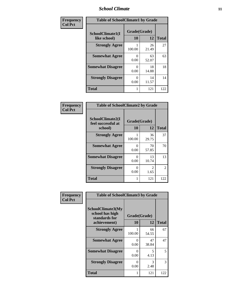### *School Climate* **11**

| <b>Frequency</b> | <b>Table of SchoolClimate1 by Grade</b> |                    |             |              |  |
|------------------|-----------------------------------------|--------------------|-------------|--------------|--|
| <b>Col Pct</b>   | SchoolClimate1(I<br>like school)        | Grade(Grade)<br>10 | 12          | <b>Total</b> |  |
|                  | <b>Strongly Agree</b>                   | 100.00             | 26<br>21.49 | 27           |  |
|                  | <b>Somewhat Agree</b>                   | 0<br>0.00          | 63<br>52.07 | 63           |  |
|                  | <b>Somewhat Disagree</b>                | 0<br>0.00          | 18<br>14.88 | 18           |  |
|                  | <b>Strongly Disagree</b>                | 0<br>0.00          | 14<br>11.57 | 14           |  |
|                  | <b>Total</b>                            | 1                  | 121         | 122          |  |

| <b>Table of SchoolClimate2 by Grade</b>           |                           |                        |              |  |  |  |
|---------------------------------------------------|---------------------------|------------------------|--------------|--|--|--|
| SchoolClimate2(I<br>feel successful at<br>school) | Grade(Grade)<br>10        | 12                     | <b>Total</b> |  |  |  |
| <b>Strongly Agree</b>                             | 100.00                    | 36<br>29.75            | 37           |  |  |  |
| <b>Somewhat Agree</b>                             | ∩<br>0.00                 | 70<br>57.85            | 70           |  |  |  |
| <b>Somewhat Disagree</b>                          | $\mathbf{\Omega}$<br>0.00 | 13<br>10.74            | 13           |  |  |  |
| <b>Strongly Disagree</b>                          | 0.00                      | $\mathfrak{D}$<br>1.65 | 2            |  |  |  |
| <b>Total</b>                                      |                           | 121                    | 122          |  |  |  |

| Frequency      | <b>Table of SchoolClimate3 by Grade</b>                                      |                           |             |              |
|----------------|------------------------------------------------------------------------------|---------------------------|-------------|--------------|
| <b>Col Pct</b> | <b>SchoolClimate3(My</b><br>school has high<br>standards for<br>achievement) | Grade(Grade)<br>10        | 12          | <b>Total</b> |
|                | <b>Strongly Agree</b>                                                        | 100.00                    | 66<br>54.55 | 67           |
|                | <b>Somewhat Agree</b>                                                        | 0.00                      | 47<br>38.84 | 47           |
|                | <b>Somewhat Disagree</b>                                                     | $\mathbf{\Omega}$<br>0.00 | 5<br>4.13   | 5            |
|                | <b>Strongly Disagree</b>                                                     | $\cup$<br>0.00            | 3<br>2.48   | 3            |
|                | Total                                                                        |                           | 121         | 122          |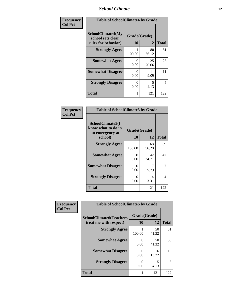### *School Climate* **12**

| Frequency      | <b>Table of SchoolClimate4 by Grade</b>                       |                    |             |              |
|----------------|---------------------------------------------------------------|--------------------|-------------|--------------|
| <b>Col Pct</b> | SchoolClimate4(My<br>school sets clear<br>rules for behavior) | Grade(Grade)<br>10 | 12          | <b>Total</b> |
|                | <b>Strongly Agree</b>                                         | 100.00             | 80<br>66.12 | 81           |
|                | <b>Somewhat Agree</b>                                         | 0<br>0.00          | 25<br>20.66 | 25           |
|                | <b>Somewhat Disagree</b>                                      | 0<br>0.00          | 11<br>9.09  | 11           |
|                | <b>Strongly Disagree</b>                                      | 0<br>0.00          | 5<br>4.13   | 5            |
|                | <b>Total</b>                                                  | 1                  | 121         | 122          |

| <b>Table of SchoolClimate5 by Grade</b>                              |                    |             |     |  |
|----------------------------------------------------------------------|--------------------|-------------|-----|--|
| SchoolClimate5(I<br>know what to do in<br>an emergency at<br>school) | Grade(Grade)<br>10 | Total       |     |  |
| <b>Strongly Agree</b>                                                | 100.00             | 68<br>56.20 | 69  |  |
| <b>Somewhat Agree</b>                                                | 0<br>0.00          | 42<br>34.71 | 42  |  |
| <b>Somewhat Disagree</b>                                             | 0<br>0.00          | 5.79        | 7   |  |
| <b>Strongly Disagree</b>                                             | 0<br>0.00          | 4<br>3.31   | 4   |  |
| Total                                                                | 1                  | 121         | 122 |  |

| Frequency<br><b>Col Pct</b> | <b>Table of SchoolClimate6 by Grade</b>                  |                    |             |              |
|-----------------------------|----------------------------------------------------------|--------------------|-------------|--------------|
|                             | <b>SchoolClimate6(Teachers</b><br>treat me with respect) | Grade(Grade)<br>10 | 12          | <b>Total</b> |
|                             | <b>Strongly Agree</b>                                    | 100.00             | 50<br>41.32 | 51           |
|                             | <b>Somewhat Agree</b>                                    | 0.00               | 50<br>41.32 | 50           |
|                             | <b>Somewhat Disagree</b>                                 | $\Omega$<br>0.00   | 16<br>13.22 | 16           |
|                             | <b>Strongly Disagree</b>                                 | $\Omega$<br>0.00   | 5<br>4.13   | 5            |
|                             | <b>Total</b>                                             |                    | 121         | 122          |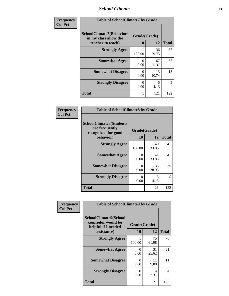### *School Climate* **13**

| Frequency      | <b>Table of SchoolClimate7 by Grade</b>                                       |                           |             |              |
|----------------|-------------------------------------------------------------------------------|---------------------------|-------------|--------------|
| <b>Col Pct</b> | <b>SchoolClimate7(Behaviors</b><br>in my class allow the<br>teacher to teach) | Grade(Grade)<br><b>10</b> | 12          | <b>Total</b> |
|                | <b>Strongly Agree</b>                                                         | 100.00                    | 36<br>29.75 | 37           |
|                | <b>Somewhat Agree</b>                                                         | $\Omega$<br>0.00          | 67<br>55.37 | 67           |
|                | <b>Somewhat Disagree</b>                                                      | $\Omega$<br>0.00          | 13<br>10.74 | 13           |
|                | <b>Strongly Disagree</b>                                                      | $\Omega$<br>0.00          | 5<br>4.13   | 5            |
|                | <b>Total</b>                                                                  | 1                         | 121         | 122          |

| Frequency      | <b>Table of SchoolClimate8 by Grade</b>                                              |                    |             |              |
|----------------|--------------------------------------------------------------------------------------|--------------------|-------------|--------------|
| <b>Col Pct</b> | <b>SchoolClimate8(Students</b><br>are frequently<br>recognized for good<br>behavior) | Grade(Grade)<br>10 | 12          | <b>Total</b> |
|                | <b>Strongly Agree</b>                                                                | 100.00             | 40<br>33.06 | 41           |
|                | <b>Somewhat Agree</b>                                                                | $\Omega$<br>0.00   | 41<br>33.88 | 41           |
|                | <b>Somewhat Disagree</b>                                                             | 0<br>0.00          | 35<br>28.93 | 35           |
|                | <b>Strongly Disagree</b>                                                             | 0<br>0.00          | 5<br>4.13   | 5            |
|                | <b>Total</b>                                                                         |                    | 121         | 122          |

| Frequency      | <b>Table of SchoolClimate9 by Grade</b>                                                  |                    |             |              |
|----------------|------------------------------------------------------------------------------------------|--------------------|-------------|--------------|
| <b>Col Pct</b> | <b>SchoolClimate9(School</b><br>counselor would be<br>helpful if I needed<br>assistance) | Grade(Grade)<br>10 | 12          | <b>Total</b> |
|                | <b>Strongly Agree</b>                                                                    | 100.00             | 75<br>61.98 | 76           |
|                | <b>Somewhat Agree</b>                                                                    | 0<br>0.00          | 31<br>25.62 | 31           |
|                | <b>Somewhat Disagree</b>                                                                 | 0<br>0.00          | 11<br>9.09  | 11           |
|                | <b>Strongly Disagree</b>                                                                 | 0<br>0.00          | 4<br>3.31   | 4            |
|                | <b>Total</b>                                                                             |                    | 121         | 122          |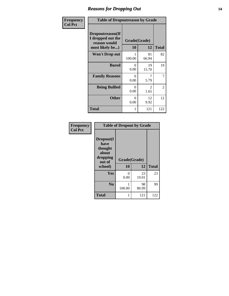### *Reasons for Dropping Out* **14**

| Frequency      | <b>Table of Dropoutreason by Grade</b>                                   |                    |             |              |
|----------------|--------------------------------------------------------------------------|--------------------|-------------|--------------|
| <b>Col Pct</b> | Dropoutreason(If<br>I dropped out the<br>reason would<br>most likely be) | Grade(Grade)<br>10 | 12          | <b>Total</b> |
|                | <b>Won't Drop out</b>                                                    | 1<br>100.00        | 81<br>66.94 | 82           |
|                | <b>Bored</b>                                                             | 0<br>0.00          | 19<br>15.70 | 19           |
|                | <b>Family Reasons</b>                                                    | $\Omega$<br>0.00   | 7<br>5.79   | 7            |
|                | <b>Being Bullied</b>                                                     | 0<br>0.00          | 2<br>1.65   | 2            |
|                | <b>Other</b>                                                             | 0<br>0.00          | 12<br>9.92  | 12           |
|                | <b>Total</b>                                                             | 1                  | 121         | 122          |

| Frequency      |                                                                        | <b>Table of Dropout by Grade</b> |             |              |  |  |  |
|----------------|------------------------------------------------------------------------|----------------------------------|-------------|--------------|--|--|--|
| <b>Col Pct</b> | Dropout(I<br>have<br>thought<br>about<br>dropping<br>out of<br>school) | Grade(Grade)<br>10               | 12          | <b>Total</b> |  |  |  |
|                |                                                                        |                                  |             |              |  |  |  |
|                | Yes                                                                    | 0<br>0.00                        | 23<br>19.01 | 23           |  |  |  |
|                | N <sub>0</sub>                                                         | 100.00                           | 98<br>80.99 | 99           |  |  |  |
|                | <b>Total</b>                                                           |                                  | 121         | 122          |  |  |  |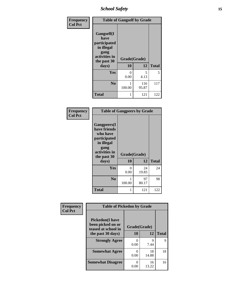*School Safety* **15**

| Frequency      | <b>Table of Gangself by Grade</b>                                                                 |                    |              |              |
|----------------|---------------------------------------------------------------------------------------------------|--------------------|--------------|--------------|
| <b>Col Pct</b> | Gangself(I<br>have<br>participated<br>in illegal<br>gang<br>activities in<br>the past 30<br>days) | Grade(Grade)<br>10 | 12           | <b>Total</b> |
|                | Yes                                                                                               | 0<br>0.00          | 5<br>4.13    | 5            |
|                | N <sub>0</sub>                                                                                    | 100.00             | 116<br>95.87 | 117          |
|                | <b>Total</b>                                                                                      | 1                  | 121          | 122          |

| Frequency<br><b>Col Pct</b> | <b>Table of Gangpeers by Grade</b>                                                                                             |                    |             |              |
|-----------------------------|--------------------------------------------------------------------------------------------------------------------------------|--------------------|-------------|--------------|
|                             | <b>Gangpeers</b> (I<br>have friends<br>who have<br>participated<br>in illegal<br>gang<br>activities in<br>the past 30<br>days) | Grade(Grade)<br>10 | 12          | <b>Total</b> |
|                             | Yes                                                                                                                            | 0<br>0.00          | 24<br>19.83 | 24           |
|                             | N <sub>0</sub>                                                                                                                 | 100.00             | 97<br>80.17 | 98           |
|                             | <b>Total</b>                                                                                                                   | 1                  | 121         | 122          |

| Frequency      | <b>Table of Pickedon by Grade</b>                                   |           |              |              |
|----------------|---------------------------------------------------------------------|-----------|--------------|--------------|
| <b>Col Pct</b> | <b>Pickedon</b> (I have<br>been picked on or<br>teased at school in |           | Grade(Grade) |              |
|                | the past 30 days)                                                   | 10        | 12           | <b>Total</b> |
|                | <b>Strongly Agree</b>                                               | 0<br>0.00 | 9<br>7.44    | 9            |
|                | <b>Somewhat Agree</b>                                               | 0<br>0.00 | 18<br>14.88  | 18           |
|                | <b>Somewhat Disagree</b>                                            | 0<br>0.00 | 16<br>13.22  | 16           |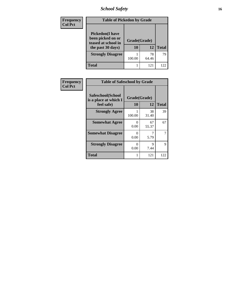# *School Safety* **16**

| <b>Frequency</b> |                                                                                          | <b>Table of Pickedon by Grade</b> |              |     |  |  |  |  |  |  |
|------------------|------------------------------------------------------------------------------------------|-----------------------------------|--------------|-----|--|--|--|--|--|--|
| <b>Col Pct</b>   | <b>Pickedon</b> (I have<br>been picked on or<br>teased at school in<br>the past 30 days) | Grade(Grade)<br>10                | <b>Total</b> |     |  |  |  |  |  |  |
|                  | <b>Strongly Disagree</b>                                                                 | 100.00                            | 78<br>64.46  | 79  |  |  |  |  |  |  |
|                  | Total                                                                                    |                                   | 121          | 122 |  |  |  |  |  |  |

| Frequency      | <b>Table of Safeschool by Grade</b>                      |                    |             |              |
|----------------|----------------------------------------------------------|--------------------|-------------|--------------|
| <b>Col Pct</b> | Safeschool(School<br>is a place at which I<br>feel safe) | Grade(Grade)<br>10 | 12          | <b>Total</b> |
|                | <b>Strongly Agree</b>                                    | 100.00             | 38<br>31.40 | 39           |
|                | <b>Somewhat Agree</b>                                    | 0<br>0.00          | 67<br>55.37 | 67           |
|                | <b>Somewhat Disagree</b>                                 | 0<br>0.00          | 5.79        | 7            |
|                | <b>Strongly Disagree</b>                                 | $\theta$<br>0.00   | 9<br>7.44   | 9            |
|                | <b>Total</b>                                             | 1                  | 121         | 122          |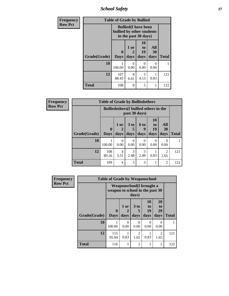*School Safety* **17**

| <b>Frequency</b> |              | <b>Table of Grade by Bullied</b> |                                                                                  |                               |                          |              |  |  |
|------------------|--------------|----------------------------------|----------------------------------------------------------------------------------|-------------------------------|--------------------------|--------------|--|--|
| <b>Row Pct</b>   |              |                                  | <b>Bullied</b> (I have been<br>bullied by other students<br>in the past 30 days) |                               |                          |              |  |  |
|                  | Grade(Grade) | $\bf{0}$<br><b>Days</b>          | 1 or<br>2<br>days                                                                | <b>10</b><br>to<br>19<br>days | All<br><b>30</b><br>days | <b>Total</b> |  |  |
|                  | 10           | 100.00                           | 0<br>0.00                                                                        | $\Omega$<br>0.00              | $\theta$<br>0.00         | 1            |  |  |
|                  | 12           | 107<br>88.43                     | 8<br>6.61                                                                        | 5<br>4.13                     | 0.83                     | 121          |  |  |
|                  | <b>Total</b> | 108                              | 8                                                                                | 5                             | 1                        | 122          |  |  |

| <b>Frequency</b> |              | <b>Table of Grade by Bulliedothers</b> |                                               |               |                  |                       |                        |              |
|------------------|--------------|----------------------------------------|-----------------------------------------------|---------------|------------------|-----------------------|------------------------|--------------|
| <b>Row Pct</b>   |              |                                        | <b>Bulliedothers</b> (I bullied others in the | past 30 days) |                  |                       |                        |              |
|                  |              | $\mathbf 0$                            | 1 or                                          | 3 to          | <b>6 to</b><br>9 | <b>10</b><br>to<br>19 | All<br>30              |              |
|                  | Grade(Grade) | <b>Days</b>                            | days                                          | days          | days             | days                  | days                   | <b>Total</b> |
|                  | 10           | 100.00                                 | 0<br>0.00                                     | 0<br>0.00     | $\Omega$<br>0.00 | $\Omega$<br>0.00      | $\Omega$<br>0.00       |              |
|                  | 12           | 108<br>89.26                           | 4<br>3.31                                     | 3<br>2.48     | 3<br>2.48        | 0.83                  | $\mathfrak{D}$<br>1.65 | 121          |
|                  | <b>Total</b> | 109                                    | $\overline{4}$                                | 3             | 3                |                       | $\overline{2}$         | 122          |

| <b>Frequency</b> |              | <b>Table of Grade by Weaponschool</b>                       |                   |                   |                                    |                        |              |
|------------------|--------------|-------------------------------------------------------------|-------------------|-------------------|------------------------------------|------------------------|--------------|
| <b>Row Pct</b>   |              | Weaponschool(I brought a<br>weapon to school in the past 30 |                   |                   |                                    |                        |              |
|                  | Grade(Grade) | $\mathbf{0}$<br><b>Days</b>                                 | 1 or<br>2<br>days | 3 to<br>5<br>days | 10<br>t <sub>0</sub><br>19<br>days | 20<br>to<br>29<br>days | <b>Total</b> |
|                  | 10           | 100.00                                                      | $\Omega$<br>0.00  | 0<br>0.00         | $\Omega$<br>0.00                   | 0<br>0.00              |              |
|                  | 12           | 115<br>95.04                                                | 0.83              | 2<br>1.65         | 0.83                               | 2<br>1.65              | 121          |
|                  | <b>Total</b> | 116                                                         |                   | $\overline{2}$    |                                    | $\overline{2}$         | 122          |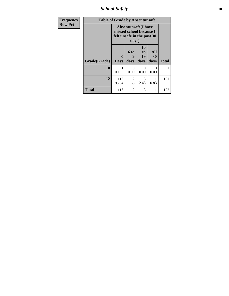*School Safety* **18**

| <b>Frequency</b> | <b>Table of Grade by Absentunsafe</b> |                             |                                                                 |                        |                   |              |
|------------------|---------------------------------------|-----------------------------|-----------------------------------------------------------------|------------------------|-------------------|--------------|
| <b>Row Pct</b>   |                                       | felt unsafe in the past 30  | <b>Absentunsafe</b> (I have<br>missed school because I<br>days) |                        |                   |              |
|                  | Grade(Grade)                          | $\mathbf{0}$<br><b>Days</b> | 6 to<br>9<br>days                                               | 10<br>to<br>19<br>days | All<br>30<br>days | <b>Total</b> |
|                  | 10                                    | 100.00                      | 0<br>0.00                                                       | 0<br>0.00              | 0<br>0.00         |              |
|                  | 12                                    | 115<br>95.04                | $\mathfrak{D}$<br>1.65                                          | 3<br>2.48              | 0.83              | 121          |
|                  | <b>Total</b>                          | 116                         | $\mathfrak{D}$                                                  | 3                      | 1                 | 122          |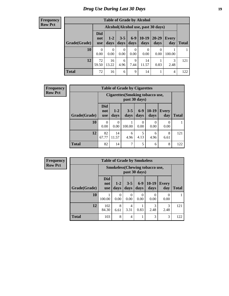# *Drug Use During Last 30 Days* **19**

#### **Frequency Row Pct**

| <b>Table of Grade by Alcohol</b> |                                 |                                     |                  |                  |                 |                   |                     |       |  |  |  |
|----------------------------------|---------------------------------|-------------------------------------|------------------|------------------|-----------------|-------------------|---------------------|-------|--|--|--|
|                                  |                                 | Alcohol (Alcohol use, past 30 days) |                  |                  |                 |                   |                     |       |  |  |  |
| Grade(Grade)                     | <b>Did</b><br>not<br><b>use</b> | $1 - 2$<br>days                     | $3 - 5$<br>days  | $6-9$<br>days    | $10-19$<br>days | $20 - 29$<br>days | <b>Every</b><br>day | Total |  |  |  |
| 10                               | $\theta$<br>0.00                | 0<br>0.00                           | $\Omega$<br>0.00 | $\Omega$<br>0.00 | 0<br>0.00       | 0<br>0.00         | 100.00              |       |  |  |  |
| 12                               | 72<br>59.50                     | 16<br>13.22                         | 6<br>4.96        | 9<br>7.44        | 14<br>11.57     | 0.83              | 3<br>2.48           | 121   |  |  |  |
| <b>Total</b>                     | 72                              | 16                                  | 6                | 9                | 14              |                   | 4                   | 122   |  |  |  |

| <b>Frequency</b> |              |                                 |                 | <b>Table of Grade by Cigarettes</b>               |                  |                 |                  |              |
|------------------|--------------|---------------------------------|-----------------|---------------------------------------------------|------------------|-----------------|------------------|--------------|
| <b>Row Pct</b>   |              |                                 |                 | Cigarettes (Smoking tobacco use,<br>past 30 days) |                  |                 |                  |              |
|                  | Grade(Grade) | <b>Did</b><br>not<br><b>use</b> | $1 - 2$<br>days | $3 - 5$<br>days                                   | $6-9$<br>days    | $10-19$<br>days | Every<br>day     | <b>Total</b> |
|                  | 10           | $\Omega$<br>0.00                | 0<br>0.00       | 100.00                                            | $\theta$<br>0.00 | 0.00            | $\theta$<br>0.00 |              |
|                  | 12           | 82<br>67.77                     | 14<br>11.57     | 6<br>4.96                                         | 5<br>4.13        | 6<br>4.96       | 8<br>6.61        | 121          |
|                  | <b>Total</b> | 82                              | 14              | 7                                                 | 5                | 6               | 8                | 122          |

**Frequency Row Pct**

| <b>Table of Grade by Smokeless</b> |                                 |                                                        |                 |               |               |                     |              |  |  |  |  |
|------------------------------------|---------------------------------|--------------------------------------------------------|-----------------|---------------|---------------|---------------------|--------------|--|--|--|--|
|                                    |                                 | <b>Smokeless</b> (Chewing tobaccouse,<br>past 30 days) |                 |               |               |                     |              |  |  |  |  |
| Grade(Grade)                       | <b>Did</b><br>not<br><b>use</b> | $1 - 2$<br>days                                        | $3 - 5$<br>days | $6-9$<br>days | 10-19<br>days | <b>Every</b><br>day | <b>Total</b> |  |  |  |  |
| 10                                 | 100.00                          | 0<br>0.00                                              | 0.00            | 0<br>0.00     | 0.00          | 0.00                |              |  |  |  |  |
| 12                                 | 102<br>84.30                    | 8<br>6.61                                              | 4<br>3.31       | 0.83          | 3<br>2.48     | 3<br>2.48           | 121          |  |  |  |  |
| <b>Total</b>                       | 103                             | 8                                                      | 4               | 1             | 3             | 3                   | 122          |  |  |  |  |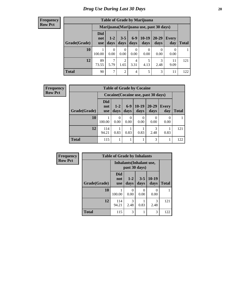| <b>Frequency</b> |
|------------------|
| <b>Row Pct</b>   |

| <b>Table of Grade by Marijuana</b> |                                 |                                         |                        |                |                  |                   |                     |              |  |  |  |
|------------------------------------|---------------------------------|-----------------------------------------|------------------------|----------------|------------------|-------------------|---------------------|--------------|--|--|--|
|                                    |                                 | Marijuana (Marijuana use, past 30 days) |                        |                |                  |                   |                     |              |  |  |  |
| Grade(Grade)                       | <b>Did</b><br>not<br><b>use</b> | $1-2$<br>days                           | $3 - 5$<br>days        | $6-9$<br>days  | $10-19$<br>days  | $20 - 29$<br>days | <b>Every</b><br>day | <b>Total</b> |  |  |  |
| 10                                 | 100.00                          | 0<br>0.00                               | 0<br>0.00              | 0.00           | $\Omega$<br>0.00 | 0.00              | 0<br>0.00           |              |  |  |  |
| 12                                 | 89<br>73.55                     | 5.79                                    | $\overline{c}$<br>1.65 | 4<br>3.31      | 5<br>4.13        | 3<br>2.48         | 11<br>9.09          | 121          |  |  |  |
| <b>Total</b>                       | 90                              |                                         | $\overline{2}$         | $\overline{4}$ | 5                | 3                 | 11                  | 122          |  |  |  |

| <b>Frequency</b> |              | <b>Table of Grade by Cocaine</b> |                  |                  |                                     |                   |                     |              |  |  |  |  |
|------------------|--------------|----------------------------------|------------------|------------------|-------------------------------------|-------------------|---------------------|--------------|--|--|--|--|
| <b>Row Pct</b>   |              |                                  |                  |                  | Cocaine (Cocaine use, past 30 days) |                   |                     |              |  |  |  |  |
|                  | Grade(Grade) | <b>Did</b><br>not<br><b>use</b>  | $1 - 2$<br>days  | $6-9$<br>days    | $10-19$<br>days                     | $20 - 29$<br>days | <b>Every</b><br>day | <b>Total</b> |  |  |  |  |
|                  | 10           | 100.00                           | $\Omega$<br>0.00 | $\Omega$<br>0.00 | $\Omega$<br>0.00                    | 0.00              | 0<br>0.00           |              |  |  |  |  |
|                  | 12           | 114<br>94.21                     | 0.83             | 0.83             | 0.83                                | 2.48              | 0.83                | 121          |  |  |  |  |
|                  | <b>Total</b> | 115                              | 1                |                  |                                     | 3                 |                     | 122          |  |  |  |  |

| Frequency      | <b>Table of Grade by Inhalants</b> |                                                  |                  |                 |                 |              |
|----------------|------------------------------------|--------------------------------------------------|------------------|-----------------|-----------------|--------------|
| <b>Row Pct</b> |                                    | <b>Inhalants</b> (Inhalant use,<br>past 30 days) |                  |                 |                 |              |
|                | Grade(Grade)                       | Did<br>not<br><b>use</b>                         | $1-2$<br>days    | $3 - 5$<br>days | $10-19$<br>days | <b>Total</b> |
|                | 10                                 | 100.00                                           | $\Omega$<br>0.00 | 0<br>0.00       | 0.00            |              |
|                | 12                                 | 114<br>94.21                                     | 3<br>2.48        | 0.83            | 3<br>2.48       | 121          |
|                | <b>Total</b>                       | 115                                              | 3                |                 | 3               | 122          |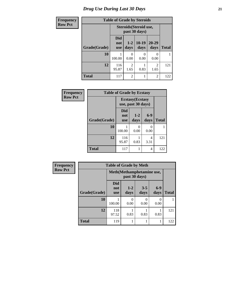# *Drug Use During Last 30 Days* **21**

| <b>Frequency</b> | <b>Table of Grade by Steroids</b> |                                         |                        |                       |                        |              |
|------------------|-----------------------------------|-----------------------------------------|------------------------|-----------------------|------------------------|--------------|
| <b>Row Pct</b>   |                                   | Steroids (Steroid use,<br>past 30 days) |                        |                       |                        |              |
|                  | Grade(Grade)                      | Did<br>not<br><b>use</b>                | $1 - 2$<br>days        | $10-19$<br>days       | $20 - 29$<br>days      | <b>Total</b> |
|                  | 10                                | 100.00                                  | 0<br>0.00              | $\mathcal{O}$<br>0.00 | 0<br>0.00              |              |
|                  | 12                                | 116<br>95.87                            | $\mathfrak{D}$<br>1.65 | 0.83                  | $\mathfrak{D}$<br>1.65 | 121          |
|                  | <b>Total</b>                      | 117                                     | $\overline{c}$         |                       | $\overline{2}$         | 122          |

| Frequency      | <b>Table of Grade by Ecstasy</b> |                                 |                                               |               |              |
|----------------|----------------------------------|---------------------------------|-----------------------------------------------|---------------|--------------|
| <b>Row Pct</b> |                                  |                                 | <b>Ecstasy</b> (Ecstasy<br>use, past 30 days) |               |              |
|                | Grade(Grade)                     | <b>Did</b><br>not<br><b>use</b> | $1 - 2$<br>days                               | $6-9$<br>days | <b>Total</b> |
|                | 10                               | 100.00                          | 0<br>0.00                                     | 0.00          | 1            |
|                | 12                               | 116<br>95.87                    | 0.83                                          | 4<br>3.31     | 121          |
|                | <b>Total</b>                     | 117                             | 1                                             | 4             | 122          |

| Frequency      | <b>Table of Grade by Meth</b> |                                 |                 |                 |               |              |
|----------------|-------------------------------|---------------------------------|-----------------|-----------------|---------------|--------------|
| <b>Row Pct</b> |                               | Meth(Methamphetamine use,       |                 |                 |               |              |
|                | Grade(Grade)                  | <b>Did</b><br>not<br><b>use</b> | $1 - 2$<br>days | $3 - 5$<br>days | $6-9$<br>days | <b>Total</b> |
|                | 10                            | 100.00                          | 0<br>0.00       | 0<br>0.00       | 0.00          |              |
|                | 12                            | 118<br>97.52                    | 0.83            | 0.83            | 0.83          | 121          |
|                | <b>Total</b>                  | 119                             |                 |                 |               | 122          |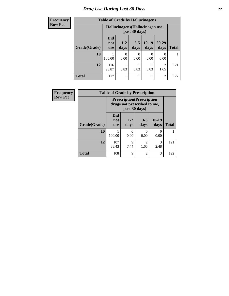# *Drug Use During Last 30 Days* **22**

| <b>Frequency</b> | <b>Table of Grade by Hallucinogens</b> |                                  |               |                 |                  |                        |              |
|------------------|----------------------------------------|----------------------------------|---------------|-----------------|------------------|------------------------|--------------|
| <b>Row Pct</b>   |                                        | Hallucinogens (Hallucinogen use, |               |                 |                  |                        |              |
|                  | Grade(Grade)                           | <b>Did</b><br>not<br><b>use</b>  | $1-2$<br>days | $3 - 5$<br>days | $10-19$<br>days  | $20 - 29$<br>days      | <b>Total</b> |
|                  | 10                                     | 100.00                           | 0<br>0.00     | 0.00            | $\Omega$<br>0.00 | $\Omega$<br>0.00       |              |
|                  | 12                                     | 116<br>95.87                     | 0.83          | 0.83            | 0.83             | $\overline{2}$<br>1.65 | 121          |
|                  | <b>Total</b>                           | 117                              |               |                 |                  | $\overline{2}$         | 122          |

| <b>Frequency</b> | <b>Table of Grade by Prescription</b> |                                   |                             |                        |                 |              |  |
|------------------|---------------------------------------|-----------------------------------|-----------------------------|------------------------|-----------------|--------------|--|
| <b>Row Pct</b>   |                                       | <b>Prescription</b> (Prescription | drugs not prescribed to me, |                        |                 |              |  |
|                  | Grade(Grade)                          | <b>Did</b><br>not<br><b>use</b>   | $1 - 2$<br>days             | $3 - 5$<br>days        | $10-19$<br>days | <b>Total</b> |  |
|                  | 10                                    | 100.00                            | $\theta$<br>0.00            | 0.00                   | 0<br>0.00       |              |  |
|                  | 12                                    | 107<br>88.43                      | $\mathbf Q$<br>7.44         | $\mathfrak{D}$<br>1.65 | 3<br>2.48       | 121          |  |
|                  | <b>Total</b>                          | 108                               | 9                           | $\overline{2}$         | 3               | 122          |  |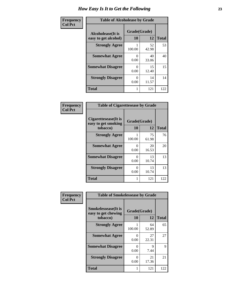| Frequency      | <b>Table of Alcoholease by Grade</b>              |                      |             |              |  |
|----------------|---------------------------------------------------|----------------------|-------------|--------------|--|
| <b>Col Pct</b> | <b>Alcoholease</b> (It is<br>easy to get alcohol) | Grade(Grade)<br>10   | 12          | <b>Total</b> |  |
|                | <b>Strongly Agree</b>                             | 100.00               | 52<br>42.98 | 53           |  |
|                | <b>Somewhat Agree</b>                             | 0.00                 | 40<br>33.06 | 40           |  |
|                | <b>Somewhat Disagree</b>                          | 0.00                 | 15<br>12.40 | 15           |  |
|                | <b>Strongly Disagree</b>                          | $\mathbf{0}$<br>0.00 | 14<br>11.57 | 14           |  |
|                | <b>Total</b>                                      |                      | 121         | 122          |  |

| Frequency<br>Col Pct |
|----------------------|

| <b>Table of Cigarettesease by Grade</b>                  |                    |             |              |  |  |
|----------------------------------------------------------|--------------------|-------------|--------------|--|--|
| Cigarettesease (It is<br>easy to get smoking<br>tobacco) | Grade(Grade)<br>10 | 12          | <b>Total</b> |  |  |
| <b>Strongly Agree</b>                                    | 100.00             | 75<br>61.98 | 76           |  |  |
| <b>Somewhat Agree</b>                                    | ∩<br>0.00          | 20<br>16.53 | 20           |  |  |
| <b>Somewhat Disagree</b>                                 | ∩<br>0.00          | 13<br>10.74 | 13           |  |  |
| <b>Strongly Disagree</b>                                 | 0<br>0.00          | 13<br>10.74 | 13           |  |  |
| Total                                                    |                    | 121         | 122          |  |  |

| Frequency      | <b>Table of Smokelessease by Grade</b>                         |                    |             |              |  |
|----------------|----------------------------------------------------------------|--------------------|-------------|--------------|--|
| <b>Col Pct</b> | <b>Smokelessease</b> (It is<br>easy to get chewing<br>tobacco) | Grade(Grade)<br>10 | 12          | <b>Total</b> |  |
|                | <b>Strongly Agree</b>                                          | 100.00             | 64<br>52.89 | 65           |  |
|                | <b>Somewhat Agree</b>                                          | 0<br>0.00          | 27<br>22.31 | 27           |  |
|                | <b>Somewhat Disagree</b>                                       | 0<br>0.00          | 9<br>7.44   | 9            |  |
|                | <b>Strongly Disagree</b>                                       | 0<br>0.00          | 21<br>17.36 | 21           |  |
|                | <b>Total</b>                                                   |                    | 121         | 122          |  |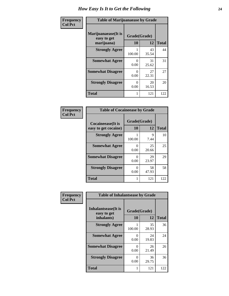| Frequency      | <b>Table of Marijuanaease by Grade</b>           |                           |             |              |  |
|----------------|--------------------------------------------------|---------------------------|-------------|--------------|--|
| <b>Col Pct</b> | Marijuanaease(It is<br>easy to get<br>marijuana) | Grade(Grade)<br>10        | 12          | <b>Total</b> |  |
|                | <b>Strongly Agree</b>                            | 100.00                    | 43<br>35.54 | 44           |  |
|                | <b>Somewhat Agree</b>                            | $\mathbf{0}$<br>0.00      | 31<br>25.62 | 31           |  |
|                | <b>Somewhat Disagree</b>                         | $\mathbf{\Omega}$<br>0.00 | 27<br>22.31 | 27           |  |
|                | <b>Strongly Disagree</b>                         | $\mathbf{\Omega}$<br>0.00 | 20<br>16.53 | 20           |  |
|                | <b>Total</b>                                     | 1                         | 121         | 122          |  |

| <b>Table of Cocaineease by Grade</b>              |                       |              |     |  |  |
|---------------------------------------------------|-----------------------|--------------|-----|--|--|
| <b>Cocaineease</b> (It is<br>easy to get cocaine) | Grade(Grade)<br>10    | <b>Total</b> |     |  |  |
|                                                   |                       | 12           |     |  |  |
| <b>Strongly Agree</b>                             | 100.00                | 9<br>7.44    | 10  |  |  |
| <b>Somewhat Agree</b>                             | $\mathbf{0}$<br>0.00  | 25<br>20.66  | 25  |  |  |
| <b>Somewhat Disagree</b>                          | 0.00                  | 29<br>23.97  | 29  |  |  |
| <b>Strongly Disagree</b>                          | $\mathcal{O}$<br>0.00 | 58<br>47.93  | 58  |  |  |
| <b>Total</b>                                      |                       | 121          | 122 |  |  |

| Frequency      | <b>Table of Inhalantsease by Grade</b>                   |                    |             |              |
|----------------|----------------------------------------------------------|--------------------|-------------|--------------|
| <b>Col Pct</b> | <b>Inhalantsease</b> (It is<br>easy to get<br>inhalants) | Grade(Grade)<br>10 | 12          | <b>Total</b> |
|                | <b>Strongly Agree</b>                                    | 100.00             | 35<br>28.93 | 36           |
|                | <b>Somewhat Agree</b>                                    | 0<br>0.00          | 24<br>19.83 | 24           |
|                | <b>Somewhat Disagree</b>                                 | 0<br>0.00          | 26<br>21.49 | 26           |
|                | <b>Strongly Disagree</b>                                 | 0<br>0.00          | 36<br>29.75 | 36           |
|                | <b>Total</b>                                             |                    | 121         | 122          |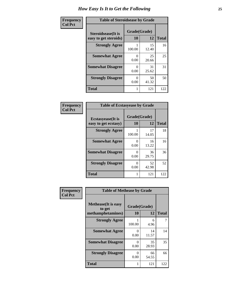| Frequency      |                                                     | <b>Table of Steroidsease by Grade</b> |             |              |  |  |  |  |  |  |  |
|----------------|-----------------------------------------------------|---------------------------------------|-------------|--------------|--|--|--|--|--|--|--|
| <b>Col Pct</b> | <b>Steroidsease</b> (It is<br>easy to get steroids) | Grade(Grade)<br>10                    | 12          | <b>Total</b> |  |  |  |  |  |  |  |
|                | <b>Strongly Agree</b>                               | 100.00                                | 15<br>12.40 | 16           |  |  |  |  |  |  |  |
|                | <b>Somewhat Agree</b>                               | 0.00                                  | 25<br>20.66 | 25           |  |  |  |  |  |  |  |
|                | <b>Somewhat Disagree</b>                            | 0.00                                  | 31<br>25.62 | 31           |  |  |  |  |  |  |  |
|                | <b>Strongly Disagree</b>                            | 0<br>0.00                             | 50<br>41.32 | 50           |  |  |  |  |  |  |  |
|                | <b>Total</b>                                        |                                       | 121         | 122          |  |  |  |  |  |  |  |

| Frequency      | <b>Table of Ecstasyease by Grade</b>              |                           |             |              |
|----------------|---------------------------------------------------|---------------------------|-------------|--------------|
| <b>Col Pct</b> | <b>Ecstasyease</b> (It is<br>easy to get ecstasy) | Grade(Grade)<br>10        | 12          | <b>Total</b> |
|                | <b>Strongly Agree</b>                             | 100.00                    | 17<br>14.05 | 18           |
|                | <b>Somewhat Agree</b>                             | $\mathbf{\Omega}$<br>0.00 | 16<br>13.22 | 16           |
|                | <b>Somewhat Disagree</b>                          | 0<br>0.00                 | 36<br>29.75 | 36           |
|                | <b>Strongly Disagree</b>                          | $\Omega$<br>0.00          | 52<br>42.98 | 52           |
|                | <b>Total</b>                                      | 1                         | 121         | 122          |

| <b>Frequency</b> | <b>Table of Methease by Grade</b>                          |                    |              |     |
|------------------|------------------------------------------------------------|--------------------|--------------|-----|
| <b>Col Pct</b>   | <b>Methease</b> (It is easy<br>to get<br>methamphetamines) | Grade(Grade)<br>10 | <b>Total</b> |     |
|                  | <b>Strongly Agree</b>                                      | 100.00             | 6<br>4.96    |     |
|                  | <b>Somewhat Agree</b>                                      | 0<br>0.00          | 14<br>11.57  | 14  |
|                  | <b>Somewhat Disagree</b>                                   | 0<br>0.00          | 35<br>28.93  | 35  |
|                  | <b>Strongly Disagree</b>                                   | 0<br>0.00          | 66<br>54.55  | 66  |
|                  | <b>Total</b>                                               |                    | 121          | 122 |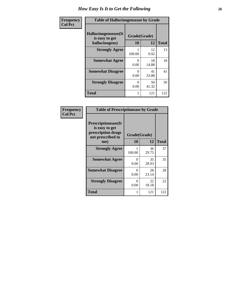| <b>Frequency</b> | <b>Table of Hallucinogensease by Grade</b>                |                    |             |              |
|------------------|-----------------------------------------------------------|--------------------|-------------|--------------|
| <b>Col Pct</b>   | Hallucinogensease(It)<br>is easy to get<br>hallucinogens) | Grade(Grade)<br>10 | 12          | <b>Total</b> |
|                  | <b>Strongly Agree</b>                                     | 100.00             | 12<br>9.92  | 13           |
|                  | <b>Somewhat Agree</b>                                     | ∩<br>0.00          | 18<br>14.88 | 18           |
|                  | <b>Somewhat Disagree</b>                                  | $\Omega$<br>0.00   | 41<br>33.88 | 41           |
|                  | <b>Strongly Disagree</b>                                  | ∩<br>0.00          | 50<br>41.32 | 50           |
|                  | <b>Total</b>                                              |                    | 121         | 122          |

| <b>Table of Prescriptionease by Grade</b>                                                       |                    |             |              |
|-------------------------------------------------------------------------------------------------|--------------------|-------------|--------------|
| <b>Prescriptionease</b> (It<br>is easy to get<br>prescription drugs<br>not prescribed to<br>me) | Grade(Grade)<br>10 | 12          | <b>Total</b> |
| <b>Strongly Agree</b>                                                                           | 100.00             | 36<br>29.75 | 37           |
| <b>Somewhat Agree</b>                                                                           | 0<br>0.00          | 35<br>28.93 | 35           |
| <b>Somewhat Disagree</b>                                                                        | 0<br>0.00          | 28<br>23.14 | 28           |
| <b>Strongly Disagree</b>                                                                        | 0<br>$0.00\,$      | 22<br>18.18 | 22           |
| <b>Total</b>                                                                                    |                    | 121         | 122          |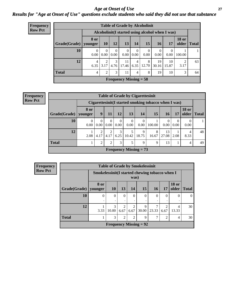### *Age at Onset of Use* **27** *Results for "Age at Onset of Use" questions exclude students who said they did not use that substance*

| Frequency      |              |                        |                                                  |                        |                          |                  | <b>Table of Grade by Alcoholinit</b> |             |                  |                        |              |
|----------------|--------------|------------------------|--------------------------------------------------|------------------------|--------------------------|------------------|--------------------------------------|-------------|------------------|------------------------|--------------|
| <b>Row Pct</b> |              |                        | Alcoholinit (I started using alcohol when I was) |                        |                          |                  |                                      |             |                  |                        |              |
|                | Grade(Grade) | <b>8 or</b><br>younger | <b>10</b>                                        | 12                     | 13                       | 14               | 15                                   | 16          | 17               | <b>18 or</b><br>older  | <b>Total</b> |
|                | 10           | $\Omega$<br>0.00       | $\Omega$<br>0.00 <sub>l</sub>                    | $\overline{0}$<br>0.00 | $\Omega$<br>0.00         | $\Omega$<br>0.00 | $\Omega$<br>0.00                     | 0.00        | $\Omega$<br>0.00 | 100.00                 | 1            |
|                | 12           | 4<br>6.35              | 2<br>3.17                                        | 3<br>4.76              | 11<br>17.46              | 4<br>6.35        | 8<br>12.70                           | 19<br>30.16 | 10<br>15.87      | $\overline{2}$<br>3.17 | 63           |
|                | <b>Total</b> | 4                      | 2                                                | 3                      | 11                       | 4                | 8                                    | 19          | 10               | 3                      | 64           |
|                |              |                        |                                                  |                        | Frequency Missing $= 58$ |                  |                                      |             |                  |                        |              |

#### **Frequency Row Pct**

| <b>Table of Grade by Cigarettesinit</b> |                 |                |                               |                  |                          |            |                                                      |             |      |                       |              |
|-----------------------------------------|-----------------|----------------|-------------------------------|------------------|--------------------------|------------|------------------------------------------------------|-------------|------|-----------------------|--------------|
|                                         |                 |                |                               |                  |                          |            | Cigarettesinit(I started smoking tobacco when I was) |             |      |                       |              |
| <b>Grade</b> (Grade)                    | 8 or<br>younger | 9              | 11                            | 12               | 13                       | 14         | 15                                                   | 16          | 17   | <b>18 or</b><br>older | <b>Total</b> |
| 10                                      | 0<br>0.00       | 0.00           | $\Omega$<br>0.00 <sub>1</sub> | $\theta$<br>0.00 | $\Omega$<br>0.00         | 0.00       | 100.00                                               | 0.00        | 0.00 | 0.00                  |              |
| 12                                      | 2.08            | ↑<br>4.17      | 4.17                          | 3<br>6.25        | 10.42                    | 9<br>18.75 | 8<br>16.67                                           | 13<br>27.08 | 2.08 | 8.33                  | 48           |
| <b>Total</b>                            |                 | $\overline{2}$ | 2                             | 3                | 5                        | 9          | 9                                                    | 13          |      | 4                     | 49           |
|                                         |                 |                |                               |                  | Frequency Missing $= 73$ |            |                                                      |             |      |                       |              |

| Frequency      |                                                         |                 |            |           |                        | <b>Table of Grade by Smokelessinit</b> |           |                |                       |              |
|----------------|---------------------------------------------------------|-----------------|------------|-----------|------------------------|----------------------------------------|-----------|----------------|-----------------------|--------------|
| <b>Row Pct</b> | Smokelessinit (I started chewing tobacco when I<br>was) |                 |            |           |                        |                                        |           |                |                       |              |
|                | Grade(Grade)                                            | 8 or<br>younger | <b>10</b>  | 13        | 14                     | <b>15</b>                              | <b>16</b> | 17             | <b>18 or</b><br>older | <b>Total</b> |
|                | 10                                                      | 0               | $\Omega$   | $\Omega$  | $\overline{0}$         | $\Omega$                               | $\Omega$  | $\Omega$       | $\Omega$              | 0            |
|                | 12                                                      | 3.33            | 3<br>10.00 | 2<br>6.67 | $\overline{c}$<br>6.67 | $\mathbf Q$<br>30.00                   | 23.33     | ∍<br>6.67      | 4<br>13.33            | 30           |
|                | <b>Total</b>                                            |                 | 3          | 2         | 2                      | 9                                      |           | $\overline{c}$ | 4                     | 30           |
|                |                                                         |                 |            |           |                        | <b>Frequency Missing = 92</b>          |           |                |                       |              |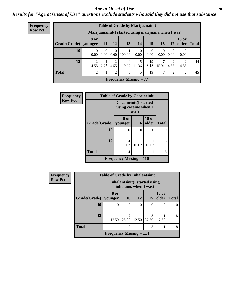### *Age at Onset of Use* **28**

*Results for "Age at Onset of Use" questions exclude students who said they did not use that substance*

| Frequency      | <b>Table of Grade by Marijuanainit</b> |                        |                  |                  |                                                     |                  |                  |                  |                        |                       |              |  |
|----------------|----------------------------------------|------------------------|------------------|------------------|-----------------------------------------------------|------------------|------------------|------------------|------------------------|-----------------------|--------------|--|
| <b>Row Pct</b> |                                        |                        |                  |                  | Marijuanainit(I started using marijuana when I was) |                  |                  |                  |                        |                       |              |  |
|                | Grade(Grade)                           | <b>8 or</b><br>younger | <b>11</b>        | 12               | 13                                                  | 14               | 15               | 16               | 17                     | <b>18 or</b><br>older | <b>Total</b> |  |
|                | 10                                     | $\Omega$<br>0.00       | $\Omega$<br>0.00 | $\Omega$<br>0.00 | 100.00                                              | $\Omega$<br>0.00 | $\Omega$<br>0.00 | $\theta$<br>0.00 | $\Omega$<br>0.00       | 0<br>0.00             |              |  |
|                | 12                                     | $\overline{2}$<br>4.55 | 2.27             | 4.55             | 4<br>9.09                                           | 11.36            | 19<br>43.18      | 15.91            | $\overline{2}$<br>4.55 | 2<br>4.55             | 44           |  |
|                | <b>Total</b>                           | $\overline{2}$         |                  | $\overline{2}$   | 5                                                   | 5                | 19               | ⇁                | $\mathfrak{D}$         | $\overline{2}$        | 45           |  |
|                |                                        |                        |                  |                  | <b>Frequency Missing = 77</b>                       |                  |                  |                  |                        |                       |              |  |

| Frequency      |                        | <b>Table of Grade by Cocaineinit</b>                 |           |                       |              |
|----------------|------------------------|------------------------------------------------------|-----------|-----------------------|--------------|
| <b>Row Pct</b> |                        | <b>Cocaineinit(I started</b><br>using cocaine when I | was)      |                       |              |
|                | Grade(Grade)   younger | 8 or                                                 | <b>16</b> | <b>18 or</b><br>older | <b>Total</b> |
|                | 10                     | $\Omega$                                             | $\Omega$  | 0                     | ∩            |
|                | 12                     | 4<br>66.67                                           | 16.67     | 16.67                 | 6            |
|                | <b>Total</b>           | 4                                                    |           |                       | 6            |
|                |                        | Frequency Missing $= 116$                            |           |                       |              |

| <b>Frequency</b> | <b>Table of Grade by Inhalantsinit</b> |                                             |                                                               |          |            |                       |              |  |
|------------------|----------------------------------------|---------------------------------------------|---------------------------------------------------------------|----------|------------|-----------------------|--------------|--|
| <b>Row Pct</b>   |                                        |                                             | <b>Inhalantsinit(I started using</b><br>inhalants when I was) |          |            |                       |              |  |
|                  | Grade(Grade)                           | 8 or<br>younger                             | <b>10</b>                                                     | 12       | 15         | <b>18 or</b><br>older | <b>Total</b> |  |
|                  | 10                                     | $\Omega$                                    | 0                                                             | $\Omega$ | 0          | 0                     | $\theta$     |  |
|                  | 12                                     | 12.50                                       | っ<br>25.00                                                    | 12.50    | 3<br>37.50 | 12.50                 | 8            |  |
|                  | <b>Total</b>                           |                                             | $\mathfrak{D}$                                                |          | 3          |                       | 8            |  |
|                  |                                        | <b>Frequency Missing <math>= 114</math></b> |                                                               |          |            |                       |              |  |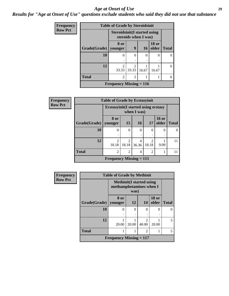#### *Age at Onset of Use* **29**

### *Results for "Age at Onset of Use" questions exclude students who said they did not use that substance*

| Frequency      | <b>Table of Grade by Steroidsinit</b> |                                      |                                      |       |                       |              |
|----------------|---------------------------------------|--------------------------------------|--------------------------------------|-------|-----------------------|--------------|
| <b>Row Pct</b> |                                       | <b>Steroidsinit (I started using</b> | steroids when I was)                 |       |                       |              |
|                | Grade(Grade)                          | 8 or<br>younger                      | 9                                    | 16    | <b>18 or</b><br>older | <b>Total</b> |
|                | 10                                    | 0                                    | $\Omega$                             | 0     | 0                     |              |
|                | 12                                    | $\mathfrak{D}$<br>33.33              | $\mathcal{D}_{\mathcal{L}}$<br>33.33 | 16.67 | 16.67                 | 6            |
|                | <b>Total</b>                          | $\overline{c}$                       | $\overline{2}$                       |       |                       | 6            |
|                |                                       | Frequency Missing $= 116$            |                                      |       |                       |              |

| <b>Frequency</b> | <b>Table of Grade by Ecstasyinit</b> |                                            |                                      |             |                         |                       |              |  |  |
|------------------|--------------------------------------|--------------------------------------------|--------------------------------------|-------------|-------------------------|-----------------------|--------------|--|--|
| <b>Row Pct</b>   |                                      | <b>Ecstasyinit(I started using ecstasy</b> |                                      | when I was) |                         |                       |              |  |  |
|                  | Grade(Grade)                         | 8 or<br>younger                            | <b>15</b>                            | <b>16</b>   | 17                      | <b>18 or</b><br>older | <b>Total</b> |  |  |
|                  | 10                                   | $\Omega$                                   | $\theta$                             | $\Omega$    | $\Omega$                | $\Omega$              |              |  |  |
|                  | 12                                   | $\mathfrak{D}$<br>18.18                    | $\mathcal{D}_{\mathcal{L}}$<br>18.18 | 4<br>36.36  | $\mathfrak{D}$<br>18.18 | 9.09                  | 11           |  |  |
|                  | <b>Total</b>                         | $\overline{c}$                             | $\overline{c}$                       | 4           | $\overline{c}$          |                       | 11           |  |  |
|                  |                                      | <b>Frequency Missing = 111</b>             |                                      |             |                         |                       |              |  |  |

| <b>Frequency</b> | <b>Table of Grade by Methinit</b>                                   |                                             |          |                         |                       |              |
|------------------|---------------------------------------------------------------------|---------------------------------------------|----------|-------------------------|-----------------------|--------------|
| <b>Row Pct</b>   | <b>Methinit</b> (I started using<br>methamphetamines when I<br>was) |                                             |          |                         |                       |              |
|                  | Grade(Grade)                                                        | 8 or<br>younger                             | 12       | 14                      | <b>18 or</b><br>older | <b>Total</b> |
|                  | 10                                                                  | 0                                           | $\theta$ | 0                       | 0                     |              |
|                  | 12                                                                  | 20.00                                       | 20.00    | $\mathfrak{D}$<br>40.00 | 20.00                 | 5            |
|                  | <b>Total</b><br>$\overline{c}$<br>1                                 |                                             |          |                         |                       | 5            |
|                  |                                                                     | <b>Frequency Missing <math>= 117</math></b> |          |                         |                       |              |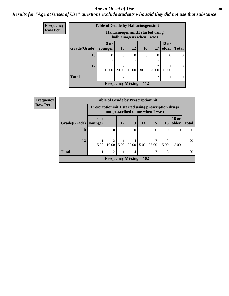### Age at Onset of Use **30**

*Results for "Age at Onset of Use" questions exclude students who said they did not use that substance*

| <b>Frequency</b> |              | <b>Table of Grade by Hallucinogensinit</b> |                         |                                                                 |            |                         |                       |              |  |
|------------------|--------------|--------------------------------------------|-------------------------|-----------------------------------------------------------------|------------|-------------------------|-----------------------|--------------|--|
| <b>Row Pct</b>   |              |                                            |                         | Hallucinogensinit (I started using<br>hallucinogens when I was) |            |                         |                       |              |  |
|                  | Grade(Grade) | 8 or<br>younger                            | 10                      | 12                                                              | 16         | 17                      | <b>18 or</b><br>older | <b>Total</b> |  |
|                  | 10           | $\theta$                                   | $\Omega$                | $\theta$                                                        | $\Omega$   | $\Omega$                | $\Omega$              | $\Omega$     |  |
|                  | 12           | 10.00                                      | $\mathfrak{D}$<br>20.00 | 10.00                                                           | 3<br>30.00 | $\overline{c}$<br>20.00 | 10.00                 | 10           |  |
|                  | <b>Total</b> | 1                                          | $\overline{2}$          | 1                                                               | 3          | $\overline{2}$          |                       | 10           |  |
|                  |              |                                            |                         | Frequency Missing $= 112$                                       |            |                         |                       |              |  |

| <b>Frequency</b> | <b>Table of Grade by Prescriptioninit</b> |                                                              |                         |          |                                  |          |               |                 |                       |              |
|------------------|-------------------------------------------|--------------------------------------------------------------|-------------------------|----------|----------------------------------|----------|---------------|-----------------|-----------------------|--------------|
| <b>Row Pct</b>   |                                           | <b>Prescriptioninit (I started using prescription drugs)</b> |                         |          | not prescribed to me when I was) |          |               |                 |                       |              |
|                  | Grade(Grade)                              | 8 or<br>younger                                              | <b>11</b>               | 12       | 13                               | 14       | 15            | 16 <sup>1</sup> | <b>18 or</b><br>older | <b>Total</b> |
|                  | 10                                        | 0                                                            | $\theta$                | $\theta$ | $\Omega$                         | $\Omega$ | $\Omega$<br>٠ | $\Omega$<br>٠   | $\Omega$              | 0            |
|                  | 12                                        | 5.00                                                         | $\overline{2}$<br>10.00 | 5.00     | $\overline{4}$<br>20.00          | 5.00     | 7<br>35.00    | 3<br>15.00      | 5.00                  | 20           |
|                  | <b>Total</b>                              |                                                              | $\overline{2}$          |          | 4                                |          | 7             | 3               |                       | 20           |
|                  |                                           |                                                              |                         |          | Frequency Missing $= 102$        |          |               |                 |                       |              |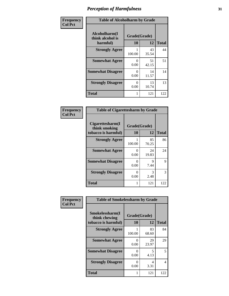| Frequency      | <b>Table of Alcoholharm by Grade</b>          |                    |             |              |
|----------------|-----------------------------------------------|--------------------|-------------|--------------|
| <b>Col Pct</b> | Alcoholharm(I<br>think alcohol is<br>harmful) | Grade(Grade)<br>10 | 12          | <b>Total</b> |
|                | <b>Strongly Agree</b>                         | 100.00             | 43<br>35.54 | 44           |
|                | <b>Somewhat Agree</b>                         | $\Omega$<br>0.00   | 51<br>42.15 | 51           |
|                | <b>Somewhat Disagree</b>                      | 0<br>0.00          | 14<br>11.57 | 14           |
|                | <b>Strongly Disagree</b>                      | 0<br>0.00          | 13<br>10.74 | 13           |
|                | <b>Total</b>                                  |                    | 121         | 122          |

| <b>Table of Cigarettesharm by Grade</b>                  |                    |             |              |  |  |  |  |
|----------------------------------------------------------|--------------------|-------------|--------------|--|--|--|--|
| Cigarettesharm(I<br>think smoking<br>tobacco is harmful) | Grade(Grade)<br>10 | 12          | <b>Total</b> |  |  |  |  |
| <b>Strongly Agree</b>                                    | 100.00             | 85<br>70.25 | 86           |  |  |  |  |
| <b>Somewhat Agree</b>                                    | 0<br>0.00          | 24<br>19.83 | 24           |  |  |  |  |
| <b>Somewhat Disagree</b>                                 | 0<br>0.00          | 9<br>7.44   | 9            |  |  |  |  |
| <b>Strongly Disagree</b>                                 | 0<br>0.00          | 3<br>2.48   | 3            |  |  |  |  |
| <b>Total</b>                                             | 1                  | 121         | 122          |  |  |  |  |

| Frequency      | <b>Table of Smokelessharm by Grade</b>                  |                           |             |              |
|----------------|---------------------------------------------------------|---------------------------|-------------|--------------|
| <b>Col Pct</b> | Smokelessharm(I<br>think chewing<br>tobacco is harmful) | Grade(Grade)<br>10        | 12          | <b>Total</b> |
|                | <b>Strongly Agree</b>                                   | 100.00                    | 83<br>68.60 | 84           |
|                | <b>Somewhat Agree</b>                                   | 0.00                      | 29<br>23.97 | 29           |
|                | <b>Somewhat Disagree</b>                                | $\mathbf{\Omega}$<br>0.00 | 5<br>4.13   | 5            |
|                | <b>Strongly Disagree</b>                                | $\mathbf{\Omega}$<br>0.00 | 4<br>3.31   | 4            |
|                | <b>Total</b>                                            |                           | 121         | 122          |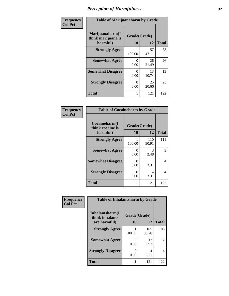| Frequency      | <b>Table of Marijuanaharm by Grade</b>            |                      |             |              |
|----------------|---------------------------------------------------|----------------------|-------------|--------------|
| <b>Col Pct</b> | Marijuanaharm(I<br>think marijuana is<br>harmful) | Grade(Grade)<br>10   | 12          | <b>Total</b> |
|                | <b>Strongly Agree</b>                             | 100.00               | 57<br>47.11 | 58           |
|                | <b>Somewhat Agree</b>                             | $\mathbf{0}$<br>0.00 | 26<br>21.49 | 26           |
|                | <b>Somewhat Disagree</b>                          | 0<br>0.00            | 13<br>10.74 | 13           |
|                | <b>Strongly Disagree</b>                          | 0<br>0.00            | 25<br>20.66 | 25           |
|                | <b>Total</b>                                      | 1                    | 121         | 122          |

| <b>Table of Cocaineharm by Grade</b>          |                           |              |              |  |  |  |
|-----------------------------------------------|---------------------------|--------------|--------------|--|--|--|
| Cocaineharm(I<br>think cocaine is<br>harmful) | Grade(Grade)<br>10        | 12           | <b>Total</b> |  |  |  |
| <b>Strongly Agree</b>                         | 100.00                    | 110<br>90.91 | 111          |  |  |  |
| <b>Somewhat Agree</b>                         | 0<br>0.00                 | 3<br>2.48    | 3            |  |  |  |
| <b>Somewhat Disagree</b>                      | $\mathbf{\Omega}$<br>0.00 | 4<br>3.31    | 4            |  |  |  |
| <b>Strongly Disagree</b>                      | 0<br>0.00                 | 4<br>3.31    | 4            |  |  |  |
| Total                                         |                           | 121          | 122          |  |  |  |

| Frequency<br><b>Col Pct</b> | <b>Table of Inhalantsharm by Grade</b> |              |              |              |  |  |
|-----------------------------|----------------------------------------|--------------|--------------|--------------|--|--|
|                             | Inhalantsharm(I                        | Grade(Grade) |              |              |  |  |
|                             | think inhalants                        |              |              |              |  |  |
|                             | are harmful)                           | 10           | 12           | <b>Total</b> |  |  |
|                             | <b>Strongly Agree</b>                  | 100.00       | 105<br>86.78 | 106          |  |  |
|                             | <b>Somewhat Agree</b>                  | 0.00         | 12<br>9.92   | 12           |  |  |
|                             | <b>Strongly Disagree</b>               | 0.00         | 4<br>3.31    | 4            |  |  |
|                             | <b>Total</b>                           |              | 121          | 122          |  |  |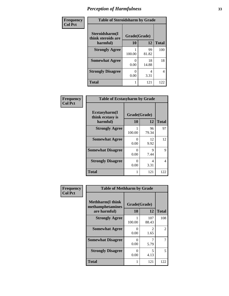| Frequency      |                                      | <b>Table of Steroidsharm by Grade</b> |             |              |  |  |
|----------------|--------------------------------------|---------------------------------------|-------------|--------------|--|--|
| <b>Col Pct</b> | Steroidsharm(I<br>think steroids are | Grade(Grade)                          |             |              |  |  |
|                | harmful)                             | 10                                    | 12          | <b>Total</b> |  |  |
|                | <b>Strongly Agree</b>                | 100.00                                | 99<br>81.82 | 100          |  |  |
|                | <b>Somewhat Agree</b>                | 0.00                                  | 18<br>14.88 | 18           |  |  |
|                | <b>Strongly Disagree</b>             | 0.00                                  | 4<br>3.31   | 4            |  |  |
|                | <b>Total</b>                         |                                       | 121         | 122          |  |  |

| Frequency      | <b>Table of Ecstasyharm by Grade</b>          |                    |             |              |
|----------------|-----------------------------------------------|--------------------|-------------|--------------|
| <b>Col Pct</b> | Ecstasyharm(I<br>think ecstasy is<br>harmful) | Grade(Grade)<br>10 | 12          | <b>Total</b> |
|                | <b>Strongly Agree</b>                         | 100.00             | 96<br>79.34 | 97           |
|                | <b>Somewhat Agree</b>                         | 0<br>0.00          | 12<br>9.92  | 12           |
|                | <b>Somewhat Disagree</b>                      | 0<br>0.00          | 9<br>7.44   | 9            |
|                | <b>Strongly Disagree</b>                      | 0<br>0.00          | 4<br>3.31   | 4            |
|                | <b>Total</b>                                  |                    | 121         | 122          |

| Frequency      | <b>Table of Methharm by Grade</b>                            |                    |                        |                |
|----------------|--------------------------------------------------------------|--------------------|------------------------|----------------|
| <b>Col Pct</b> | <b>Methharm</b> (I think<br>methamphetamines<br>are harmful) | Grade(Grade)<br>10 | 12                     | <b>Total</b>   |
|                | <b>Strongly Agree</b>                                        | 100.00             | 107<br>88.43           | 108            |
|                | <b>Somewhat Agree</b>                                        | 0<br>0.00          | $\mathfrak{D}$<br>1.65 | $\overline{2}$ |
|                | <b>Somewhat Disagree</b>                                     | 0<br>0.00          | 5.79                   | 7              |
|                | <b>Strongly Disagree</b>                                     | 0<br>0.00          | 5<br>4.13              | 5              |
|                | <b>Total</b>                                                 | 1                  | 121                    | 122            |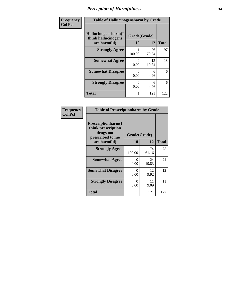| Frequency      | <b>Table of Hallucinogensharm by Grade</b>                 |                           |             |              |
|----------------|------------------------------------------------------------|---------------------------|-------------|--------------|
| <b>Col Pct</b> | Hallucinogensharm(I<br>think hallucinogens<br>are harmful) | Grade(Grade)<br>10        | 12          | <b>Total</b> |
|                | <b>Strongly Agree</b>                                      | 100.00                    | 96<br>79.34 | 97           |
|                | <b>Somewhat Agree</b>                                      | 0<br>0.00                 | 13<br>10.74 | 13           |
|                | <b>Somewhat Disagree</b>                                   | $\mathbf{\Omega}$<br>0.00 | 6<br>4.96   | 6            |
|                | <b>Strongly Disagree</b>                                   | 0<br>0.00                 | 6<br>4.96   | 6            |
|                | <b>Total</b>                                               |                           | 121         | 122          |

| <b>Table of Prescriptionharm by Grade</b>                                                         |                    |             |              |  |
|---------------------------------------------------------------------------------------------------|--------------------|-------------|--------------|--|
| <b>Prescriptionharm</b> (I<br>think prescription<br>drugs not<br>prescribed to me<br>are harmful) | Grade(Grade)<br>10 | 12          | <b>Total</b> |  |
| <b>Strongly Agree</b>                                                                             | 100.00             | 74<br>61.16 | 75           |  |
| <b>Somewhat Agree</b>                                                                             | 0<br>0.00          | 24<br>19.83 | 24           |  |
| <b>Somewhat Disagree</b>                                                                          | 0<br>0.00          | 12<br>9.92  | 12           |  |
| <b>Strongly Disagree</b>                                                                          | 0<br>0.00          | 11<br>9.09  | 11           |  |
| Total                                                                                             |                    | 121         | 122          |  |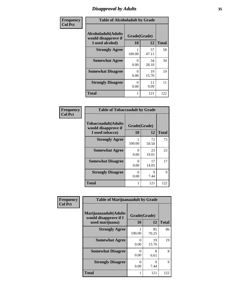# *Disapproval by Adults* **35**

| Frequency      | <b>Table of Alcoholadult by Grade</b>                                 |                    |             |              |
|----------------|-----------------------------------------------------------------------|--------------------|-------------|--------------|
| <b>Col Pct</b> | <b>Alcoholadult</b> (Adults<br>would disapprove if<br>I used alcohol) | Grade(Grade)<br>10 | 12          | <b>Total</b> |
|                | <b>Strongly Agree</b>                                                 | 100.00             | 57<br>47.11 | 58           |
|                | <b>Somewhat Agree</b>                                                 | 0.00               | 34<br>28.10 | 34           |
|                | <b>Somewhat Disagree</b>                                              | O<br>0.00          | 19<br>15.70 | 19           |
|                | <b>Strongly Disagree</b>                                              | 0<br>0.00          | 11<br>9.09  | 11           |
|                | <b>Total</b>                                                          | 1                  | 121         | 122          |

| <b>Table of Tobaccoadult by Grade</b>                                |                    |             |              |  |  |
|----------------------------------------------------------------------|--------------------|-------------|--------------|--|--|
| <b>Tobaccoadult(Adults</b><br>would disapprove if<br>I used tobacco) | Grade(Grade)<br>10 | 12          | <b>Total</b> |  |  |
| <b>Strongly Agree</b>                                                | 100.00             | 72<br>59.50 | 73           |  |  |
| <b>Somewhat Agree</b>                                                | 0<br>0.00          | 23<br>19.01 | 23           |  |  |
| <b>Somewhat Disagree</b>                                             | 0<br>0.00          | 17<br>14.05 | 17           |  |  |
| <b>Strongly Disagree</b>                                             | 0<br>0.00          | 9<br>7.44   | 9            |  |  |
| <b>Total</b>                                                         |                    | 121         | 122          |  |  |

| Frequency<br><b>Col Pct</b> | <b>Table of Marijuanaadult by Grade</b>                           |                    |             |              |
|-----------------------------|-------------------------------------------------------------------|--------------------|-------------|--------------|
|                             | Marijuanaadult(Adults<br>would disapprove if I<br>used marijuana) | Grade(Grade)<br>10 | 12          | <b>Total</b> |
|                             | <b>Strongly Agree</b>                                             | 100.00             | 85<br>70.25 | 86           |
|                             | <b>Somewhat Agree</b>                                             | 0<br>0.00          | 19<br>15.70 | 19           |
|                             | <b>Somewhat Disagree</b>                                          | 0<br>0.00          | 8<br>6.61   | 8            |
|                             | <b>Strongly Disagree</b>                                          | 0<br>0.00          | 9<br>7.44   | 9            |
|                             | <b>Total</b>                                                      |                    | 121         | 122          |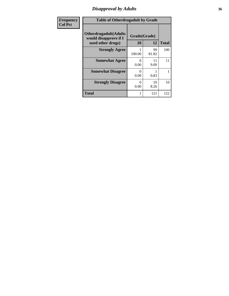### *Disapproval by Adults* **36**

| <b>Frequency</b> | <b>Table of Otherdrugadult by Grade</b>                                     |                    |             |              |
|------------------|-----------------------------------------------------------------------------|--------------------|-------------|--------------|
| <b>Col Pct</b>   | <b>Otherdrugadult</b> (Adults<br>would disapprove if I<br>used other drugs) | Grade(Grade)<br>10 | 12          | <b>Total</b> |
|                  | <b>Strongly Agree</b>                                                       | 100.00             | 99<br>81.82 | 100          |
|                  | <b>Somewhat Agree</b>                                                       | $\Omega$<br>0.00   | 11<br>9.09  | 11           |
|                  | <b>Somewhat Disagree</b>                                                    | 0<br>0.00          | 0.83        |              |
|                  | <b>Strongly Disagree</b>                                                    | 0<br>0.00          | 10<br>8.26  | 10           |
|                  | <b>Total</b>                                                                |                    | 121         | 122          |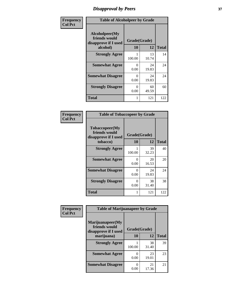# *Disapproval by Peers* **37**

| Frequency      | <b>Table of Alcoholpeer by Grade</b>                                |                    |             |              |  |
|----------------|---------------------------------------------------------------------|--------------------|-------------|--------------|--|
| <b>Col Pct</b> | Alcoholpeer(My<br>friends would<br>disapprove if I used<br>alcohol) | Grade(Grade)<br>10 | 12          | <b>Total</b> |  |
|                |                                                                     |                    |             |              |  |
|                | <b>Strongly Agree</b>                                               | 100.00             | 13<br>10.74 | 14           |  |
|                | <b>Somewhat Agree</b>                                               | 0<br>0.00          | 24<br>19.83 | 24           |  |
|                | <b>Somewhat Disagree</b>                                            | 0<br>0.00          | 24<br>19.83 | 24           |  |
|                | <b>Strongly Disagree</b>                                            | 0<br>0.00          | 60<br>49.59 | 60           |  |
|                | Total                                                               |                    | 121         | 122          |  |

| Frequency      | <b>Table of Tobaccopeer by Grade</b>                                |                           |             |              |
|----------------|---------------------------------------------------------------------|---------------------------|-------------|--------------|
| <b>Col Pct</b> | Tobaccopeer(My<br>friends would<br>disapprove if I used<br>tobacco) | Grade(Grade)<br><b>10</b> | 12          | <b>Total</b> |
|                | <b>Strongly Agree</b>                                               |                           | 39          | 40           |
|                |                                                                     | 100.00                    | 32.23       |              |
|                | <b>Somewhat Agree</b>                                               | 0<br>0.00                 | 20<br>16.53 | 20           |
|                | <b>Somewhat Disagree</b>                                            | 0<br>0.00                 | 24<br>19.83 | 24           |
|                | <b>Strongly Disagree</b>                                            | 0<br>0.00                 | 38<br>31.40 | 38           |
|                | <b>Total</b>                                                        |                           | 121         | 122          |

| Frequency      | <b>Table of Marijuanapeer by Grade</b>                    |                           |             |              |
|----------------|-----------------------------------------------------------|---------------------------|-------------|--------------|
| <b>Col Pct</b> | Marijuanapeer(My<br>friends would<br>disapprove if I used | Grade(Grade)              |             |              |
|                | marijuana)                                                | <b>10</b>                 | 12          | <b>Total</b> |
|                | <b>Strongly Agree</b>                                     | 100.00                    | 38<br>31.40 | 39           |
|                | <b>Somewhat Agree</b>                                     | $\mathbf{\Omega}$<br>0.00 | 23<br>19.01 | 23           |
|                | <b>Somewhat Disagree</b>                                  | 0<br>0.00                 | 21<br>17.36 | 21           |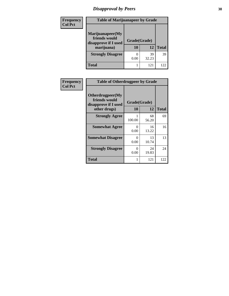# *Disapproval by Peers* **38**

| Frequency<br><b>Col Pct</b> | <b>Table of Marijuanapeer by Grade</b>                                  |                    |             |              |
|-----------------------------|-------------------------------------------------------------------------|--------------------|-------------|--------------|
|                             | Marijuanapeer(My<br>friends would<br>disapprove if I used<br>marijuana) | Grade(Grade)<br>10 | 12          | <b>Total</b> |
|                             | <b>Strongly Disagree</b>                                                | 0.00               | 39<br>32.23 | 39           |
|                             | Total                                                                   |                    | 121         | 122          |

| Frequency      | <b>Table of Otherdrugpeer by Grade</b>                                    |                    |             |              |
|----------------|---------------------------------------------------------------------------|--------------------|-------------|--------------|
| <b>Col Pct</b> | Otherdrugpeer(My<br>friends would<br>disapprove if I used<br>other drugs) | Grade(Grade)<br>10 | 12          | <b>Total</b> |
|                | <b>Strongly Agree</b>                                                     | 100.00             | 68<br>56.20 | 69           |
|                | <b>Somewhat Agree</b>                                                     | 0<br>0.00          | 16<br>13.22 | 16           |
|                | <b>Somewhat Disagree</b>                                                  | 0<br>0.00          | 13<br>10.74 | 13           |
|                | <b>Strongly Disagree</b>                                                  | $\Omega$<br>0.00   | 24<br>19.83 | 24           |
|                | <b>Total</b>                                                              | 1                  | 121         | 122          |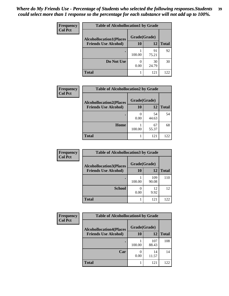| Frequency<br><b>Col Pct</b> | <b>Table of Alcohollocation1 by Grade</b> |              |             |              |
|-----------------------------|-------------------------------------------|--------------|-------------|--------------|
|                             | <b>Alcohollocation1(Places</b>            | Grade(Grade) |             |              |
|                             | <b>Friends Use Alcohol)</b>               | 10           | 12          | <b>Total</b> |
|                             |                                           | 100.00       | 91<br>75.21 | 92           |
|                             | Do Not Use                                | 0.00         | 30<br>24.79 | 30           |
|                             | <b>Total</b>                              |              | 121         | 122          |

| Frequency      | <b>Table of Alcohollocation2 by Grade</b> |              |             |              |
|----------------|-------------------------------------------|--------------|-------------|--------------|
| <b>Col Pct</b> | <b>Alcohollocation2(Places</b>            | Grade(Grade) |             |              |
|                | <b>Friends Use Alcohol)</b>               | 10           | 12          | <b>Total</b> |
|                |                                           | 0.00         | 54<br>44.63 | 54           |
|                |                                           |              |             |              |
|                | Home                                      | 100.00       | 67<br>55.37 | 68           |
|                |                                           |              |             |              |
|                | <b>Total</b>                              |              | 121         | 122          |

| Frequency<br><b>Col Pct</b> | <b>Table of Alcohollocation 3 by Grade</b> |              |              |              |
|-----------------------------|--------------------------------------------|--------------|--------------|--------------|
|                             | <b>Alcohollocation3(Places</b>             | Grade(Grade) |              |              |
|                             | <b>Friends Use Alcohol)</b>                | 10           | 12           | <b>Total</b> |
|                             |                                            | 100.00       | 109<br>90.08 | 110          |
|                             | <b>School</b>                              | 0.00         | 12<br>9.92   | 12           |
|                             | <b>Total</b>                               |              | 121          | 122          |

| <b>Frequency</b> | <b>Table of Alcohollocation4 by Grade</b> |              |              |              |  |
|------------------|-------------------------------------------|--------------|--------------|--------------|--|
| <b>Col Pct</b>   | <b>Alcohollocation4(Places</b>            | Grade(Grade) |              |              |  |
|                  | <b>Friends Use Alcohol)</b>               | 10           | 12           | <b>Total</b> |  |
|                  |                                           | 100.00       | 107<br>88.43 | 108          |  |
|                  | Car                                       | 0.00         | 14<br>11.57  | 14           |  |
|                  | <b>Total</b>                              |              | 121          | 122          |  |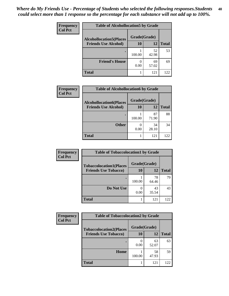| Frequency<br><b>Col Pct</b> | <b>Table of Alcohollocation5 by Grade</b>      |                           |             |              |
|-----------------------------|------------------------------------------------|---------------------------|-------------|--------------|
|                             | Grade(Grade)<br><b>Alcohollocation5(Places</b> |                           |             |              |
|                             | <b>Friends Use Alcohol)</b>                    | 10                        | 12          | <b>Total</b> |
|                             |                                                | 100.00                    | 52<br>42.98 | 53           |
|                             | <b>Friend's House</b>                          | $\mathbf{\Omega}$<br>0.00 | 69<br>57.02 | 69           |
|                             | <b>Total</b>                                   |                           | 121         | 122          |

| <b>Frequency</b> | <b>Table of Alcohollocation6 by Grade</b>                     |              |             |              |
|------------------|---------------------------------------------------------------|--------------|-------------|--------------|
| <b>Col Pct</b>   | <b>Alcohollocation6(Places</b><br><b>Friends Use Alcohol)</b> | Grade(Grade) |             |              |
|                  |                                                               | <b>10</b>    | 12          | <b>Total</b> |
|                  |                                                               | 100.00       | 87<br>71.90 | 88           |
|                  | <b>Other</b>                                                  | 0<br>0.00    | 34<br>28.10 | 34           |
|                  | <b>Total</b>                                                  |              | 121         | 122          |

| Frequency      | <b>Table of Tobaccolocation1 by Grade</b>                     |                           |             |              |
|----------------|---------------------------------------------------------------|---------------------------|-------------|--------------|
| <b>Col Pct</b> | <b>Tobaccolocation1(Places</b><br><b>Friends Use Tobacco)</b> | Grade(Grade)<br><b>10</b> | 12          | <b>Total</b> |
|                |                                                               | 100.00                    | 78<br>64.46 | 79           |
|                | Do Not Use                                                    | 0<br>0.00                 | 43<br>35.54 | 43           |
|                | <b>Total</b>                                                  |                           | 121         | 122          |

| Frequency      | <b>Table of Tobaccolocation2 by Grade</b> |              |             |              |  |
|----------------|-------------------------------------------|--------------|-------------|--------------|--|
| <b>Col Pct</b> | <b>Tobaccolocation2(Places</b>            | Grade(Grade) |             |              |  |
|                | <b>Friends Use Tobacco)</b>               | 10           | 12          | <b>Total</b> |  |
|                |                                           | 0.00         | 63<br>52.07 | 63           |  |
|                | Home                                      | 100.00       | 58<br>47.93 | 59           |  |
|                | <b>Total</b>                              |              | 121         | 122          |  |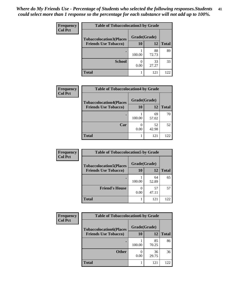| Frequency      | <b>Table of Tobaccolocation 3 by Grade</b> |              |             |              |  |
|----------------|--------------------------------------------|--------------|-------------|--------------|--|
| <b>Col Pct</b> | <b>Tobaccolocation3(Places</b>             | Grade(Grade) |             |              |  |
|                | <b>Friends Use Tobacco)</b>                | 10           | <b>12</b>   | <b>Total</b> |  |
|                | ٠                                          | 100.00       | 88<br>72.73 | 89           |  |
|                | <b>School</b>                              | 0.00         | 33<br>27.27 | 33           |  |
|                | <b>Total</b>                               |              | 121         | 122          |  |

| Frequency      | <b>Table of Tobaccolocation4 by Grade</b> |              |             |              |
|----------------|-------------------------------------------|--------------|-------------|--------------|
| <b>Col Pct</b> | <b>Tobaccolocation4(Places</b>            | Grade(Grade) |             |              |
|                | <b>Friends Use Tobacco)</b>               | <b>10</b>    | 12          | <b>Total</b> |
|                |                                           | 100.00       | 69<br>57.02 | 70           |
|                | Car                                       | 0.00         | 52<br>42.98 | 52           |
|                | <b>Total</b>                              |              | 121         | 122          |

| Frequency<br><b>Col Pct</b> | <b>Table of Tobaccolocation5 by Grade</b> |              |             |              |
|-----------------------------|-------------------------------------------|--------------|-------------|--------------|
|                             | <b>Tobaccolocation5(Places</b>            | Grade(Grade) |             |              |
|                             | <b>Friends Use Tobacco)</b>               | 10           | 12          | <b>Total</b> |
|                             |                                           | 100.00       | 64<br>52.89 | 65           |
|                             | <b>Friend's House</b>                     | 0.00         | 57<br>47.11 | 57           |
|                             | <b>Total</b>                              |              | 121         | 122          |

| <b>Frequency</b> | <b>Table of Tobaccolocation6 by Grade</b> |              |             |              |  |
|------------------|-------------------------------------------|--------------|-------------|--------------|--|
| <b>Col Pct</b>   | <b>Tobaccolocation6(Places</b>            | Grade(Grade) |             |              |  |
|                  | <b>Friends Use Tobacco)</b>               | 10           | 12          | <b>Total</b> |  |
|                  |                                           | 100.00       | 85<br>70.25 | 86           |  |
|                  | <b>Other</b>                              | 0.00         | 36<br>29.75 | 36           |  |
|                  | <b>Total</b>                              |              | 121         | 122          |  |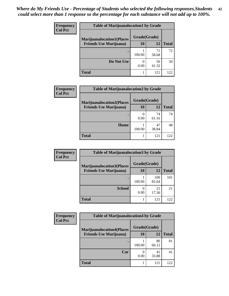| Frequency<br><b>Col Pct</b> | <b>Table of Marijuanalocation1 by Grade</b> |              |             |              |
|-----------------------------|---------------------------------------------|--------------|-------------|--------------|
|                             | <b>Marijuanalocation1(Places</b>            | Grade(Grade) |             |              |
|                             | <b>Friends Use Marijuana</b> )              | <b>10</b>    | 12          | <b>Total</b> |
|                             |                                             | 100.00       | 71<br>58.68 | 72           |
|                             | Do Not Use                                  | 0.00         | 50<br>41.32 | 50           |
|                             | <b>Total</b>                                |              | 121         | 122          |

| Frequency<br><b>Col Pct</b> | <b>Table of Marijuanalocation2 by Grade</b> |              |             |              |
|-----------------------------|---------------------------------------------|--------------|-------------|--------------|
|                             | <b>Marijuanalocation2(Places</b>            | Grade(Grade) |             |              |
|                             | <b>Friends Use Marijuana</b> )              | <b>10</b>    | 12          | <b>Total</b> |
|                             |                                             | 0.00         | 74<br>61.16 | 74           |
|                             | Home                                        | 100.00       | 47<br>38.84 | 48           |
|                             | <b>Total</b>                                |              | 121         | 122          |

| <b>Frequency</b> | <b>Table of Marijuanalocation3 by Grade</b> |              |              |              |
|------------------|---------------------------------------------|--------------|--------------|--------------|
| <b>Col Pct</b>   | <b>Marijuanalocation3</b> (Places           | Grade(Grade) |              |              |
|                  | <b>Friends Use Marijuana</b> )              | 10           | 12           | <b>Total</b> |
|                  |                                             | 100.00       | 100<br>82.64 | 101          |
|                  | <b>School</b>                               | 0.00         | 21<br>17.36  | 21           |
|                  | <b>Total</b>                                |              | 121          | 22           |

| <b>Frequency</b> | <b>Table of Marijuanalocation4 by Grade</b> |              |             |              |  |
|------------------|---------------------------------------------|--------------|-------------|--------------|--|
| <b>Col Pct</b>   | <b>Marijuanalocation4(Places</b>            | Grade(Grade) |             |              |  |
|                  | <b>Friends Use Marijuana</b> )              | 10           | 12          | <b>Total</b> |  |
|                  |                                             | 100.00       | 80<br>66.12 | 81           |  |
|                  | Car                                         | 0.00         | 41<br>33.88 | 41           |  |
|                  | <b>Total</b>                                |              | 121         | 122          |  |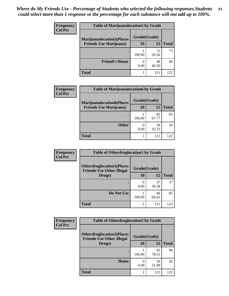| <b>Frequency</b> | <b>Table of Marijuanalocation5 by Grade</b> |              |             |              |
|------------------|---------------------------------------------|--------------|-------------|--------------|
| <b>Col Pct</b>   | <b>Marijuanalocation5(Places</b>            | Grade(Grade) |             |              |
|                  | <b>Friends Use Marijuana</b> )              | 10           | 12          | <b>Total</b> |
|                  |                                             | 100.00       | 72<br>59.50 | 73           |
|                  | <b>Friend's House</b>                       | 0.00         | 49<br>40.50 | 49           |
|                  | <b>Total</b>                                |              | 121         | 122          |

| <b>Frequency</b> | <b>Table of Marijuanalocation6 by Grade</b>                        |                           |             |              |
|------------------|--------------------------------------------------------------------|---------------------------|-------------|--------------|
| <b>Col Pct</b>   | <b>Marijuanalocation6(Places</b><br><b>Friends Use Marijuana</b> ) | Grade(Grade)<br><b>10</b> | 12          | <b>Total</b> |
|                  |                                                                    | 100.00                    | 82<br>67.77 | 83           |
|                  | <b>Other</b>                                                       | 0.00                      | 39<br>32.23 | 39           |
|                  | <b>Total</b>                                                       |                           | 121         | 122          |

| <b>Frequency</b> | <b>Table of Otherdruglocation1 by Grade</b>                          |              |             |              |
|------------------|----------------------------------------------------------------------|--------------|-------------|--------------|
| <b>Col Pct</b>   | <b>Otherdruglocation1(Places</b><br><b>Friends Use Other Illegal</b> | Grade(Grade) |             |              |
|                  | Drugs)                                                               | 10           | 12          | <b>Total</b> |
|                  |                                                                      | 0.00         | 37<br>30.58 | 37           |
|                  | Do Not Use                                                           | 100.00       | 84<br>69.42 | 85           |
|                  | <b>Total</b>                                                         |              | 121         | 122          |

| <b>Frequency</b> | <b>Table of Otherdruglocation2 by Grade</b>                          |                  |             |              |
|------------------|----------------------------------------------------------------------|------------------|-------------|--------------|
| <b>Col Pct</b>   | <b>Otherdruglocation2(Places</b><br><b>Friends Use Other Illegal</b> | Grade(Grade)     |             |              |
|                  | Drugs)                                                               | 10               | 12          | <b>Total</b> |
|                  |                                                                      | 100.00           | 95<br>78.51 | 96           |
|                  | Home                                                                 | $\Omega$<br>0.00 | 26<br>21.49 | 26           |
|                  | <b>Total</b>                                                         |                  | 121         | 122          |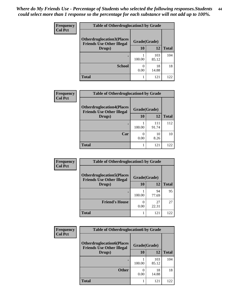| <b>Frequency</b> | <b>Table of Otherdruglocation 3 by Grade</b>                         |              |              |              |
|------------------|----------------------------------------------------------------------|--------------|--------------|--------------|
| <b>Col Pct</b>   | <b>Otherdruglocation3(Places</b><br><b>Friends Use Other Illegal</b> | Grade(Grade) |              |              |
|                  | Drugs)                                                               | 10           | 12           | <b>Total</b> |
|                  |                                                                      | 100.00       | 103<br>85.12 | 104          |
|                  | <b>School</b>                                                        | 0.00         | 18<br>14.88  | 18           |
|                  | <b>Total</b>                                                         |              | 121          | 122          |

| Frequency      | <b>Table of Otherdruglocation4 by Grade</b>                          |              |              |              |
|----------------|----------------------------------------------------------------------|--------------|--------------|--------------|
| <b>Col Pct</b> | <b>Otherdruglocation4(Places</b><br><b>Friends Use Other Illegal</b> | Grade(Grade) |              |              |
|                | Drugs)                                                               | 10           | 12           | <b>Total</b> |
|                |                                                                      | 100.00       | 111<br>91.74 | 112          |
|                | Car                                                                  | 0.00         | 10<br>8.26   | 10           |
|                | <b>Total</b>                                                         |              | 121          | 122          |

| <b>Frequency</b> | <b>Table of Otherdruglocation5 by Grade</b>                          |              |             |              |
|------------------|----------------------------------------------------------------------|--------------|-------------|--------------|
| <b>Col Pct</b>   | <b>Otherdruglocation5(Places</b><br><b>Friends Use Other Illegal</b> | Grade(Grade) |             |              |
|                  | Drugs)                                                               | 10           | 12          | <b>Total</b> |
|                  |                                                                      | 100.00       | 94<br>77.69 | 95           |
|                  | <b>Friend's House</b>                                                | 0.00         | 27<br>22.31 | 27           |
|                  | <b>Total</b>                                                         |              | 121         | 122          |

| <b>Frequency</b> | <b>Table of Otherdruglocation6 by Grade</b>                          |              |              |              |
|------------------|----------------------------------------------------------------------|--------------|--------------|--------------|
| <b>Col Pct</b>   | <b>Otherdruglocation6(Places</b><br><b>Friends Use Other Illegal</b> | Grade(Grade) |              |              |
|                  | Drugs)                                                               | 10           | 12           | <b>Total</b> |
|                  |                                                                      | 100.00       | 103<br>85.12 | 104          |
|                  | <b>Other</b>                                                         | 0.00         | 18<br>14.88  | 18           |
|                  | <b>Total</b>                                                         |              | 121          | 122          |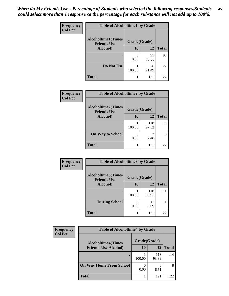| Frequency      | <b>Table of Alcoholtime1 by Grade</b>           |                       |             |              |
|----------------|-------------------------------------------------|-----------------------|-------------|--------------|
| <b>Col Pct</b> | <b>Alcoholtime1(Times</b><br><b>Friends Use</b> | Grade(Grade)          |             |              |
|                | Alcohol)                                        | 10                    | 12          | <b>Total</b> |
|                |                                                 | $\mathcal{L}$<br>0.00 | 95<br>78.51 | 95           |
|                | Do Not Use                                      | 100.00                | 26<br>21.49 | 27           |
|                | <b>Total</b>                                    |                       | 121         | 122          |

| Frequency      | <b>Table of Alcoholtime2 by Grade</b>           |              |              |              |
|----------------|-------------------------------------------------|--------------|--------------|--------------|
| <b>Col Pct</b> | <b>Alcoholtime2(Times</b><br><b>Friends Use</b> | Grade(Grade) |              |              |
|                | Alcohol)                                        | 10           | 12           | <b>Total</b> |
|                |                                                 | 100.00       | 118<br>97.52 | 119          |
|                | <b>On Way to School</b>                         | 0.00         | 3<br>2.48    | 3            |
|                | <b>Total</b>                                    |              | 121          | 122          |

| Frequency      | <b>Table of Alcoholtime3 by Grade</b>           |              |              |              |
|----------------|-------------------------------------------------|--------------|--------------|--------------|
| <b>Col Pct</b> | <b>Alcoholtime3(Times</b><br><b>Friends Use</b> | Grade(Grade) |              |              |
|                | Alcohol)                                        | 10           | 12           | <b>Total</b> |
|                |                                                 | 100.00       | 110<br>90.91 | 111          |
|                | <b>During School</b>                            | 0<br>0.00    | 11<br>9.09   | 11           |
|                | <b>Total</b>                                    |              | 121          | 122          |

| <b>Frequency</b> | <b>Table of Alcoholtime4 by Grade</b> |              |              |              |
|------------------|---------------------------------------|--------------|--------------|--------------|
| <b>Col Pct</b>   | <b>Alcoholtime4(Times</b>             | Grade(Grade) |              |              |
|                  | <b>Friends Use Alcohol)</b>           | 10           | 12           | <b>Total</b> |
|                  |                                       | 100.00       | 113<br>93.39 | 114          |
|                  | <b>On Way Home From School</b>        | 0.00         | 8<br>6.61    | 8            |
|                  | <b>Total</b>                          |              | 121          | 122          |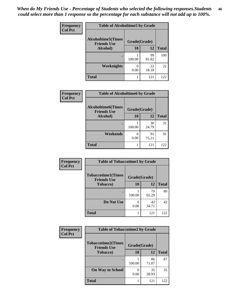*When do My Friends Use - Percentage of Students who selected the following responses.Students could select more than 1 response so the percentage for each substance will not add up to 100%.* **46**

| <b>Frequency</b> | <b>Table of Alcoholtime5 by Grade</b>           |                  |             |              |
|------------------|-------------------------------------------------|------------------|-------------|--------------|
| <b>Col Pct</b>   | <b>Alcoholtime5(Times</b><br><b>Friends Use</b> | Grade(Grade)     |             |              |
|                  | Alcohol)                                        | 10               | 12          | <b>Total</b> |
|                  |                                                 | 100.00           | 99<br>81.82 | 100          |
|                  | Weeknights                                      | $\Omega$<br>0.00 | 22<br>18.18 | 22           |
|                  | <b>Total</b>                                    |                  | 121         | 122          |

| Frequency      | <b>Table of Alcoholtime6 by Grade</b>           |              |             |              |
|----------------|-------------------------------------------------|--------------|-------------|--------------|
| <b>Col Pct</b> | <b>Alcoholtime6(Times</b><br><b>Friends Use</b> | Grade(Grade) |             |              |
|                | Alcohol)                                        | 10           | 12          | <b>Total</b> |
|                | ٠                                               | 100.00       | 30<br>24.79 | 31           |
|                | Weekends                                        | 0.00         | 91<br>75.21 | 91           |
|                | <b>Total</b>                                    |              | 121         | 122          |

| Frequency      | <b>Table of Tobaccotime1 by Grade</b>           |              |             |              |
|----------------|-------------------------------------------------|--------------|-------------|--------------|
| <b>Col Pct</b> | <b>Tobaccotime1(Times</b><br><b>Friends Use</b> | Grade(Grade) |             |              |
|                | <b>Tobacco</b> )                                | 10           | 12          | <b>Total</b> |
|                | ٠                                               | 100.00       | 79<br>65.29 | 80           |
|                | Do Not Use                                      | 0.00         | 42<br>34.71 | 42           |
|                | <b>Total</b>                                    |              | 121         | 122          |

| Frequency      | <b>Table of Tobaccotime2 by Grade</b>           |              |             |              |
|----------------|-------------------------------------------------|--------------|-------------|--------------|
| <b>Col Pct</b> | <b>Tobaccotime2(Times</b><br><b>Friends Use</b> | Grade(Grade) |             |              |
|                | <b>Tobacco</b> )                                | 10           | 12          | <b>Total</b> |
|                |                                                 | 100.00       | 86<br>71.07 | 87           |
|                | <b>On Way to School</b>                         | 0.00         | 35<br>28.93 | 35           |
|                | <b>Total</b>                                    |              | 121         | 122          |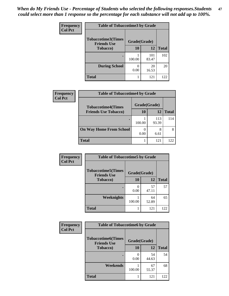| Frequency      | <b>Table of Tobaccotime3 by Grade</b>           |              |              |              |
|----------------|-------------------------------------------------|--------------|--------------|--------------|
| <b>Col Pct</b> | <b>Tobaccotime3(Times</b><br><b>Friends Use</b> | Grade(Grade) |              |              |
|                | <b>Tobacco</b> )                                | 10           | 12           | <b>Total</b> |
|                | ٠                                               | 100.00       | 101<br>83.47 | 102          |
|                | <b>During School</b>                            | 0.00         | 20<br>16.53  | 20           |
|                | <b>Total</b>                                    |              | 121          | 122          |

| <b>Frequency</b> | <b>Table of Tobaccotime4 by Grade</b> |              |              |              |
|------------------|---------------------------------------|--------------|--------------|--------------|
| <b>Col Pct</b>   | <b>Tobaccotime4(Times</b>             | Grade(Grade) |              |              |
|                  | <b>Friends Use Tobacco)</b>           | 10           | 12           | <b>Total</b> |
|                  |                                       | 100.00       | 113<br>93.39 | 114          |
|                  | <b>On Way Home From School</b>        | 0.00         | 8<br>6.61    |              |
|                  | <b>Total</b>                          |              | 121          | 122          |

| Frequency      | <b>Table of Tobaccotime5 by Grade</b>            |              |             |              |
|----------------|--------------------------------------------------|--------------|-------------|--------------|
| <b>Col Pct</b> | <b>Tobaccotime5</b> (Times<br><b>Friends Use</b> | Grade(Grade) |             |              |
|                | <b>Tobacco</b> )                                 | 10           | 12          | <b>Total</b> |
|                |                                                  | 0.00         | 57<br>47.11 | 57           |
|                | <b>Weeknights</b>                                | 100.00       | 64<br>52.89 | 65           |
|                | <b>Total</b>                                     |              | 121         | 122          |

| Frequency      | <b>Table of Tobaccotime6 by Grade</b>           |              |             |              |  |
|----------------|-------------------------------------------------|--------------|-------------|--------------|--|
| <b>Col Pct</b> | <b>Tobaccotime6(Times</b><br><b>Friends Use</b> | Grade(Grade) |             |              |  |
|                | <b>Tobacco</b> )                                | 10           | 12          | <b>Total</b> |  |
|                |                                                 | 0.00         | 54<br>44.63 | 54           |  |
|                | Weekends                                        | 100.00       | 67<br>55.37 | 68           |  |
|                | <b>Total</b>                                    |              | 121         | 122          |  |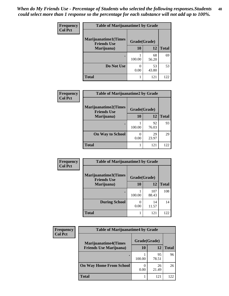| <b>Frequency</b> | <b>Table of Marijuanatime1 by Grade</b>           |              |             |              |
|------------------|---------------------------------------------------|--------------|-------------|--------------|
| <b>Col Pct</b>   | <b>Marijuanatime1(Times</b><br><b>Friends Use</b> | Grade(Grade) |             |              |
|                  | Marijuana)                                        | 10           | 12          | <b>Total</b> |
|                  |                                                   | 100.00       | 68<br>56.20 | 69           |
|                  | Do Not Use                                        | 0.00         | 53<br>43.80 | 53           |
|                  | <b>Total</b>                                      | 1            | 121         | 122          |

| <b>Frequency</b> | <b>Table of Marijuanatime2 by Grade</b>           |              |             |              |
|------------------|---------------------------------------------------|--------------|-------------|--------------|
| <b>Col Pct</b>   | <b>Marijuanatime2(Times</b><br><b>Friends Use</b> | Grade(Grade) |             |              |
|                  | Marijuana)                                        | 10           | 12          | <b>Total</b> |
|                  |                                                   | 100.00       | 92<br>76.03 | 93           |
|                  | <b>On Way to School</b>                           | 0<br>0.00    | 29<br>23.97 | 29           |
|                  | <b>Total</b>                                      |              | 121         | 122          |

| <b>Frequency</b><br><b>Col Pct</b> | <b>Table of Marijuanatime3 by Grade</b>    |              |              |              |  |
|------------------------------------|--------------------------------------------|--------------|--------------|--------------|--|
|                                    | Marijuanatime3(Times<br><b>Friends Use</b> | Grade(Grade) |              |              |  |
|                                    | Marijuana)                                 | 10           | 12           | <b>Total</b> |  |
|                                    |                                            | 100.00       | 107<br>88.43 | 108          |  |
|                                    | <b>During School</b>                       | 0.00         | 14<br>11.57  | 14           |  |
|                                    | Total                                      |              | 121          | 122          |  |

| <b>Frequency</b><br><b>Col Pct</b> | <b>Table of Marijuanatime4 by Grade</b> |              |             |       |
|------------------------------------|-----------------------------------------|--------------|-------------|-------|
|                                    | <b>Marijuanatime4(Times</b>             | Grade(Grade) |             |       |
|                                    | <b>Friends Use Marijuana</b> )          | 10           | 12          | Total |
|                                    |                                         | 100.00       | 95<br>78.51 | 96    |
|                                    | <b>On Way Home From School</b>          | 0.00         | 26<br>21.49 | 26    |
|                                    | <b>Total</b>                            |              | 121         | 122   |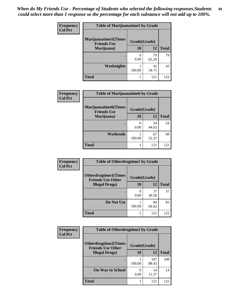| Frequency<br><b>Col Pct</b> | <b>Table of Marijuanatime5 by Grade</b>            |              |             |              |
|-----------------------------|----------------------------------------------------|--------------|-------------|--------------|
|                             | <b>Marijuanatime5</b> (Times<br><b>Friends Use</b> | Grade(Grade) |             |              |
|                             | Marijuana)                                         | 10           | 12          | <b>Total</b> |
|                             |                                                    | 0.00         | 79<br>65.29 | 79           |
|                             | Weeknights                                         | 100.00       | 42<br>34.71 | 43           |
|                             | <b>Total</b>                                       |              | 121         | 122          |

| Frequency      | <b>Table of Marijuanatime6 by Grade</b>            |                       |             |              |  |
|----------------|----------------------------------------------------|-----------------------|-------------|--------------|--|
| <b>Col Pct</b> | <b>Marijuanatime6</b> (Times<br><b>Friends Use</b> | Grade(Grade)          |             |              |  |
|                | Marijuana)                                         | 10                    | 12          | <b>Total</b> |  |
|                |                                                    | $\mathcal{O}$<br>0.00 | 54<br>44.63 | 54           |  |
|                | Weekends                                           | 100.00                | 67<br>55.37 | 68           |  |
|                | <b>Total</b>                                       |                       | 121         | 122          |  |

| Frequency      | <b>Table of Otherdrugtime1 by Grade</b>                 |              |             |              |
|----------------|---------------------------------------------------------|--------------|-------------|--------------|
| <b>Col Pct</b> | <b>Otherdrugtime1(Times</b><br><b>Friends Use Other</b> | Grade(Grade) |             |              |
|                | <b>Illegal Drugs</b> )                                  | 10           | 12          | <b>Total</b> |
|                |                                                         | 0<br>0.00    | 37<br>30.58 | 37           |
|                | Do Not Use                                              | 100.00       | 84<br>69.42 | 85           |
|                | Total                                                   |              | 121         | 122          |

| Frequency      | <b>Table of Otherdrugtime2 by Grade</b>                 |              |              |              |  |  |
|----------------|---------------------------------------------------------|--------------|--------------|--------------|--|--|
| <b>Col Pct</b> | <b>Otherdrugtime2(Times</b><br><b>Friends Use Other</b> | Grade(Grade) |              |              |  |  |
|                | <b>Illegal Drugs</b> )                                  |              | 12           | <b>Total</b> |  |  |
|                |                                                         | 100.00       | 107<br>88.43 | 108          |  |  |
|                | <b>On Way to School</b>                                 | 0.00         | 14<br>11.57  | 14           |  |  |
|                | Total                                                   |              | 121          | 122          |  |  |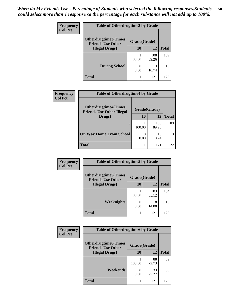| <b>Frequency</b> | <b>Table of Otherdrugtime3 by Grade</b>          |              |              |              |  |  |
|------------------|--------------------------------------------------|--------------|--------------|--------------|--|--|
| <b>Col Pct</b>   | Otherdrugtime3(Times<br><b>Friends Use Other</b> | Grade(Grade) |              |              |  |  |
|                  | <b>Illegal Drugs</b> )                           | 10           | 12           | <b>Total</b> |  |  |
|                  |                                                  | 100.00       | 108<br>89.26 | 109          |  |  |
|                  | <b>During School</b>                             | 0.00         | 13<br>10.74  | 13           |  |  |
|                  | Total                                            |              | 121          | 122          |  |  |

| <b>Frequency</b> | <b>Table of Otherdrugtime4 by Grade</b>                         |              |              |              |  |  |
|------------------|-----------------------------------------------------------------|--------------|--------------|--------------|--|--|
| <b>Col Pct</b>   | <b>Otherdrugtime4(Times</b><br><b>Friends Use Other Illegal</b> | Grade(Grade) |              |              |  |  |
|                  | Drugs)                                                          | 10           | 12           | <b>Total</b> |  |  |
|                  | $\bullet$                                                       | 100.00       | 108<br>89.26 | 109          |  |  |
|                  | <b>On Way Home From School</b>                                  | 0.00         | 13<br>10.74  | 13           |  |  |
|                  | <b>Total</b>                                                    |              | 121          | 122          |  |  |

| Frequency      | <b>Table of Otherdrugtime5 by Grade</b>                  |              |              |              |  |  |
|----------------|----------------------------------------------------------|--------------|--------------|--------------|--|--|
| <b>Col Pct</b> | <b>Otherdrugtime5</b> (Times<br><b>Friends Use Other</b> | Grade(Grade) |              |              |  |  |
|                | <b>Illegal Drugs</b> )                                   | 10           | 12           | <b>Total</b> |  |  |
|                |                                                          | 100.00       | 103<br>85.12 | 104          |  |  |
|                | Weeknights                                               | 0.00         | 18<br>14.88  | 18           |  |  |
|                | Total                                                    |              | 121          | 122          |  |  |

| Frequency      | <b>Table of Otherdrugtime6 by Grade</b>                 |              |             |              |  |  |
|----------------|---------------------------------------------------------|--------------|-------------|--------------|--|--|
| <b>Col Pct</b> | <b>Otherdrugtime6(Times</b><br><b>Friends Use Other</b> | Grade(Grade) |             |              |  |  |
|                | <b>Illegal Drugs</b> )                                  | 10           | 12          | <b>Total</b> |  |  |
|                |                                                         | 100.00       | 88<br>72.73 | 89           |  |  |
|                | Weekends                                                | 0.00         | 33<br>27.27 | 33           |  |  |
|                | Total                                                   |              | 121         | 122          |  |  |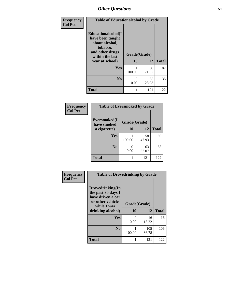| Frequency      | <b>Table of Educationalcohol by Grade</b>                                                                  |              |             |              |  |
|----------------|------------------------------------------------------------------------------------------------------------|--------------|-------------|--------------|--|
| <b>Col Pct</b> | Educationalcohol(I<br>have been taught<br>about alcohol,<br>tobacco,<br>and other drugs<br>within the last | Grade(Grade) |             |              |  |
|                | year at school)                                                                                            | 10           | 12          | <b>Total</b> |  |
|                | <b>Yes</b>                                                                                                 | 100.00       | 86<br>71.07 | 87           |  |
|                | N <sub>0</sub>                                                                                             | 0<br>0.00    | 35<br>28.93 | 35           |  |
|                | <b>Total</b>                                                                                               | 1            | 121         | 122          |  |

| Frequency      | <b>Table of Eversmoked by Grade</b> |              |             |              |  |  |
|----------------|-------------------------------------|--------------|-------------|--------------|--|--|
| <b>Col Pct</b> | Eversmoked(I<br>have smoked         | Grade(Grade) |             |              |  |  |
|                | a cigarette)                        | 10           | 12          | <b>Total</b> |  |  |
|                | <b>Yes</b>                          | 100.00       | 58<br>47.93 | 59           |  |  |
|                | N <sub>0</sub>                      | 0.00         | 63<br>52.07 | 63           |  |  |
|                | <b>Total</b>                        |              | 121         | 122          |  |  |

| Frequency      | <b>Table of Drovedrinking by Grade</b>                                                                              |                          |              |              |  |
|----------------|---------------------------------------------------------------------------------------------------------------------|--------------------------|--------------|--------------|--|
| <b>Col Pct</b> | Drovedrinking(In<br>the past 30 days I<br>have driven a car<br>or other vehicle<br>while I was<br>drinking alcohol) | Grade(Grade)<br>12<br>10 |              | <b>Total</b> |  |
|                | Yes                                                                                                                 | $\mathbf{0}$<br>0.00     | 16<br>13.22  | 16           |  |
|                | N <sub>0</sub>                                                                                                      | 100.00                   | 105<br>86.78 | 106          |  |
|                | <b>Total</b>                                                                                                        |                          | 121          | 122          |  |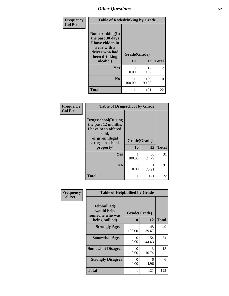| Frequency<br><b>Col Pct</b> | <b>Table of Rodedrinking by Grade</b>                                                                                  |                    |              |     |  |
|-----------------------------|------------------------------------------------------------------------------------------------------------------------|--------------------|--------------|-----|--|
|                             | Rodedrinking(In<br>the past 30 days<br>I have ridden in<br>a car with a<br>driver who had<br>been drinking<br>alcohol) | Grade(Grade)<br>10 | <b>Total</b> |     |  |
|                             |                                                                                                                        |                    | 12           |     |  |
|                             | <b>Yes</b>                                                                                                             | 0<br>0.00          | 12<br>9.92   | 12  |  |
|                             | N <sub>0</sub>                                                                                                         | 100.00             | 109<br>90.08 | 110 |  |
|                             | <b>Total</b>                                                                                                           |                    | 121          | 122 |  |

#### **Frequency Col Pct**

Л

| <b>Table of Drugsschool by Grade</b>                                                                                                   |                    |             |              |  |  |  |
|----------------------------------------------------------------------------------------------------------------------------------------|--------------------|-------------|--------------|--|--|--|
| <b>Drugsschool</b> (During<br>the past 12 months,<br>I have been offered,<br>sold,<br>or given illegal<br>drugs on school<br>property) | Grade(Grade)<br>10 | 12          | <b>Total</b> |  |  |  |
| Yes                                                                                                                                    | 1<br>100.00        | 30<br>24.79 | 31           |  |  |  |
| N <sub>0</sub>                                                                                                                         | 0<br>0.00          | 91<br>75.21 | 91           |  |  |  |
| <b>Total</b>                                                                                                                           | 1                  | 121         | 122          |  |  |  |

| Frequency      | <b>Table of Helpbullied by Grade</b>                             |                                 |             |              |  |
|----------------|------------------------------------------------------------------|---------------------------------|-------------|--------------|--|
| <b>Col Pct</b> | Helpbullied(I<br>would help<br>someone who was<br>being bullied) | Grade(Grade)<br><b>10</b><br>12 |             | <b>Total</b> |  |
|                | <b>Strongly Agree</b>                                            | 100.00                          | 48<br>39.67 | 49           |  |
|                | <b>Somewhat Agree</b>                                            | $\mathbf{\Omega}$<br>0.00       | 54<br>44.63 | 54           |  |
|                | <b>Somewhat Disagree</b>                                         | 0<br>0.00                       | 13<br>10.74 | 13           |  |
|                | <b>Strongly Disagree</b>                                         | 0<br>0.00                       | 6<br>4.96   | 6            |  |
|                | Total                                                            |                                 | 121         | 122          |  |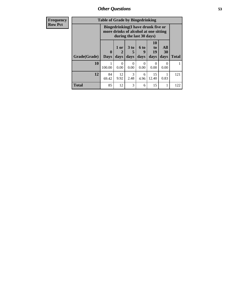*Other Questions* **53**

| <b>Frequency</b> | <b>Table of Grade by Bingedrinking</b> |                             |                    |                       |                          |                                                                             |                   |              |
|------------------|----------------------------------------|-----------------------------|--------------------|-----------------------|--------------------------|-----------------------------------------------------------------------------|-------------------|--------------|
| <b>Row Pct</b>   |                                        |                             |                    |                       | during the last 30 days) | Bingedrinking(I have drunk five or<br>more drinks of alcohol at one sitting |                   |              |
|                  | Grade(Grade)                           | $\mathbf{0}$<br><b>Days</b> | $1$ or $ $<br>days | 3 to<br>days          | <b>6 to</b><br>9<br>days | <b>10</b><br>to<br>19<br>days                                               | All<br>30<br>days | <b>Total</b> |
|                  | 10                                     | 100.00                      | 0<br>0.00          | $\Omega$<br>0.00      | 0<br>0.00                | 0<br>0.00                                                                   | 0<br>0.00         |              |
|                  | 12                                     | 84<br>69.42                 | 12<br>9.92         | $\mathcal{R}$<br>2.48 | 6<br>4.96                | 15<br>12.40                                                                 | 0.83              | 121          |
|                  | <b>Total</b>                           | 85                          | 12                 | 3                     | 6                        | 15                                                                          | 1                 | 122          |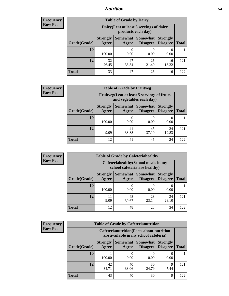## *Nutrition* **54**

| <b>Frequency</b> |
|------------------|
| <b>Row Pct</b>   |

| <b>Table of Grade by Dairy</b> |                          |                                                                 |                             |                                    |              |  |
|--------------------------------|--------------------------|-----------------------------------------------------------------|-----------------------------|------------------------------------|--------------|--|
|                                |                          | Dairy (I eat at least 3 servings of dairy<br>products each day) |                             |                                    |              |  |
| Grade(Grade)                   | <b>Strongly</b><br>Agree | Somewhat  <br>Agree                                             | <b>Somewhat</b><br>Disagree | <b>Strongly</b><br><b>Disagree</b> | <b>Total</b> |  |
| 10                             | 100.00                   | 0.00                                                            | 0.00                        | 0.00                               |              |  |
| 12                             | 32<br>26.45              | 47<br>38.84                                                     | 26<br>21.49                 | 16<br>13.22                        | 121          |  |
| <b>Total</b>                   | 33                       | 47                                                              | 26                          | 16                                 | 122          |  |

| <b>Frequency</b> |
|------------------|
| <b>Row Pct</b>   |

| <b>Table of Grade by Fruitveg</b>                                        |                          |             |                                        |                                    |              |
|--------------------------------------------------------------------------|--------------------------|-------------|----------------------------------------|------------------------------------|--------------|
| Fruitveg(I eat at least 5 servings of fruits<br>and vegetables each day) |                          |             |                                        |                                    |              |
| Grade(Grade)                                                             | <b>Strongly</b><br>Agree | Agree       | <b>Somewhat   Somewhat</b><br>Disagree | <b>Strongly</b><br><b>Disagree</b> | <b>Total</b> |
| 10                                                                       | 100.00                   | 0.00        | 0<br>0.00                              | 0.00                               |              |
| 12                                                                       | 11<br>9.09               | 41<br>33.88 | 45<br>37.19                            | 24<br>19.83                        | 121          |
| <b>Total</b>                                                             | 12                       | 41          | 45                                     | 24                                 | 122          |

| <b>Frequency</b> | <b>Table of Grade by Cafeteriahealthy</b> |                                                                       |                     |                             |                                    |              |
|------------------|-------------------------------------------|-----------------------------------------------------------------------|---------------------|-----------------------------|------------------------------------|--------------|
| <b>Row Pct</b>   |                                           | Cafeteriahealthy (School meals in my<br>school cafeteria are healthy) |                     |                             |                                    |              |
|                  | Grade(Grade)                              | <b>Strongly</b><br>Agree                                              | Somewhat  <br>Agree | Somewhat<br><b>Disagree</b> | <b>Strongly</b><br><b>Disagree</b> | <b>Total</b> |
|                  | <b>10</b>                                 | 100.00                                                                | $\theta$<br>0.00    | 0.00                        | 0.00                               |              |
|                  | 12                                        | 11<br>9.09                                                            | 48<br>39.67         | 28<br>23.14                 | 34<br>28.10                        | 121          |
|                  | Total                                     | 12                                                                    | 48                  | 28                          | 34                                 | 122          |

| <b>Frequency</b> |
|------------------|
| <b>Row Pct</b>   |

| <b>Table of Grade by Cafeterianutrition</b> |                                                                                           |                   |                 |                                        |              |  |
|---------------------------------------------|-------------------------------------------------------------------------------------------|-------------------|-----------------|----------------------------------------|--------------|--|
|                                             | <b>Cafeterianutrition</b> (Facts about nutrition<br>are available in my school cafeteria) |                   |                 |                                        |              |  |
| Grade(Grade)                                | <b>Strongly</b><br>Agree                                                                  | Somewhat<br>Agree | <b>Somewhat</b> | <b>Strongly</b><br>Disagree   Disagree | <b>Total</b> |  |
| 10                                          | 100.00                                                                                    | 0.00              | 0.00            | 0.00                                   |              |  |
| 12                                          | 42<br>34.71                                                                               | 40<br>33.06       | 30<br>24.79     | 9<br>7.44                              | 121          |  |
| <b>Total</b>                                | 43                                                                                        | 40                | 30              | 9                                      | 122          |  |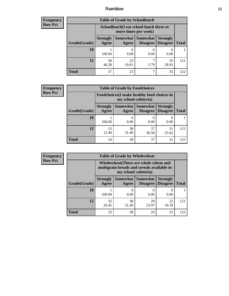## *Nutrition* **55**

| Frequency      |
|----------------|
| <b>Row Pct</b> |

| <b>Table of Grade by Schoollunch</b> |                          |                                                                 |                                   |                                    |              |  |
|--------------------------------------|--------------------------|-----------------------------------------------------------------|-----------------------------------|------------------------------------|--------------|--|
|                                      |                          | Schoollunch(I eat school lunch three or<br>more times per week) |                                   |                                    |              |  |
| Grade(Grade)                         | <b>Strongly</b><br>Agree | Agree                                                           | Somewhat   Somewhat  <br>Disagree | <b>Strongly</b><br><b>Disagree</b> | <b>Total</b> |  |
| 10                                   | 100.00                   | 0.00                                                            | 0.00                              | 0.00                               |              |  |
| 12                                   | 56<br>46.28              | 23<br>19.01                                                     | ┑<br>5.79                         | 35<br>28.93                        | 121          |  |
| <b>Total</b>                         | 57                       | 23                                                              | ┑                                 | 35                                 | 122          |  |

| <b>Frequency</b> |  |
|------------------|--|
| <b>Row Pct</b>   |  |

| <b>Table of Grade by Foodchoices</b>                                       |                          |             |                                   |                                    |              |
|----------------------------------------------------------------------------|--------------------------|-------------|-----------------------------------|------------------------------------|--------------|
| <b>Foodchoices</b> (I make healthy food choices in<br>my school cafeteria) |                          |             |                                   |                                    |              |
| Grade(Grade)                                                               | <b>Strongly</b><br>Agree | Agree       | Somewhat   Somewhat  <br>Disagree | <b>Strongly</b><br><b>Disagree</b> | <b>Total</b> |
| 10                                                                         | 100.00                   | 0.00        | 0.00                              | 0.00                               |              |
| 12                                                                         | 15<br>12.40              | 38<br>31.40 | 37<br>30.58                       | 31<br>25.62                        | 121          |
| Total                                                                      | 16                       | 38          | 37                                | 31                                 | 122          |

| Frequency      | Tab          |
|----------------|--------------|
| <b>Row Pct</b> | Wh<br>mult   |
|                | <b>Stron</b> |

٠

| <b>Table of Grade by Wholewheat</b> |                          |                                                                                                             |                 |                                        |              |  |
|-------------------------------------|--------------------------|-------------------------------------------------------------------------------------------------------------|-----------------|----------------------------------------|--------------|--|
|                                     |                          | Wholewheat (There are whole wheat and<br>multigrain breads and cereals available in<br>my school cafeteria) |                 |                                        |              |  |
| Grade(Grade)                        | <b>Strongly</b><br>Agree | Somewhat<br>Agree                                                                                           | <b>Somewhat</b> | <b>Strongly</b><br>Disagree   Disagree | <b>Total</b> |  |
| 10                                  | 100.00                   | 0.00                                                                                                        | 0.00            | 0.00                                   |              |  |
| 12                                  | 32<br>26.45              | 38<br>31.40                                                                                                 | 29<br>23.97     | 22<br>18.18                            | 121          |  |
| <b>Total</b>                        | 33                       | 38                                                                                                          | 29              | 22                                     | 122          |  |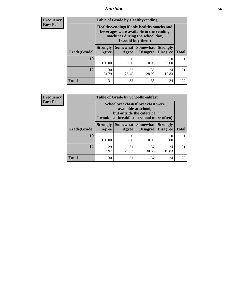## *Nutrition* **56**

**Frequency Row Pct**

| <b>Table of Grade by Healthyvending</b> |                                                                                                                                               |                          |                                    |                                    |              |  |
|-----------------------------------------|-----------------------------------------------------------------------------------------------------------------------------------------------|--------------------------|------------------------------------|------------------------------------|--------------|--|
|                                         | Healthyvending (If only healthy snacks and<br>beverages were available in the vending<br>machines during the school day,<br>I would buy them) |                          |                                    |                                    |              |  |
| Grade(Grade)                            | <b>Strongly</b><br>Agree                                                                                                                      | <b>Somewhat</b><br>Agree | <b>Somewhat</b><br><b>Disagree</b> | <b>Strongly</b><br><b>Disagree</b> | <b>Total</b> |  |
| 10                                      | 100.00                                                                                                                                        | $\mathcal{O}$<br>0.00    | 0<br>0.00                          | 0<br>0.00                          |              |  |
| 12                                      | 30<br>24.79                                                                                                                                   | 32<br>26.45              | 35<br>28.93                        | 24<br>19.83                        | 121          |  |
| <b>Total</b>                            | 31                                                                                                                                            | 32                       | 35                                 | 24                                 | 122          |  |

**Frequency Row Pct**

| <b>Table of Grade by Schoolbreakfast</b> |                                                                                                                                         |             |                                            |                 |              |  |
|------------------------------------------|-----------------------------------------------------------------------------------------------------------------------------------------|-------------|--------------------------------------------|-----------------|--------------|--|
|                                          | Schoolbreakfast (If breakfast were<br>available at school,<br>but outside the cafeteria,<br>I would eat breakfast at school more often) |             |                                            |                 |              |  |
| Grade(Grade)                             | <b>Strongly</b><br>Agree                                                                                                                | Agree       | Somewhat   Somewhat<br>Disagree   Disagree | <b>Strongly</b> | <b>Total</b> |  |
| 10                                       | 100.00                                                                                                                                  | 0.00        | 0<br>0.00                                  | 0.00            |              |  |
| 12                                       | 29<br>23.97                                                                                                                             | 31<br>25.62 | 37<br>30.58                                | 24<br>19.83     | 121          |  |
| <b>Total</b>                             | 30                                                                                                                                      | 31          | 37                                         | 24              | 122          |  |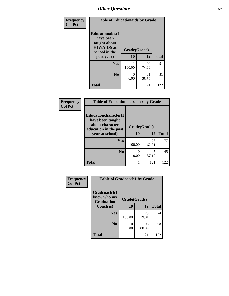| Frequency<br><b>Col Pct</b> | <b>Table of Educationaids by Grade</b>                                                                    |                    |             |              |
|-----------------------------|-----------------------------------------------------------------------------------------------------------|--------------------|-------------|--------------|
|                             | <b>Educationaids</b> (I<br>have been<br>taught about<br><b>HIV/AIDS</b> at<br>school in the<br>past year) | Grade(Grade)<br>10 | 12          | <b>Total</b> |
|                             | <b>Yes</b>                                                                                                | 100.00             | 90<br>74.38 | 91           |
|                             | N <sub>0</sub>                                                                                            | 0<br>0.00          | 31<br>25.62 | 31           |
|                             | <b>Total</b>                                                                                              |                    | 121         | 122          |

| Frequency      | <b>Table of Educationcharacter by Grade</b> |              |             |              |
|----------------|---------------------------------------------|--------------|-------------|--------------|
| <b>Col Pct</b> | Educationcharacter(I<br>have been taught    |              |             |              |
|                | about character<br>education in the past    | Grade(Grade) |             |              |
|                | year at school)                             | 10           | 12          | <b>Total</b> |
|                | <b>Yes</b>                                  | 100.00       | 76<br>62.81 | 77           |
|                | N <sub>0</sub>                              | 0.00         | 45<br>37.19 | 45           |
|                | <b>Total</b>                                |              | 121         | 122          |

| Frequency      | <b>Table of Gradcoach1 by Grade</b>              |              |             |              |
|----------------|--------------------------------------------------|--------------|-------------|--------------|
| <b>Col Pct</b> | Gradcoach1(I<br>know who my<br><b>Graduation</b> | Grade(Grade) |             |              |
|                | Coach is)                                        | 10           | 12          | <b>Total</b> |
|                | <b>Yes</b>                                       | 100.00       | 23<br>19.01 | 24           |
|                | N <sub>0</sub>                                   | 0<br>0.00    | 98<br>80.99 | 98           |
|                | <b>Total</b>                                     |              | 121         | 122          |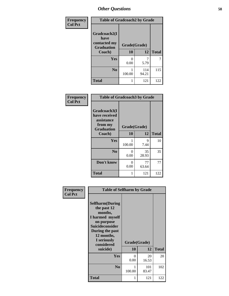| Frequency      | <b>Table of Gradcoach2 by Grade</b> |              |              |              |
|----------------|-------------------------------------|--------------|--------------|--------------|
| <b>Col Pct</b> |                                     |              |              |              |
|                | Gradcoach2(I<br>have                |              |              |              |
|                | contacted my<br><b>Graduation</b>   | Grade(Grade) |              |              |
|                | Coach)                              | 10           | 12           | <b>Total</b> |
|                | Yes                                 | 0<br>0.00    | 5.79         |              |
|                | N <sub>0</sub>                      | 100.00       | 114<br>94.21 | 115          |
|                | <b>Total</b>                        |              | 121          | 122          |

| Frequency<br><b>Col Pct</b> | <b>Table of Gradcoach3 by Grade</b>                                         |              |             |              |  |
|-----------------------------|-----------------------------------------------------------------------------|--------------|-------------|--------------|--|
|                             | Gradcoach3(I<br>have received<br>assistance<br>from my<br><b>Graduation</b> | Grade(Grade) |             |              |  |
|                             | Coach)                                                                      | 10           | 12          | <b>Total</b> |  |
|                             | Yes                                                                         | 100.00       | 9<br>7.44   | 10           |  |
|                             | N <sub>0</sub>                                                              | 0<br>0.00    | 35<br>28.93 | 35           |  |
|                             | Don't know                                                                  | 0<br>0.00    | 77<br>63.64 | 77           |  |
|                             | <b>Total</b>                                                                | 1            | 121         | 122          |  |

| Frequency<br><b>Col Pct</b> | <b>Table of Selfharm by Grade</b>                                                                                                                                          |              |              |              |
|-----------------------------|----------------------------------------------------------------------------------------------------------------------------------------------------------------------------|--------------|--------------|--------------|
|                             | <b>Selfharm</b> (During<br>the past 12<br>months,<br>I harmed myself<br>on purpose<br><b>Suicideconsider</b><br>During the past<br>12 months,<br>I seriously<br>considered | Grade(Grade) |              |              |
|                             | suicide)                                                                                                                                                                   | 10           | 12           | <b>Total</b> |
|                             | Yes                                                                                                                                                                        | 0<br>0.00    | 20<br>16.53  | 20           |
|                             | N <sub>0</sub>                                                                                                                                                             | 100.00       | 101<br>83.47 | 102          |
|                             | Total                                                                                                                                                                      | 1            | 121          | 122          |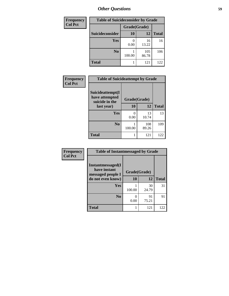| <b>Frequency</b> | <b>Table of Suicideconsider by Grade</b> |              |              |              |
|------------------|------------------------------------------|--------------|--------------|--------------|
| <b>Col Pct</b>   |                                          | Grade(Grade) |              |              |
|                  | Suicideconsider                          | <b>10</b>    | 12           | <b>Total</b> |
|                  | Yes                                      | 0.00         | 16<br>13.22  | 16           |
|                  | N <sub>0</sub>                           | 100.00       | 105<br>86.78 | 106          |
|                  | <b>Total</b>                             |              | 121          | 122          |

| Frequency      | <b>Table of Suicideattempt by Grade</b>              |              |              |              |
|----------------|------------------------------------------------------|--------------|--------------|--------------|
| <b>Col Pct</b> | Suicideattempt(I<br>have attempted<br>suicide in the | Grade(Grade) |              |              |
|                | last year)                                           | 10           | 12           | <b>Total</b> |
|                | Yes                                                  | 0<br>0.00    | 13<br>10.74  | 13           |
|                | N <sub>0</sub>                                       | 100.00       | 108<br>89.26 | 109          |
|                | <b>Total</b>                                         |              | 121          | 122          |

| Frequency      | <b>Table of Instantmessaged by Grade</b>               |              |             |              |
|----------------|--------------------------------------------------------|--------------|-------------|--------------|
| <b>Col Pct</b> | Instantmessaged(I<br>have instant<br>messaged people I | Grade(Grade) |             |              |
|                | do not even know)                                      | 10           | 12          | <b>Total</b> |
|                | Yes                                                    | 100.00       | 30<br>24.79 | 31           |
|                | N <sub>0</sub>                                         | 0<br>0.00    | 91<br>75.21 | 91           |
|                | <b>Total</b>                                           |              | 121         | 122          |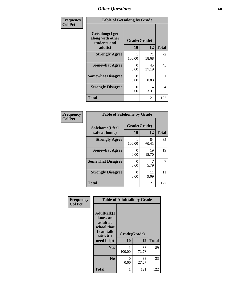| Frequency      |                                                             | <b>Table of Getsalong by Grade</b> |             |              |  |  |  |
|----------------|-------------------------------------------------------------|------------------------------------|-------------|--------------|--|--|--|
| <b>Col Pct</b> | <b>Getsalong</b> (I get<br>along with other<br>students and | Grade(Grade)<br>10                 |             | <b>Total</b> |  |  |  |
|                | adults)                                                     |                                    | 12          |              |  |  |  |
|                | <b>Strongly Agree</b>                                       | 100.00                             | 71<br>58.68 | 72           |  |  |  |
|                | <b>Somewhat Agree</b>                                       | 0<br>0.00                          | 45<br>37.19 | 45           |  |  |  |
|                | <b>Somewhat Disagree</b>                                    | 0<br>0.00                          | 0.83        |              |  |  |  |
|                | <b>Strongly Disagree</b>                                    | 0<br>0.00                          | 4<br>3.31   | 4            |  |  |  |
|                | Total                                                       |                                    | 121         | 122          |  |  |  |

| Frequency      |                                  | <b>Table of Safehome by Grade</b> |             |              |  |  |
|----------------|----------------------------------|-----------------------------------|-------------|--------------|--|--|
| <b>Col Pct</b> | Safehome(I feel<br>safe at home) | Grade(Grade)<br><b>10</b>         | 12          | <b>Total</b> |  |  |
|                | <b>Strongly Agree</b>            | 100.00                            | 84<br>69.42 | 85           |  |  |
|                | <b>Somewhat Agree</b>            | 0.00                              | 19<br>15.70 | 19           |  |  |
|                | <b>Somewhat Disagree</b>         | 0.00                              | 5.79        |              |  |  |
|                | <b>Strongly Disagree</b>         | 0.00                              | 11<br>9.09  | 11           |  |  |
|                | <b>Total</b>                     |                                   | 121         | 122          |  |  |

| Frequency      | <b>Table of Adulttalk by Grade</b>                                                   |              |             |              |  |  |  |
|----------------|--------------------------------------------------------------------------------------|--------------|-------------|--------------|--|--|--|
| <b>Col Pct</b> | <b>Adulttalk</b> (I<br>know an<br>adult at<br>school that<br>I can talk<br>with if I | Grade(Grade) |             |              |  |  |  |
|                | need help)                                                                           | 10           | 12          | <b>Total</b> |  |  |  |
|                | <b>Yes</b>                                                                           | 100.00       | 88<br>72.73 | 89           |  |  |  |
|                | N <sub>0</sub>                                                                       | 0<br>0.00    | 33<br>27.27 | 33           |  |  |  |
|                | <b>Total</b>                                                                         |              | 121         | 122          |  |  |  |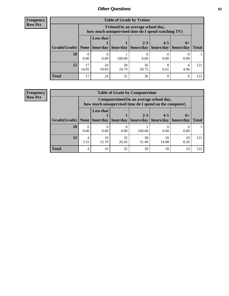**Frequency Row Pct**

| <b>Table of Grade by Tytime</b> |             |                                                                                         |             |                                                                    |         |           |              |  |  |  |
|---------------------------------|-------------|-----------------------------------------------------------------------------------------|-------------|--------------------------------------------------------------------|---------|-----------|--------------|--|--|--|
|                                 |             | Tytime (On an average school day,<br>how much unsupervised time do I spend watching TV) |             |                                                                    |         |           |              |  |  |  |
| Grade(Grade)   None             |             | <b>Less that</b>                                                                        |             | $2 - 3$<br>hour/day   hour/day   hours/day   hours/day   hours/day | $4 - 5$ | $6+$      | <b>Total</b> |  |  |  |
| <b>10</b>                       | 0<br>0.00   | 0.00                                                                                    | 100.00      | 0.00                                                               | 0.00    | 0.00      |              |  |  |  |
| 12                              | 17<br>14.05 | 24<br>19.83                                                                             | 30<br>24.79 | 36<br>29.75                                                        | 6.61    | h<br>4.96 | 121          |  |  |  |
| <b>Total</b>                    | 17          | 24                                                                                      | 31          | 36                                                                 | 8       | 6         | 122          |  |  |  |

**Frequency Row Pct**

| <b>Table of Grade by Computertime</b> |           |                                                                                                   |             |                      |                      |                   |              |  |
|---------------------------------------|-----------|---------------------------------------------------------------------------------------------------|-------------|----------------------|----------------------|-------------------|--------------|--|
|                                       |           | Computertime (On an average school day,<br>how much unsupervised time do I spend on the computer) |             |                      |                      |                   |              |  |
| Grade(Grade)                          | None      | <b>Less that</b><br>hour/day                                                                      | hour/day    | $2 - 3$<br>hours/day | $4 - 5$<br>hours/day | $6+$<br>hours/day | <b>Total</b> |  |
| 10                                    | 0.00      | 0<br>0.00                                                                                         | 0.00        | 100.00               | 0.00                 | 0.00              |              |  |
| 12                                    | 4<br>3.31 | 19<br>15.70                                                                                       | 32<br>26.45 | 38<br>31.40          | 18<br>14.88          | 10<br>8.26        | 121          |  |
| <b>Total</b>                          | 4         | 19                                                                                                | 32          | 39                   | 18                   | 10                | 122.         |  |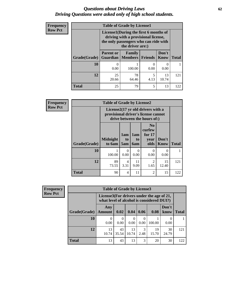### *Questions about Driving Laws* **62** *Driving Questions were asked only of high school students.*

| <b>Frequency</b> |              | <b>Table of Grade by License1</b>                                                                                                         |                                               |                       |                      |              |
|------------------|--------------|-------------------------------------------------------------------------------------------------------------------------------------------|-----------------------------------------------|-----------------------|----------------------|--------------|
| <b>Row Pct</b>   |              | License1(During the first 6 months of<br>driving with a provisional license,<br>the only passengers who can ride with<br>the driver are:) |                                               |                       |                      |              |
|                  | Grade(Grade) | <b>Parent or</b>                                                                                                                          | Family<br><b>Guardian   Members   Friends</b> |                       | Don't<br><b>Know</b> | <b>Total</b> |
|                  | 10           | $\mathcal{O}$<br>0.00                                                                                                                     | 100.00                                        | $\mathcal{O}$<br>0.00 | $\mathbf{0}$<br>0.00 |              |
|                  | 12           | 25<br>20.66                                                                                                                               | 78<br>64.46                                   | 5<br>4.13             | 13<br>10.74          | 121          |
|                  | <b>Total</b> | 25                                                                                                                                        | 79                                            | 5                     | 13                   | 122          |

| Frequency      |              |                                                                                                          | <b>Table of Grade by License2</b> |                  |                                                      |                      |              |  |
|----------------|--------------|----------------------------------------------------------------------------------------------------------|-----------------------------------|------------------|------------------------------------------------------|----------------------|--------------|--|
| <b>Row Pct</b> |              | License2(17 yr old drivers with a<br>provisional driver's license cannot<br>drive between the hours of:) |                                   |                  |                                                      |                      |              |  |
|                | Grade(Grade) | <b>Midnight</b><br>to 6am                                                                                | 1am<br>to<br>5am                  | 1am<br>to<br>6am | N <sub>0</sub><br>curfew<br>for $17$<br>year<br>olds | Don't<br><b>Know</b> | <b>Total</b> |  |
|                | 10           | 100.00                                                                                                   | $\Omega$<br>0.00                  | $\Omega$<br>0.00 | 0<br>0.00                                            | 0<br>0.00            |              |  |
|                | 12           | 89<br>73.55                                                                                              | $\overline{4}$<br>3.31            | 11<br>9.09       | $\overline{c}$<br>1.65                               | 15<br>12.40          | 121          |  |
|                | <b>Total</b> | 90                                                                                                       | 4                                 | 11               | $\overline{2}$                                       | 15                   | 122          |  |

| <b>Frequency</b> |              | <b>Table of Grade by License3</b> |                                                                                        |             |                  |             |                  |              |
|------------------|--------------|-----------------------------------|----------------------------------------------------------------------------------------|-------------|------------------|-------------|------------------|--------------|
| <b>Row Pct</b>   |              |                                   | License3(For drivers under the age of 21,<br>what level of alcohol is considered DUI?) |             |                  |             |                  |              |
|                  | Grade(Grade) | Any<br><b>Amount</b>              | 0.02                                                                                   | 0.04        | 0.06             | 0.08        | Don't<br>know    | <b>Total</b> |
|                  | 10           | 0<br>0.00                         | 0.00                                                                                   | 0.00        | $\Omega$<br>0.00 | 100.00      | $\theta$<br>0.00 |              |
|                  | 12           | 13<br>10.74                       | 43<br>35.54                                                                            | 13<br>10.74 | 3<br>2.48        | 19<br>15.70 | 30<br>24.79      | 121          |
|                  | <b>Total</b> | 13                                | 43                                                                                     | 13          | 3                | 20          | 30               | 122          |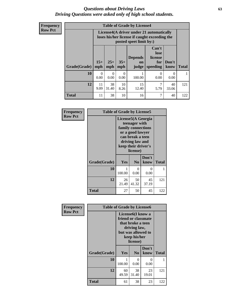#### *Questions about Driving Laws* **63** *Driving Questions were asked only of high school students.*

**Frequency Row Pct**

|              |                  |                                                                                                                      |              | <b>Table of Grade by License4</b> |                                             |                  |              |
|--------------|------------------|----------------------------------------------------------------------------------------------------------------------|--------------|-----------------------------------|---------------------------------------------|------------------|--------------|
|              |                  | License4(A driver under 21 automatically<br>loses his/her license if caught exceeding the<br>posted speet limit by:) |              |                                   |                                             |                  |              |
| Grade(Grade) | $15+$<br>mph     | $25+$<br>mph                                                                                                         | $35+$<br>mph | <b>Depends</b><br>on<br>judge     | Can't<br>lose<br>license<br>for<br>speeding | Don't<br>know    | <b>Total</b> |
| 10           | $\Omega$<br>0.00 | $\Omega$<br>0.00                                                                                                     | 0<br>0.00    | 100.00                            | 0<br>0.00                                   | $\theta$<br>0.00 |              |
| 12           | 11<br>9.09       | 38<br>31.40                                                                                                          | 10<br>8.26   | 15<br>12.40                       | 7<br>5.79                                   | 40<br>33.06      | 121          |
| <b>Total</b> | 11               | 38                                                                                                                   | 10           | 16                                | 7                                           | 40               | 122          |

| Frequency      | <b>Table of Grade by License5</b> |                    |                                                                                                                                   |               |              |
|----------------|-----------------------------------|--------------------|-----------------------------------------------------------------------------------------------------------------------------------|---------------|--------------|
| <b>Row Pct</b> |                                   | License5(A Georgia | teenager with<br>family connections<br>or a good lawyer<br>can break a teen<br>driving law and<br>keep their driver's<br>license) |               |              |
|                | Grade(Grade)                      | Yes                | N <sub>0</sub>                                                                                                                    | Don't<br>know | <b>Total</b> |
|                | 10                                | 100.00             | 0<br>0.00                                                                                                                         | 0<br>0.00     |              |
|                | 12                                | 26<br>21.49        | 50<br>41.32                                                                                                                       | 45<br>37.19   | 121          |
|                | Total                             | 27                 | 50                                                                                                                                | 45            | 122          |

| <b>Frequency</b> |              |                     | <b>Table of Grade by License6</b>                                                                                     |               |              |  |  |
|------------------|--------------|---------------------|-----------------------------------------------------------------------------------------------------------------------|---------------|--------------|--|--|
| <b>Row Pct</b>   |              | friend or classmate | License <sub>6</sub> (I know a<br>that broke a teen<br>driving law,<br>but was allowed to<br>keep his/her<br>license) |               |              |  |  |
|                  | Grade(Grade) | Yes                 | N <sub>0</sub>                                                                                                        | Don't<br>know | <b>Total</b> |  |  |
|                  | 10           | 100.00              | 0<br>0.00                                                                                                             | 0<br>0.00     | 1            |  |  |
|                  | 12           | 60<br>49.59         | 38<br>31.40                                                                                                           | 23<br>19.01   | 121          |  |  |
|                  | <b>Total</b> | 61                  | 38                                                                                                                    | 23            | 122          |  |  |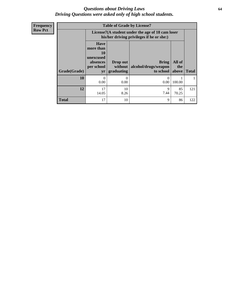### *Questions about Driving Laws* **64** *Driving Questions were asked only of high school students.*

**Frequency Row Pct**

|              | <b>Table of Grade by License7</b>                                                  |                                                                                               |                                                           |               |              |  |  |
|--------------|------------------------------------------------------------------------------------|-----------------------------------------------------------------------------------------------|-----------------------------------------------------------|---------------|--------------|--|--|
|              |                                                                                    | License7(A student under the age of 18 cam loser<br>his/her driving privileges if he or she:) |                                                           |               |              |  |  |
| Grade(Grade) | <b>Have</b><br>more than<br>10<br>unexcused<br><b>absences</b><br>per school<br>yr | Drop out<br>without<br>graduating                                                             | <b>Bring</b><br>alcohol/drugs/weapon<br>to school   above | All of<br>the | <b>Total</b> |  |  |
|              |                                                                                    |                                                                                               |                                                           |               |              |  |  |
| 10           | 0<br>0.00                                                                          | $\Omega$<br>0.00                                                                              | $\Omega$<br>0.00                                          | 100.00        |              |  |  |
| 12           | 17<br>14.05                                                                        | 10<br>8.26                                                                                    | 9<br>7.44                                                 | 85<br>70.25   | 121          |  |  |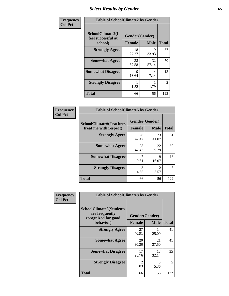# *Select Results by Gender* **65**

| Frequency      | <b>Table of SchoolClimate2 by Gender</b>          |                                 |             |                |
|----------------|---------------------------------------------------|---------------------------------|-------------|----------------|
| <b>Col Pct</b> | SchoolClimate2(I<br>feel successful at<br>school) | Gender(Gender)<br><b>Female</b> | <b>Male</b> | <b>Total</b>   |
|                | <b>Strongly Agree</b>                             | 18<br>27.27                     | 19<br>33.93 | 37             |
|                | <b>Somewhat Agree</b>                             | 38<br>57.58                     | 32<br>57.14 | 70             |
|                | <b>Somewhat Disagree</b>                          | 9<br>13.64                      | 4<br>7.14   | 13             |
|                | <b>Strongly Disagree</b>                          | 1.52                            | 1.79        | $\overline{2}$ |
|                | <b>Total</b>                                      | 66                              | 56          | 122            |

| Frequency      | <b>Table of SchoolClimate6 by Gender</b>                 |                                 |                        |              |  |
|----------------|----------------------------------------------------------|---------------------------------|------------------------|--------------|--|
| <b>Col Pct</b> | <b>SchoolClimate6(Teachers</b><br>treat me with respect) | Gender(Gender)<br><b>Female</b> | <b>Male</b>            | <b>Total</b> |  |
|                | <b>Strongly Agree</b>                                    | 28<br>42.42                     | 23<br>41.07            | 51           |  |
|                | <b>Somewhat Agree</b>                                    | 28<br>42.42                     | 22<br>39.29            | 50           |  |
|                | <b>Somewhat Disagree</b>                                 | 7<br>10.61                      | q<br>16.07             | 16           |  |
|                | <b>Strongly Disagree</b>                                 | 3<br>4.55                       | $\mathfrak{D}$<br>3.57 | 5            |  |
|                | <b>Total</b>                                             | 66                              | 56                     | 122          |  |

| <b>Frequency</b> | <b>Table of SchoolClimate8 by Gender</b>                                             |                        |                               |              |
|------------------|--------------------------------------------------------------------------------------|------------------------|-------------------------------|--------------|
| <b>Col Pct</b>   | <b>SchoolClimate8(Students</b><br>are frequently<br>recognized for good<br>behavior) | <b>Female</b>          | Gender(Gender)<br><b>Male</b> | <b>Total</b> |
|                  | <b>Strongly Agree</b>                                                                | 27<br>40.91            | 14<br>25.00                   | 41           |
|                  | <b>Somewhat Agree</b>                                                                | 20<br>30.30            | 21<br>37.50                   | 41           |
|                  | <b>Somewhat Disagree</b>                                                             | 17<br>25.76            | 18<br>32.14                   | 35           |
|                  | <b>Strongly Disagree</b>                                                             | $\mathfrak{D}$<br>3.03 | 3<br>5.36                     | 5            |
|                  | Total                                                                                | 66                     | 56                            | 122          |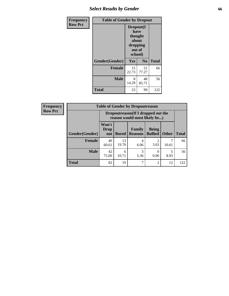# *Select Results by Gender* **66**

| <b>Frequency</b> | <b>Table of Gender by Dropout</b> |                                                                        |                |              |
|------------------|-----------------------------------|------------------------------------------------------------------------|----------------|--------------|
| <b>Row Pct</b>   |                                   | Dropout(I<br>have<br>thought<br>about<br>dropping<br>out of<br>school) |                |              |
|                  | Gender(Gender)                    | <b>Yes</b>                                                             | N <sub>0</sub> | <b>Total</b> |
|                  | <b>Female</b>                     | 15<br>22.73                                                            | 51<br>77.27    | 66           |
|                  | <b>Male</b>                       | 8<br>14.29                                                             | 48<br>85.71    | 56           |
|                  | <b>Total</b>                      | 23                                                                     | 99             | 122          |

| <b>Frequency</b> | <b>Table of Gender by Dropoutreason</b> |                                                                    |              |                          |                                |              |              |
|------------------|-----------------------------------------|--------------------------------------------------------------------|--------------|--------------------------|--------------------------------|--------------|--------------|
| <b>Row Pct</b>   |                                         | Dropoutreason(If I dropped out the<br>reason would most likely be) |              |                          |                                |              |              |
|                  | Gender(Gender)                          | Won't<br><b>Drop</b><br>out                                        | <b>Bored</b> | Family<br><b>Reasons</b> | <b>Being</b><br><b>Bullied</b> | <b>Other</b> | <b>Total</b> |
|                  | Female                                  | 40<br>60.61                                                        | 13<br>19.70  | 4<br>6.06                | $\mathfrak{D}$<br>3.03         | ┑<br>10.61   | 66           |
|                  | <b>Male</b>                             | 42<br>75.00                                                        | 6<br>10.71   | 3<br>5.36                | 0.00                           | 5<br>8.93    | 56           |
|                  | <b>Total</b>                            | 82                                                                 | 19           | 7                        | 2                              | 12           | 122          |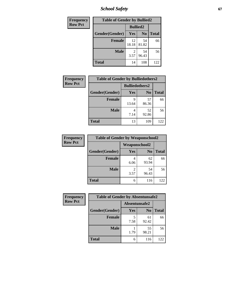*School Safety* **67**

| Frequency      | <b>Table of Gender by Bullied2</b> |                 |                |              |
|----------------|------------------------------------|-----------------|----------------|--------------|
| <b>Row Pct</b> |                                    | <b>Bullied2</b> |                |              |
|                | Gender(Gender)                     | <b>Yes</b>      | N <sub>0</sub> | <b>Total</b> |
|                | <b>Female</b>                      | 12<br>18.18     | 54<br>81.82    | 66           |
|                | <b>Male</b>                        | 2<br>3.57       | 54<br>96.43    | 56           |
|                | <b>Total</b>                       | 14              | 108            | 122          |

| <b>Frequency</b> | <b>Table of Gender by Bulliedothers2</b> |                       |                |              |
|------------------|------------------------------------------|-----------------------|----------------|--------------|
| <b>Row Pct</b>   |                                          | <b>Bulliedothers2</b> |                |              |
|                  | Gender(Gender)                           | <b>Yes</b>            | N <sub>0</sub> | <b>Total</b> |
|                  | <b>Female</b>                            | 9<br>13.64            | 57<br>86.36    | 66           |
|                  | <b>Male</b>                              | 4<br>7.14             | 52<br>92.86    | 56           |
|                  | <b>Total</b>                             | 13                    | 109            | 122          |

| Frequency      | <b>Table of Gender by Weaponschool2</b> |                        |                |              |
|----------------|-----------------------------------------|------------------------|----------------|--------------|
| <b>Row Pct</b> |                                         | <b>Weaponschool2</b>   |                |              |
|                | Gender(Gender)                          | Yes                    | N <sub>0</sub> | <b>Total</b> |
|                | <b>Female</b>                           | 6.06                   | 62<br>93.94    | 66           |
|                | <b>Male</b>                             | $\mathfrak{D}$<br>3.57 | 54<br>96.43    | 56           |
|                | <b>Total</b>                            | 6                      | 116            | 122          |

| Frequency      | <b>Table of Gender by Absentunsafe2</b> |               |                |              |
|----------------|-----------------------------------------|---------------|----------------|--------------|
| <b>Row Pct</b> |                                         | Absentunsafe2 |                |              |
|                | Gender(Gender)                          | Yes           | N <sub>0</sub> | <b>Total</b> |
|                | <b>Female</b>                           | 7.58          | 61<br>92.42    | 66           |
|                | <b>Male</b>                             | 1.79          | 55<br>98.21    | 56           |
|                | <b>Total</b>                            | 6             | 116            | 122          |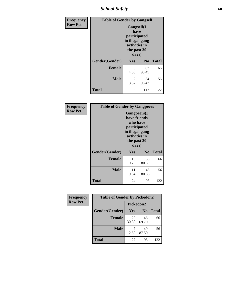*School Safety* **68**

| Frequency      | <b>Table of Gender by Gangself</b> |                                                                                                |                |              |
|----------------|------------------------------------|------------------------------------------------------------------------------------------------|----------------|--------------|
| <b>Row Pct</b> |                                    | Gangself(I<br>have<br>participated<br>in illegal gang<br>activities in<br>the past 30<br>days) |                |              |
|                | Gender(Gender)                     | Yes                                                                                            | N <sub>0</sub> | <b>Total</b> |
|                | <b>Female</b>                      | 3<br>4.55                                                                                      | 63<br>95.45    | 66           |
|                | <b>Male</b>                        | 2<br>3.57                                                                                      | 54<br>96.43    | 56           |
|                | <b>Total</b>                       | 5                                                                                              | 117            | 122          |

| Frequency      |                | <b>Table of Gender by Gangpeers</b>                                                                                         |                |              |
|----------------|----------------|-----------------------------------------------------------------------------------------------------------------------------|----------------|--------------|
| <b>Row Pct</b> |                | <b>Gangpeers</b> (I<br>have friends<br>who have<br>participated<br>in illegal gang<br>activities in<br>the past 30<br>days) |                |              |
|                | Gender(Gender) | Yes                                                                                                                         | N <sub>0</sub> | <b>Total</b> |
|                | <b>Female</b>  | 13<br>19.70                                                                                                                 | 53<br>80.30    | 66           |
|                | <b>Male</b>    | 11<br>19.64                                                                                                                 | 45<br>80.36    | 56           |
|                | Total          | 24                                                                                                                          | 98             | 122          |

| Frequency      | <b>Table of Gender by Pickedon2</b> |             |                |              |
|----------------|-------------------------------------|-------------|----------------|--------------|
| <b>Row Pct</b> |                                     | Pickedon2   |                |              |
|                | Gender(Gender)                      | <b>Yes</b>  | N <sub>0</sub> | <b>Total</b> |
|                | <b>Female</b>                       | 20<br>30.30 | 46<br>69.70    | 66           |
|                | <b>Male</b>                         | 12.50       | 49<br>87.50    | 56           |
|                | <b>Total</b>                        | 27          | 95             | 122          |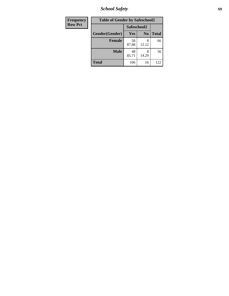*School Safety* **69**

| Frequency      | <b>Table of Gender by Safeschool2</b> |             |                |              |  |
|----------------|---------------------------------------|-------------|----------------|--------------|--|
| <b>Row Pct</b> |                                       | Safeschool2 |                |              |  |
|                | Gender(Gender)                        | Yes         | N <sub>0</sub> | <b>Total</b> |  |
|                | <b>Female</b>                         | 58<br>87.88 | 8<br>12.12     | 66           |  |
|                | <b>Male</b>                           | 48<br>85.71 | 8<br>14.29     | 56           |  |
|                | <b>Total</b>                          | 106         | 16             | 122          |  |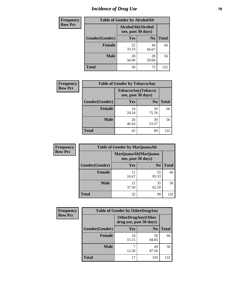# *Incidence of Drug Use* **70**

| <b>Frequency</b> | <b>Table of Gender by AlcoholAlt</b> |                                          |                |              |  |
|------------------|--------------------------------------|------------------------------------------|----------------|--------------|--|
| <b>Row Pct</b>   |                                      | AlcoholAlt(Alcohol<br>use, past 30 days) |                |              |  |
|                  | Gender(Gender)                       | Yes                                      | N <sub>0</sub> | <b>Total</b> |  |
|                  | Female                               | 22<br>33.33                              | 44<br>66.67    | 66           |  |
|                  | <b>Male</b>                          | 28<br>50.00                              | 28<br>50.00    | 56           |  |
|                  | <b>Total</b>                         | 50                                       | 72             | 122          |  |

| <b>Frequency</b> | <b>Table of Gender by TobaccoAny</b> |                    |                    |              |  |
|------------------|--------------------------------------|--------------------|--------------------|--------------|--|
| <b>Row Pct</b>   |                                      | use, past 30 days) | TobaccoAny(Tobacco |              |  |
|                  | Gender(Gender)                       | Yes                | N <sub>0</sub>     | <b>Total</b> |  |
|                  | <b>Female</b>                        | 16<br>24.24        | 50<br>75.76        | 66           |  |
|                  | <b>Male</b>                          | 26<br>46.43        | 30<br>53.57        | 56           |  |
|                  | <b>Total</b>                         | 42                 | 80                 | 122          |  |

| <b>Frequency</b> | <b>Table of Gender by MarijuanaAlt</b> |             |                                              |              |  |
|------------------|----------------------------------------|-------------|----------------------------------------------|--------------|--|
| <b>Row Pct</b>   |                                        |             | MarijuanaAlt(Marijuana<br>use, past 30 days) |              |  |
|                  | Gender(Gender)                         | <b>Yes</b>  | N <sub>0</sub>                               | <b>Total</b> |  |
|                  | <b>Female</b>                          | 11<br>16.67 | 55<br>83.33                                  | 66           |  |
|                  | <b>Male</b>                            | 21<br>37.50 | 35<br>62.50                                  | 56           |  |
|                  | <b>Total</b>                           | 32          | 90                                           | 122          |  |

| <b>Frequency</b> | <b>Table of Gender by OtherDrugAny</b> |                                                      |                |              |  |
|------------------|----------------------------------------|------------------------------------------------------|----------------|--------------|--|
| <b>Row Pct</b>   |                                        | <b>OtherDrugAny(Other</b><br>drug use, past 30 days) |                |              |  |
|                  | Gender(Gender)                         | <b>Yes</b>                                           | N <sub>0</sub> | <b>Total</b> |  |
|                  | <b>Female</b>                          | 10<br>15.15                                          | 56<br>84.85    | 66           |  |
|                  | <b>Male</b>                            | 12.50                                                | 49<br>87.50    | 56           |  |
|                  | <b>Total</b>                           | 17                                                   | 105            | 122          |  |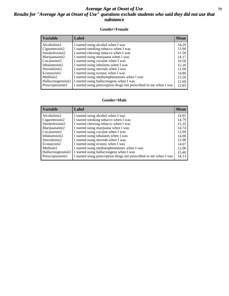### *Average Age at Onset of Use* **71** *Results for "Average Age at Onset of Use" questions exclude students who said they did not use that substance*

#### **Gender=Female**

| <b>Variable</b>                 | Label                                                              | <b>Mean</b> |
|---------------------------------|--------------------------------------------------------------------|-------------|
| Alcoholinit2                    | I started using alcohol when I was                                 | 14.29       |
| Cigarettesinit2                 | I started smoking tobacco when I was                               | 13.90       |
| Smokelessinit2                  | I started chewing tobacco when I was                               | 11.50       |
| Marijuanainit2                  | I started using marijuana when I was                               | 14.17       |
| Cocaineinit2                    | I started using cocaine when I was                                 | 10.50       |
| Inhalantsinit2                  | I started using inhalants when I was                               | 12.20       |
| Steroidsinit2                   | I started using steroids when I was                                | 11.00       |
| Ecstasyinit2                    | I started using ecstasy when I was                                 | 14.80       |
| Methinit2                       | I started using methamphetamines when I was                        | 13.50       |
| Hallucinogensinit2              | I started using hallucinogens when I was                           | 12.60       |
| Prescription in it <sub>2</sub> | I started using prescription drugs not prescribed to me when I was | 13.83       |

#### **Gender=Male**

| <b>Variable</b>                 | Label                                                              | <b>Mean</b> |
|---------------------------------|--------------------------------------------------------------------|-------------|
| Alcoholinit2                    | I started using alcohol when I was                                 | 14.91       |
| Cigarettesinit2                 | I started smoking tobacco when I was                               | 14.79       |
| Smokelessinit2                  | I started chewing tobacco when I was                               | 15.35       |
| Marijuanainit2                  | I started using marijuana when I was                               | 14.74       |
| Cocaineinit2                    | I started using cocaine when I was                                 | 12.00       |
| Inhalantsinit2                  | I started using inhalants when I was                               | 14.00       |
| Steroidsinit2                   | I started using steroids when I was                                | 12.00       |
| Ecstasyinit2                    | I started using ecstasy when I was                                 | 14.67       |
| Methinit2                       | I started using methamphetamines when I was                        | 12.00       |
| Hallucinogensinit2              | I started using hallucinogens when I was                           | 15.40       |
| Prescription in it <sub>2</sub> | I started using prescription drugs not prescribed to me when I was | 14.13       |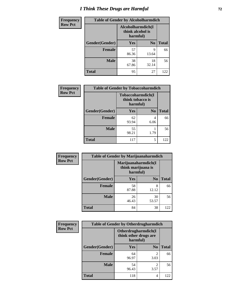# *I Think These Drugs are Harmful* **72**

| Frequency      | <b>Table of Gender by Alcoholharmdich</b> |                                                   |                |              |  |
|----------------|-------------------------------------------|---------------------------------------------------|----------------|--------------|--|
| <b>Row Pct</b> |                                           | Alcoholharmdich(I<br>think alcohol is<br>harmful) |                |              |  |
|                | Gender(Gender)                            | <b>Yes</b>                                        | N <sub>0</sub> | <b>Total</b> |  |
|                | <b>Female</b>                             | 57<br>86.36                                       | q<br>13.64     | 66           |  |
|                | <b>Male</b>                               | 38<br>67.86                                       | 18<br>32.14    | 56           |  |
|                | <b>Total</b>                              | 95                                                | 27             | 122          |  |

| Frequency      | <b>Table of Gender by Tobaccoharmdich</b> |                                       |                |              |  |
|----------------|-------------------------------------------|---------------------------------------|----------------|--------------|--|
| <b>Row Pct</b> |                                           | Tobaccoharmdich(I<br>think tobacco is | harmful)       |              |  |
|                | Gender(Gender)                            | <b>Yes</b>                            | N <sub>0</sub> | <b>Total</b> |  |
|                | <b>Female</b>                             | 62<br>93.94                           | 4<br>6.06      | 66           |  |
|                | <b>Male</b>                               | 55<br>98.21                           | 1.79           | 56           |  |
|                | <b>Total</b>                              | 117                                   | 5              | 122          |  |

| Frequency      | <b>Table of Gender by Marijuanaharmdich</b> |                                                       |                |              |  |
|----------------|---------------------------------------------|-------------------------------------------------------|----------------|--------------|--|
| <b>Row Pct</b> |                                             | Marijuanaharmdich(I<br>think marijuana is<br>harmful) |                |              |  |
|                | Gender(Gender)                              | <b>Yes</b>                                            | N <sub>0</sub> | <b>Total</b> |  |
|                | <b>Female</b>                               | 58<br>87.88                                           | 8<br>12.12     | 66           |  |
|                | <b>Male</b>                                 | 26<br>46.43                                           | 30<br>53.57    | 56           |  |
|                | <b>Total</b>                                | 84                                                    | 38             | 122          |  |

| Frequency      | <b>Table of Gender by Otherdrugharmdich</b> |                                                          |                        |              |  |
|----------------|---------------------------------------------|----------------------------------------------------------|------------------------|--------------|--|
| <b>Row Pct</b> |                                             | Otherdrugharmdich(I<br>think other drugs are<br>harmful) |                        |              |  |
|                | Gender(Gender)                              | <b>Yes</b>                                               | N <sub>0</sub>         | <b>Total</b> |  |
|                | <b>Female</b>                               | 64<br>96.97                                              | $\overline{c}$<br>3.03 | 66           |  |
|                | <b>Male</b>                                 | 54<br>96.43                                              | $\mathfrak{D}$<br>3.57 | 56           |  |
|                | <b>Total</b>                                | 118                                                      | 4                      | 122          |  |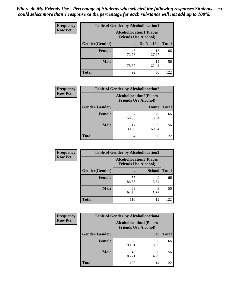| <b>Frequency</b> | <b>Table of Gender by Alcohollocation1</b> |                                                               |             |              |
|------------------|--------------------------------------------|---------------------------------------------------------------|-------------|--------------|
| <b>Row Pct</b>   |                                            | <b>Alcohollocation1(Places</b><br><b>Friends Use Alcohol)</b> |             |              |
|                  | Gender(Gender)                             |                                                               | Do Not Use  | <b>Total</b> |
|                  | <b>Female</b>                              | 48<br>72.73                                                   | 18<br>27.27 | 66           |
|                  | <b>Male</b>                                | 44<br>78.57                                                   | 12<br>21.43 | 56           |
|                  | <b>Total</b>                               | 92                                                            | 30          | 122          |

| <b>Frequency</b> | <b>Table of Gender by Alcohollocation2</b> |                                                               |             |              |
|------------------|--------------------------------------------|---------------------------------------------------------------|-------------|--------------|
| <b>Row Pct</b>   |                                            | <b>Alcohollocation2(Places</b><br><b>Friends Use Alcohol)</b> |             |              |
|                  | Gender(Gender)                             |                                                               | Home        | <b>Total</b> |
|                  | <b>Female</b>                              | 37<br>56.06                                                   | 29<br>43.94 | 66           |
|                  | <b>Male</b>                                | 17<br>30.36                                                   | 39<br>69.64 | 56           |
|                  | <b>Total</b>                               | 54                                                            | 68          | 122          |

| Frequency      | <b>Table of Gender by Alcohollocation3</b> |             |                                                               |              |
|----------------|--------------------------------------------|-------------|---------------------------------------------------------------|--------------|
| <b>Row Pct</b> |                                            |             | <b>Alcohollocation3(Places</b><br><b>Friends Use Alcohol)</b> |              |
|                | Gender(Gender)                             |             | <b>School</b>                                                 | <b>Total</b> |
|                | <b>Female</b>                              | 57<br>86.36 | q<br>13.64                                                    | 66           |
|                | <b>Male</b>                                | 53<br>94.64 | 5.36                                                          | 56           |
|                | <b>Total</b>                               | 110         | 12                                                            | 122          |

| <b>Frequency</b> | <b>Table of Gender by Alcohollocation4</b> |                                                               |            |              |
|------------------|--------------------------------------------|---------------------------------------------------------------|------------|--------------|
| <b>Row Pct</b>   |                                            | <b>Alcohollocation4(Places</b><br><b>Friends Use Alcohol)</b> |            |              |
|                  | Gender(Gender)                             |                                                               | Car        | <b>Total</b> |
|                  | <b>Female</b>                              | 60<br>90.91                                                   | 6<br>9.09  | 66           |
|                  | <b>Male</b>                                | 48<br>85.71                                                   | 8<br>14.29 | 56           |
|                  | <b>Total</b>                               | 108                                                           | 14         | 122          |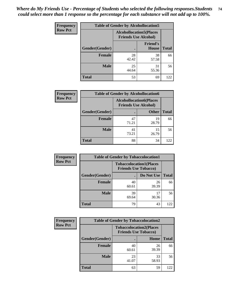| <b>Frequency</b> | <b>Table of Gender by Alcohollocation5</b> |             |                                                                |              |
|------------------|--------------------------------------------|-------------|----------------------------------------------------------------|--------------|
| <b>Row Pct</b>   |                                            |             | <b>Alcohollocation5</b> (Places<br><b>Friends Use Alcohol)</b> |              |
|                  | Gender(Gender)                             | $\bullet$   | <b>Friend's</b><br><b>House</b>                                | <b>Total</b> |
|                  | <b>Female</b>                              | 28<br>42.42 | 38<br>57.58                                                    | 66           |
|                  | <b>Male</b>                                | 25<br>44.64 | 31<br>55.36                                                    | 56           |
|                  | <b>Total</b>                               | 53          | 69                                                             | 122          |

| <b>Frequency</b> | <b>Table of Gender by Alcohollocation6</b> |                                                               |              |              |
|------------------|--------------------------------------------|---------------------------------------------------------------|--------------|--------------|
| <b>Row Pct</b>   |                                            | <b>Alcohollocation6(Places</b><br><b>Friends Use Alcohol)</b> |              |              |
|                  | Gender(Gender)                             |                                                               | <b>Other</b> | <b>Total</b> |
|                  | <b>Female</b>                              | 47<br>71.21                                                   | 19<br>28.79  | 66           |
|                  | <b>Male</b>                                | 41<br>73.21                                                   | 15<br>26.79  | 56           |
|                  | <b>Total</b>                               | 88                                                            | 34           | 122          |

| Frequency      | <b>Table of Gender by Tobaccolocation1</b> |                                                               |             |              |  |
|----------------|--------------------------------------------|---------------------------------------------------------------|-------------|--------------|--|
| <b>Row Pct</b> |                                            | <b>Tobaccolocation1(Places</b><br><b>Friends Use Tobacco)</b> |             |              |  |
|                | Gender(Gender)                             |                                                               | Do Not Use  | <b>Total</b> |  |
|                | Female                                     | 40<br>60.61                                                   | 26<br>39.39 | 66           |  |
|                | <b>Male</b>                                | 39<br>69.64                                                   | 17<br>30.36 | 56           |  |
|                | <b>Total</b>                               | 79                                                            | 43          | 122          |  |

| <b>Frequency</b> | <b>Table of Gender by Tobaccolocation2</b> |                             |                                |              |
|------------------|--------------------------------------------|-----------------------------|--------------------------------|--------------|
| <b>Row Pct</b>   |                                            | <b>Friends Use Tobacco)</b> | <b>Tobaccolocation2(Places</b> |              |
|                  | Gender(Gender)                             |                             | Home                           | <b>Total</b> |
|                  | Female                                     | 40<br>60.61                 | 26<br>39.39                    | 66           |
|                  | <b>Male</b>                                | 23<br>41.07                 | 33<br>58.93                    | 56           |
|                  | <b>Total</b>                               | 63                          | 59                             | 122          |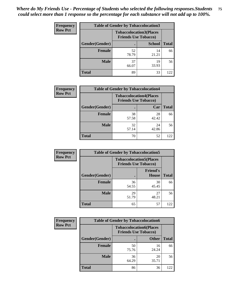| <b>Frequency</b> | <b>Table of Gender by Tobaccolocation3</b> |                                                               |               |              |
|------------------|--------------------------------------------|---------------------------------------------------------------|---------------|--------------|
| <b>Row Pct</b>   |                                            | <b>Tobaccolocation3(Places</b><br><b>Friends Use Tobacco)</b> |               |              |
|                  | Gender(Gender)                             |                                                               | <b>School</b> | <b>Total</b> |
|                  | <b>Female</b>                              | 52<br>78.79                                                   | 14<br>21.21   | 66           |
|                  | <b>Male</b>                                | 37<br>66.07                                                   | 19<br>33.93   | 56           |
|                  | <b>Total</b>                               | 89                                                            | 33            | 122          |

| <b>Frequency</b> |                | <b>Table of Gender by Tobaccolocation4</b>                    |             |              |
|------------------|----------------|---------------------------------------------------------------|-------------|--------------|
| <b>Row Pct</b>   |                | <b>Tobaccolocation4(Places</b><br><b>Friends Use Tobacco)</b> |             |              |
|                  | Gender(Gender) |                                                               | Car         | <b>Total</b> |
|                  | <b>Female</b>  | 38<br>57.58                                                   | 28<br>42.42 | 66           |
|                  | <b>Male</b>    | 32<br>57.14                                                   | 24<br>42.86 | 56           |
|                  | <b>Total</b>   | 70                                                            | 52          | 122          |

| <b>Frequency</b> | <b>Table of Gender by Tobaccolocation5</b> |                                                               |                          |              |
|------------------|--------------------------------------------|---------------------------------------------------------------|--------------------------|--------------|
| <b>Row Pct</b>   |                                            | <b>Tobaccolocation5(Places</b><br><b>Friends Use Tobacco)</b> |                          |              |
|                  | Gender(Gender)                             |                                                               | <b>Friend's</b><br>House | <b>Total</b> |
|                  | <b>Female</b>                              | 36<br>54.55                                                   | 30<br>45.45              | 66           |
|                  | <b>Male</b>                                | 29<br>51.79                                                   | 27<br>48.21              | 56           |
|                  | <b>Total</b>                               | 65                                                            | 57                       | 122          |

| <b>Frequency</b> | <b>Table of Gender by Tobaccolocation6</b> |             |                                                               |              |  |
|------------------|--------------------------------------------|-------------|---------------------------------------------------------------|--------------|--|
| <b>Row Pct</b>   |                                            |             | <b>Tobaccolocation6(Places</b><br><b>Friends Use Tobacco)</b> |              |  |
|                  | Gender(Gender)                             |             | <b>Other</b>                                                  | <b>Total</b> |  |
|                  | Female                                     | 50<br>75.76 | 16<br>24.24                                                   | 66           |  |
|                  | <b>Male</b>                                | 36<br>64.29 | 20<br>35.71                                                   | 56           |  |
|                  | <b>Total</b>                               | 86          | 36                                                            | 122          |  |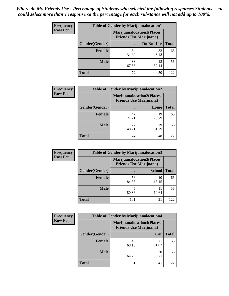| <b>Frequency</b> | <b>Table of Gender by Marijuanalocation1</b> |                                                                    |             |              |
|------------------|----------------------------------------------|--------------------------------------------------------------------|-------------|--------------|
| <b>Row Pct</b>   |                                              | <b>Marijuanalocation1(Places</b><br><b>Friends Use Marijuana</b> ) |             |              |
|                  | Gender(Gender)                               |                                                                    | Do Not Use  | <b>Total</b> |
|                  | <b>Female</b>                                | 34<br>51.52                                                        | 32<br>48.48 | 66           |
|                  | <b>Male</b>                                  | 38<br>67.86                                                        | 18<br>32.14 | 56           |
|                  | <b>Total</b>                                 | 72                                                                 | 50          | 122          |

| <b>Frequency</b> | <b>Table of Gender by Marijuanalocation2</b> |                                                                    |             |              |
|------------------|----------------------------------------------|--------------------------------------------------------------------|-------------|--------------|
| <b>Row Pct</b>   |                                              | <b>Marijuanalocation2(Places</b><br><b>Friends Use Marijuana</b> ) |             |              |
|                  | Gender(Gender)                               |                                                                    | Home        | <b>Total</b> |
|                  | <b>Female</b>                                | 47<br>71.21                                                        | 19<br>28.79 | 66           |
|                  | <b>Male</b>                                  | 27<br>48.21                                                        | 29<br>51.79 | 56           |
|                  | <b>Total</b>                                 | 74                                                                 | 48          | 122          |

| Frequency      | <b>Table of Gender by Marijuanalocation3</b> |             |                                                                    |              |  |
|----------------|----------------------------------------------|-------------|--------------------------------------------------------------------|--------------|--|
| <b>Row Pct</b> |                                              |             | <b>Marijuanalocation3(Places</b><br><b>Friends Use Marijuana</b> ) |              |  |
|                | Gender(Gender)                               |             | <b>School</b>                                                      | <b>Total</b> |  |
|                | Female                                       | 56<br>84.85 | 10<br>15.15                                                        | 66           |  |
|                | <b>Male</b>                                  | 45<br>80.36 | 11<br>19.64                                                        | 56           |  |
|                | <b>Total</b>                                 | 101         | 21                                                                 | 122          |  |

| <b>Frequency</b> | <b>Table of Gender by Marijuanalocation4</b> |                                |                                  |              |
|------------------|----------------------------------------------|--------------------------------|----------------------------------|--------------|
| <b>Row Pct</b>   |                                              | <b>Friends Use Marijuana</b> ) | <b>Marijuanalocation4(Places</b> |              |
|                  | Gender(Gender)                               |                                | Car                              | <b>Total</b> |
|                  | Female                                       | 45<br>68.18                    | 21<br>31.82                      | 66           |
|                  | <b>Male</b>                                  | 36<br>64.29                    | 20<br>35.71                      | 56           |
|                  | <b>Total</b>                                 | 81                             | 41                               | 122          |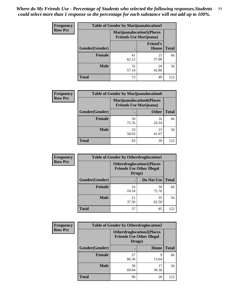| <b>Frequency</b> | <b>Table of Gender by Marijuanalocation5</b> |                                |                                   |              |
|------------------|----------------------------------------------|--------------------------------|-----------------------------------|--------------|
| <b>Row Pct</b>   |                                              | <b>Friends Use Marijuana</b> ) | <b>Marijuanalocation5</b> (Places |              |
|                  | Gender(Gender)                               |                                | <b>Friend's</b><br>House          | <b>Total</b> |
|                  | <b>Female</b>                                | 41<br>62.12                    | 25<br>37.88                       | 66           |
|                  | <b>Male</b>                                  | 32<br>57.14                    | 24<br>42.86                       | 56           |
|                  | <b>Total</b>                                 | 73                             | 49                                | 122          |

| <b>Frequency</b> | <b>Table of Gender by Marijuanalocation6</b> |                                                                    |              |              |
|------------------|----------------------------------------------|--------------------------------------------------------------------|--------------|--------------|
| <b>Row Pct</b>   |                                              | <b>Marijuanalocation6(Places</b><br><b>Friends Use Marijuana</b> ) |              |              |
|                  | Gender(Gender)                               |                                                                    | <b>Other</b> | <b>Total</b> |
|                  | <b>Female</b>                                | 50<br>75.76                                                        | 16<br>24.24  | 66           |
|                  | <b>Male</b>                                  | 33<br>58.93                                                        | 23<br>41.07  | 56           |
|                  | <b>Total</b>                                 | 83                                                                 | 39           | 122          |

| <b>Frequency</b> | <b>Table of Gender by Otherdruglocation1</b> |                                                                                |             |              |
|------------------|----------------------------------------------|--------------------------------------------------------------------------------|-------------|--------------|
| <b>Row Pct</b>   |                                              | <b>Otherdruglocation1(Places</b><br><b>Friends Use Other Illegal</b><br>Drugs) |             |              |
|                  | Gender(Gender)                               |                                                                                | Do Not Use  | <b>Total</b> |
|                  | Female                                       | 16<br>24.24                                                                    | 50<br>75.76 | 66           |
|                  | <b>Male</b>                                  | 21<br>37.50                                                                    | 35<br>62.50 | 56           |
|                  | <b>Total</b>                                 | 37                                                                             | 85          | 122          |

| <b>Frequency</b> | <b>Table of Gender by Otherdruglocation2</b> |                                            |                                  |              |
|------------------|----------------------------------------------|--------------------------------------------|----------------------------------|--------------|
| <b>Row Pct</b>   |                                              | <b>Friends Use Other Illegal</b><br>Drugs) | <b>Otherdruglocation2(Places</b> |              |
|                  | Gender(Gender)                               |                                            | Home                             | <b>Total</b> |
|                  | <b>Female</b>                                | 57<br>86.36                                | 9<br>13.64                       | 66           |
|                  | <b>Male</b>                                  | 39<br>69.64                                | 17<br>30.36                      | 56           |
|                  | <b>Total</b>                                 | 96                                         | 26                               | 122          |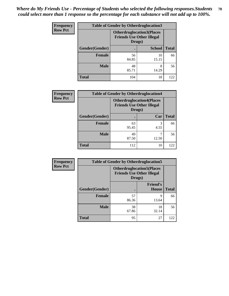| Frequency      | <b>Table of Gender by Otherdruglocation3</b> |                                                                                |               |              |
|----------------|----------------------------------------------|--------------------------------------------------------------------------------|---------------|--------------|
| <b>Row Pct</b> |                                              | <b>Otherdruglocation3(Places</b><br><b>Friends Use Other Illegal</b><br>Drugs) |               |              |
|                | Gender(Gender)                               |                                                                                | <b>School</b> | <b>Total</b> |
|                | <b>Female</b>                                | 56<br>84.85                                                                    | 10<br>15.15   | 66           |
|                | <b>Male</b>                                  | 48<br>85.71                                                                    | 8<br>14.29    | 56           |
|                | <b>Total</b>                                 | 104                                                                            | 18            | 122          |

| <b>Frequency</b> | <b>Table of Gender by Otherdruglocation4</b> |                                                                                |           |              |
|------------------|----------------------------------------------|--------------------------------------------------------------------------------|-----------|--------------|
| <b>Row Pct</b>   |                                              | <b>Otherdruglocation4(Places</b><br><b>Friends Use Other Illegal</b><br>Drugs) |           |              |
|                  | Gender(Gender)                               |                                                                                | Car       | <b>Total</b> |
|                  | <b>Female</b>                                | 63<br>95.45                                                                    | 3<br>4.55 | 66           |
|                  | <b>Male</b>                                  | 49<br>87.50                                                                    | 12.50     | 56           |
|                  | <b>Total</b>                                 | 112                                                                            | 10        | 122.         |

| Frequency      | <b>Table of Gender by Otherdruglocation5</b> |                                                                                |                                 |              |
|----------------|----------------------------------------------|--------------------------------------------------------------------------------|---------------------------------|--------------|
| <b>Row Pct</b> |                                              | <b>Otherdruglocation5(Places</b><br><b>Friends Use Other Illegal</b><br>Drugs) |                                 |              |
|                | Gender(Gender)                               |                                                                                | <b>Friend's</b><br><b>House</b> | <b>Total</b> |
|                | <b>Female</b>                                | 57<br>86.36                                                                    | q<br>13.64                      | 66           |
|                | <b>Male</b>                                  | 38<br>67.86                                                                    | 18<br>32.14                     | 56           |
|                | <b>Total</b>                                 | 95                                                                             | 27                              | 122          |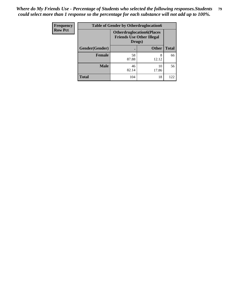| <b>Frequency</b> | <b>Table of Gender by Otherdruglocation6</b> |                                            |                                  |              |
|------------------|----------------------------------------------|--------------------------------------------|----------------------------------|--------------|
| <b>Row Pct</b>   |                                              | <b>Friends Use Other Illegal</b><br>Drugs) | <b>Otherdruglocation6(Places</b> |              |
|                  | Gender(Gender)                               |                                            | <b>Other</b>                     | <b>Total</b> |
|                  | <b>Female</b>                                | 58<br>87.88                                | 8<br>12.12                       | 66           |
|                  | <b>Male</b>                                  | 46<br>82.14                                | 10<br>17.86                      | 56           |
|                  | <b>Total</b>                                 | 104                                        | 18                               | 122          |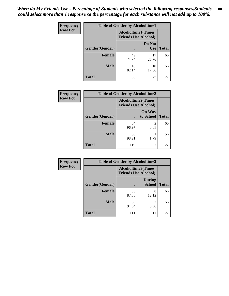| <b>Frequency</b> | <b>Table of Gender by Alcoholtime1</b> |                                                          |                      |              |
|------------------|----------------------------------------|----------------------------------------------------------|----------------------|--------------|
| <b>Row Pct</b>   |                                        | <b>Alcoholtime1(Times</b><br><b>Friends Use Alcohol)</b> |                      |              |
|                  | Gender(Gender)                         | $\bullet$                                                | Do Not<br><b>Use</b> | <b>Total</b> |
|                  | <b>Female</b>                          | 49<br>74.24                                              | 17<br>25.76          | 66           |
|                  | <b>Male</b>                            | 46<br>82.14                                              | 10<br>17.86          | 56           |
|                  | <b>Total</b>                           | 95                                                       | 27                   | 122          |

| <b>Frequency</b> | <b>Table of Gender by Alcoholtime2</b> |                                                          |                            |              |
|------------------|----------------------------------------|----------------------------------------------------------|----------------------------|--------------|
| <b>Row Pct</b>   |                                        | <b>Alcoholtime2(Times</b><br><b>Friends Use Alcohol)</b> |                            |              |
|                  | Gender(Gender)                         |                                                          | <b>On Way</b><br>to School | <b>Total</b> |
|                  | <b>Female</b>                          | 64<br>96.97                                              | 2<br>3.03                  | 66           |
|                  | <b>Male</b>                            | 55<br>98.21                                              | 1.79                       | 56           |
|                  | <b>Total</b>                           | 119                                                      | 3                          | 122          |

| <b>Frequency</b> | <b>Table of Gender by Alcoholtime3</b> |                                                          |                                |              |
|------------------|----------------------------------------|----------------------------------------------------------|--------------------------------|--------------|
| <b>Row Pct</b>   |                                        | <b>Alcoholtime3(Times</b><br><b>Friends Use Alcohol)</b> |                                |              |
|                  | <b>Gender</b> (Gender)                 |                                                          | <b>During</b><br><b>School</b> | <b>Total</b> |
|                  | Female                                 | 58<br>87.88                                              | 8<br>12.12                     | 66           |
|                  | <b>Male</b>                            | 53<br>94.64                                              | 3<br>5.36                      | 56           |
|                  | <b>Total</b>                           | 111                                                      | 11                             | 122          |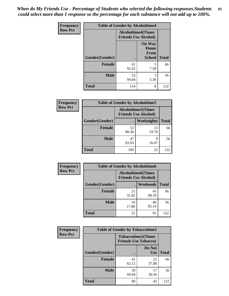*When do My Friends Use - Percentage of Students who selected the following responses.Students could select more than 1 response so the percentage for each substance will not add up to 100%.* **81**

| <b>Frequency</b> | <b>Table of Gender by Alcoholtime4</b> |                                                          |                                                |              |
|------------------|----------------------------------------|----------------------------------------------------------|------------------------------------------------|--------------|
| <b>Row Pct</b>   |                                        | <b>Alcoholtime4(Times</b><br><b>Friends Use Alcohol)</b> |                                                |              |
|                  | Gender(Gender)                         | $\bullet$                                                | <b>On Way</b><br>Home<br>From<br><b>School</b> | <b>Total</b> |
|                  | <b>Female</b>                          | 61<br>92.42                                              | 5<br>7.58                                      | 66           |
|                  | <b>Male</b>                            | 53<br>94.64                                              | 3<br>5.36                                      | 56           |
|                  | <b>Total</b>                           | 114                                                      | 8                                              | 122          |

| <b>Frequency</b> | <b>Table of Gender by Alcoholtime5</b> |                                                           |                   |              |
|------------------|----------------------------------------|-----------------------------------------------------------|-------------------|--------------|
| <b>Row Pct</b>   |                                        | <b>Alcoholtime5</b> (Times<br><b>Friends Use Alcohol)</b> |                   |              |
|                  | Gender(Gender)                         |                                                           | <b>Weeknights</b> | <b>Total</b> |
|                  | <b>Female</b>                          | 53<br>80.30                                               | 13<br>19.70       | 66           |
|                  | <b>Male</b>                            | 47<br>83.93                                               | 9<br>16.07        | 56           |
|                  | <b>Total</b>                           | 100                                                       | 22                | 122          |

| <b>Frequency</b> | <b>Table of Gender by Alcoholtime6</b> |             |                                                          |              |  |
|------------------|----------------------------------------|-------------|----------------------------------------------------------|--------------|--|
| <b>Row Pct</b>   |                                        |             | <b>Alcoholtime6(Times</b><br><b>Friends Use Alcohol)</b> |              |  |
|                  | Gender(Gender)                         |             | <b>Weekends</b>                                          | <b>Total</b> |  |
|                  | Female                                 | 21<br>31.82 | 45<br>68.18                                              | 66           |  |
|                  | <b>Male</b>                            | 10<br>17.86 | 46<br>82.14                                              | 56           |  |
|                  | <b>Total</b>                           | 31          | 91                                                       | 122          |  |

| Frequency      | <b>Table of Gender by Tobaccotime1</b> |                                                          |                      |              |
|----------------|----------------------------------------|----------------------------------------------------------|----------------------|--------------|
| <b>Row Pct</b> |                                        | <b>Tobaccotime1(Times</b><br><b>Friends Use Tobacco)</b> |                      |              |
|                | Gender(Gender)                         |                                                          | Do Not<br><b>Use</b> | <b>Total</b> |
|                | <b>Female</b>                          | 41<br>62.12                                              | 25<br>37.88          | 66           |
|                | <b>Male</b>                            | 39<br>69.64                                              | 17<br>30.36          | 56           |
|                | <b>Total</b>                           | 80                                                       | 42                   | 122          |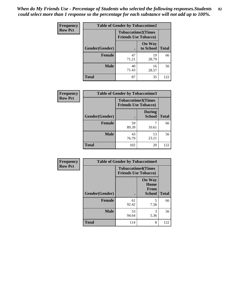*When do My Friends Use - Percentage of Students who selected the following responses.Students could select more than 1 response so the percentage for each substance will not add up to 100%.* **82**

| <b>Frequency</b> | <b>Table of Gender by Tobaccotime2</b> |                                                          |                            |              |
|------------------|----------------------------------------|----------------------------------------------------------|----------------------------|--------------|
| <b>Row Pct</b>   |                                        | <b>Tobaccotime2(Times</b><br><b>Friends Use Tobacco)</b> |                            |              |
|                  | Gender(Gender)                         | $\bullet$                                                | <b>On Way</b><br>to School | <b>Total</b> |
|                  | Female                                 | 47<br>71.21                                              | 19<br>28.79                | 66           |
|                  | <b>Male</b>                            | 40<br>71.43                                              | 16<br>28.57                | 56           |
|                  | <b>Total</b>                           | 87                                                       | 35                         | 122          |

| <b>Frequency</b> | <b>Table of Gender by Tobaccotime3</b> |                                                          |                                |              |
|------------------|----------------------------------------|----------------------------------------------------------|--------------------------------|--------------|
| <b>Row Pct</b>   |                                        | <b>Tobaccotime3(Times</b><br><b>Friends Use Tobacco)</b> |                                |              |
|                  | Gender(Gender)                         |                                                          | <b>During</b><br><b>School</b> | <b>Total</b> |
|                  | Female                                 | 59<br>89.39                                              | 10.61                          | 66           |
|                  | <b>Male</b>                            | 43<br>76.79                                              | 13<br>23.21                    | 56           |
|                  | <b>Total</b>                           | 102                                                      | 20                             | 122          |

| <b>Frequency</b> | <b>Table of Gender by Tobaccotime4</b> |                                                          |                                                |              |
|------------------|----------------------------------------|----------------------------------------------------------|------------------------------------------------|--------------|
| <b>Row Pct</b>   |                                        | <b>Tobaccotime4(Times</b><br><b>Friends Use Tobacco)</b> |                                                |              |
|                  | Gender(Gender)                         |                                                          | <b>On Way</b><br>Home<br>From<br><b>School</b> | <b>Total</b> |
|                  | <b>Female</b>                          | 61<br>92.42                                              | 5<br>7.58                                      | 66           |
|                  | <b>Male</b>                            | 53<br>94.64                                              | 3<br>5.36                                      | 56           |
|                  | <b>Total</b>                           | 114                                                      | 8                                              | 122          |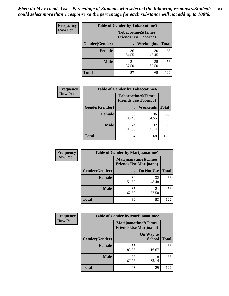| <b>Frequency</b> | <b>Table of Gender by Tobaccotime5</b> |             |                                                           |              |
|------------------|----------------------------------------|-------------|-----------------------------------------------------------|--------------|
| <b>Row Pct</b>   |                                        |             | <b>Tobaccotime5</b> (Times<br><b>Friends Use Tobacco)</b> |              |
|                  | Gender(Gender)                         |             | Weeknights                                                | <b>Total</b> |
|                  | <b>Female</b>                          | 36<br>54.55 | 30<br>45.45                                               | 66           |
|                  | <b>Male</b>                            | 21<br>37.50 | 35<br>62.50                                               | 56           |
|                  | Total                                  | 57          | 65                                                        | 122          |

| <b>Frequency</b> | <b>Table of Gender by Tobaccotime6</b> |                             |                           |              |
|------------------|----------------------------------------|-----------------------------|---------------------------|--------------|
| <b>Row Pct</b>   |                                        | <b>Friends Use Tobacco)</b> | <b>Tobaccotime6(Times</b> |              |
|                  | Gender(Gender)                         |                             | Weekends                  | <b>Total</b> |
|                  | Female                                 | 30<br>45.45                 | 36<br>54.55               | 66           |
|                  | <b>Male</b>                            | 24<br>42.86                 | 32<br>57.14               | 56           |
|                  | <b>Total</b>                           | 54                          | 68                        | 122          |

| <b>Frequency</b> | <b>Table of Gender by Marijuanatime1</b> |                                |                             |              |
|------------------|------------------------------------------|--------------------------------|-----------------------------|--------------|
| <b>Row Pct</b>   |                                          | <b>Friends Use Marijuana</b> ) | <b>Marijuanatime1(Times</b> |              |
|                  | Gender(Gender)                           |                                | Do Not Use                  | <b>Total</b> |
|                  | <b>Female</b>                            | 34<br>51.52                    | 32<br>48.48                 | 66           |
|                  | <b>Male</b>                              | 35<br>62.50                    | 21<br>37.50                 | 56           |
|                  | <b>Total</b>                             | 69                             | 53                          | 122          |

| <b>Frequency</b> | <b>Table of Gender by Marijuanatime2</b> |                                                        |                            |              |
|------------------|------------------------------------------|--------------------------------------------------------|----------------------------|--------------|
| <b>Row Pct</b>   |                                          | Marijuanatime2(Times<br><b>Friends Use Marijuana</b> ) |                            |              |
|                  | Gender(Gender)                           |                                                        | On Way to<br><b>School</b> | <b>Total</b> |
|                  | <b>Female</b>                            | 55<br>83.33                                            | 11<br>16.67                | 66           |
|                  | <b>Male</b>                              | 38<br>67.86                                            | 18<br>32.14                | 56           |
|                  | <b>Total</b>                             | 93                                                     | 29                         | 122          |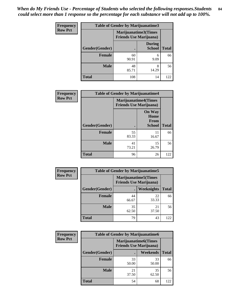| <b>Frequency</b> | <b>Table of Gender by Marijuanatime3</b> |                                |                                |              |
|------------------|------------------------------------------|--------------------------------|--------------------------------|--------------|
| <b>Row Pct</b>   |                                          | <b>Friends Use Marijuana</b> ) | Marijuanatime3(Times           |              |
|                  | <b>Gender</b> (Gender)                   |                                | <b>During</b><br><b>School</b> | <b>Total</b> |
|                  | Female                                   | 60<br>90.91                    | 6<br>9.09                      | 66           |
|                  | <b>Male</b>                              | 48<br>85.71                    | 8<br>14.29                     | 56           |
|                  | <b>Total</b>                             | 108                            | 14                             | 122          |

| Frequency      | <b>Table of Gender by Marijuanatime4</b> |                                |                                                |              |
|----------------|------------------------------------------|--------------------------------|------------------------------------------------|--------------|
| <b>Row Pct</b> |                                          | <b>Friends Use Marijuana</b> ) | <b>Marijuanatime4</b> (Times                   |              |
|                | Gender(Gender)                           |                                | <b>On Way</b><br>Home<br>From<br><b>School</b> | <b>Total</b> |
|                | <b>Female</b>                            | 55<br>83.33                    | 11<br>16.67                                    | 66           |
|                | <b>Male</b>                              | 41<br>73.21                    | 15<br>26.79                                    | 56           |
|                | <b>Total</b>                             | 96                             | 26                                             | 122          |

| Frequency      | <b>Table of Gender by Marijuanatime5</b> |             |                                                                |              |
|----------------|------------------------------------------|-------------|----------------------------------------------------------------|--------------|
| <b>Row Pct</b> |                                          |             | <b>Marijuanatime5</b> (Times<br><b>Friends Use Marijuana</b> ) |              |
|                | Gender(Gender)                           |             | Weeknights                                                     | <b>Total</b> |
|                | <b>Female</b>                            | 44<br>66.67 | 22<br>33.33                                                    | 66           |
|                | <b>Male</b>                              | 35<br>62.50 | 21<br>37.50                                                    | 56           |
|                | <b>Total</b>                             | 79          | 43                                                             | 122          |

| Frequency      | <b>Table of Gender by Marijuanatime6</b> |                                                               |                 |              |
|----------------|------------------------------------------|---------------------------------------------------------------|-----------------|--------------|
| <b>Row Pct</b> |                                          | <b>Marijuanatime6(Times</b><br><b>Friends Use Marijuana</b> ) |                 |              |
|                | Gender(Gender)                           |                                                               | <b>Weekends</b> | <b>Total</b> |
|                | <b>Female</b>                            | 33<br>50.00                                                   | 33<br>50.00     | 66           |
|                | <b>Male</b>                              | 21<br>37.50                                                   | 35<br>62.50     | 56           |
|                | <b>Total</b>                             | 54                                                            | 68              | 122          |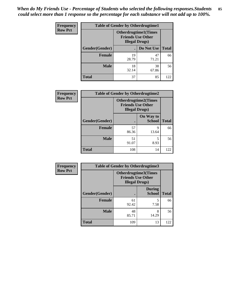| <b>Frequency</b> | <b>Table of Gender by Otherdrugtime1</b> |                        |                                                          |     |
|------------------|------------------------------------------|------------------------|----------------------------------------------------------|-----|
| <b>Row Pct</b>   |                                          | <b>Illegal Drugs</b> ) | <b>Otherdrugtime1</b> (Times<br><b>Friends Use Other</b> |     |
|                  | Gender(Gender)                           |                        | Do Not Use   Total                                       |     |
|                  | <b>Female</b>                            | 19<br>28.79            | 47<br>71.21                                              | 66  |
|                  | <b>Male</b>                              | 18<br>32.14            | 38<br>67.86                                              | 56  |
|                  | <b>Total</b>                             | 37                     | 85                                                       | 122 |

| Frequency      | <b>Table of Gender by Otherdrugtime2</b> |                                                                                   |                            |              |  |
|----------------|------------------------------------------|-----------------------------------------------------------------------------------|----------------------------|--------------|--|
| <b>Row Pct</b> |                                          | <b>Otherdrugtime2(Times</b><br><b>Friends Use Other</b><br><b>Illegal Drugs</b> ) |                            |              |  |
|                | Gender(Gender)                           |                                                                                   | On Way to<br><b>School</b> | <b>Total</b> |  |
|                | <b>Female</b>                            | 57<br>86.36                                                                       | 9<br>13.64                 | 66           |  |
|                | <b>Male</b>                              | 51<br>91.07                                                                       | 5<br>8.93                  | 56           |  |
|                | <b>Total</b>                             | 108                                                                               | 14                         | 122          |  |

| Frequency      | <b>Table of Gender by Otherdrugtime3</b> |                       |                                                         |              |
|----------------|------------------------------------------|-----------------------|---------------------------------------------------------|--------------|
| <b>Row Pct</b> |                                          | <b>Illegal Drugs)</b> | <b>Otherdrugtime3(Times</b><br><b>Friends Use Other</b> |              |
|                | Gender(Gender)                           |                       | <b>During</b><br><b>School</b>                          | <b>Total</b> |
|                | <b>Female</b>                            | 61<br>92.42           | 5<br>7.58                                               | 66           |
|                | <b>Male</b>                              | 48<br>85.71           | 8<br>14.29                                              | 56           |
|                | <b>Total</b>                             | 109                   | 13                                                      | 122          |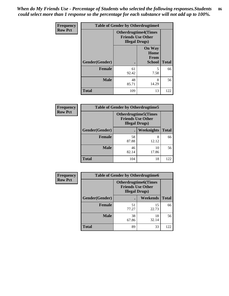*When do My Friends Use - Percentage of Students who selected the following responses.Students could select more than 1 response so the percentage for each substance will not add up to 100%.* **86**

| <b>Frequency</b> | <b>Table of Gender by Otherdrugtime4</b> |                        |                                                         |              |
|------------------|------------------------------------------|------------------------|---------------------------------------------------------|--------------|
| <b>Row Pct</b>   |                                          | <b>Illegal Drugs</b> ) | <b>Otherdrugtime4(Times</b><br><b>Friends Use Other</b> |              |
|                  | Gender(Gender)                           | ٠                      | <b>On Way</b><br>Home<br><b>From</b><br><b>School</b>   | <b>Total</b> |
|                  | Female                                   | 61<br>92.42            | 5<br>7.58                                               | 66           |
|                  | <b>Male</b>                              | 48<br>85.71            | 8<br>14.29                                              | 56           |
|                  | <b>Total</b>                             | 109                    | 13                                                      | 122          |

| Frequency      | <b>Table of Gender by Otherdrugtime5</b> |                                                                                   |             |              |
|----------------|------------------------------------------|-----------------------------------------------------------------------------------|-------------|--------------|
| <b>Row Pct</b> |                                          | <b>Otherdrugtime5(Times</b><br><b>Friends Use Other</b><br><b>Illegal Drugs</b> ) |             |              |
|                | Gender(Gender)                           |                                                                                   | Weeknights  | <b>Total</b> |
|                | <b>Female</b>                            | 58<br>87.88                                                                       | 8<br>12.12  | 66           |
|                | <b>Male</b>                              | 46<br>82.14                                                                       | 10<br>17.86 | 56           |
|                | <b>Total</b>                             | 104                                                                               | 18          | 122          |

| <b>Frequency</b> | <b>Table of Gender by Otherdrugtime6</b> |                                                                                   |             |              |
|------------------|------------------------------------------|-----------------------------------------------------------------------------------|-------------|--------------|
| <b>Row Pct</b>   |                                          | <b>Otherdrugtime6(Times</b><br><b>Friends Use Other</b><br><b>Illegal Drugs</b> ) |             |              |
|                  | Gender(Gender)                           |                                                                                   | Weekends    | <b>Total</b> |
|                  | <b>Female</b>                            | 51<br>77.27                                                                       | 15<br>22.73 | 66           |
|                  | <b>Male</b>                              | 38<br>67.86                                                                       | 18<br>32.14 | 56           |
|                  | <b>Total</b>                             | 89                                                                                | 33          | 122          |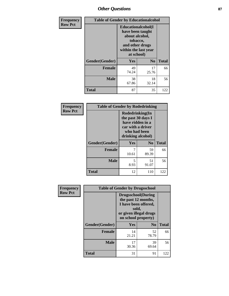# *Other Questions* **87**

| <b>Frequency</b> | <b>Table of Gender by Educationalcohol</b> |                                                                                                                                       |                |              |
|------------------|--------------------------------------------|---------------------------------------------------------------------------------------------------------------------------------------|----------------|--------------|
| <b>Row Pct</b>   |                                            | <b>Educationalcohol</b> (I<br>have been taught<br>about alcohol,<br>tobacco,<br>and other drugs<br>within the last year<br>at school) |                |              |
|                  | Gender(Gender)                             | <b>Yes</b>                                                                                                                            | N <sub>0</sub> | <b>Total</b> |
|                  | <b>Female</b>                              | 49<br>74.24                                                                                                                           | 17<br>25.76    | 66           |
|                  | <b>Male</b>                                | 38<br>67.86                                                                                                                           | 18<br>32.14    | 56           |
|                  | <b>Total</b>                               | 87                                                                                                                                    | 35             | 122          |

| Frequency      | <b>Table of Gender by Rodedrinking</b> |                                                                                                                     |                |              |  |
|----------------|----------------------------------------|---------------------------------------------------------------------------------------------------------------------|----------------|--------------|--|
| <b>Row Pct</b> |                                        | Rodedrinking(In<br>the past 30 days I<br>have ridden in a<br>car with a driver<br>who had been<br>drinking alcohol) |                |              |  |
|                | Gender(Gender)                         | Yes                                                                                                                 | N <sub>0</sub> | <b>Total</b> |  |
|                | <b>Female</b>                          | 10.61                                                                                                               | 59<br>89.39    | 66           |  |
|                | <b>Male</b>                            | 5<br>8.93                                                                                                           | 51<br>91.07    | 56           |  |
|                | <b>Total</b>                           | 12                                                                                                                  | 110            | 122          |  |

| Frequency      | <b>Table of Gender by Drugsschool</b> |                                                                                                                                     |                |              |  |
|----------------|---------------------------------------|-------------------------------------------------------------------------------------------------------------------------------------|----------------|--------------|--|
| <b>Row Pct</b> |                                       | <b>Drugsschool</b> (During<br>the past 12 months,<br>I have been offered,<br>sold,<br>or given illegal drugs<br>on school property) |                |              |  |
|                | Gender(Gender)                        | Yes                                                                                                                                 | N <sub>0</sub> | <b>Total</b> |  |
|                | <b>Female</b>                         | 14<br>21.21                                                                                                                         | 52<br>78.79    | 66           |  |
|                | <b>Male</b>                           | 17<br>30.36                                                                                                                         | 39<br>69.64    | 56           |  |
|                | <b>Total</b>                          | 31                                                                                                                                  | 91             | 122          |  |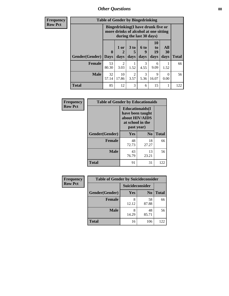## *Other Questions* **88**

**Frequency Row Pct**

| <b>Table of Gender by Bingedrinking</b> |                         |                                                                                                         |                   |                   |                        |                   |              |
|-----------------------------------------|-------------------------|---------------------------------------------------------------------------------------------------------|-------------------|-------------------|------------------------|-------------------|--------------|
|                                         |                         | Bingedrinking(I have drunk five or<br>more drinks of alcohol at one sitting<br>during the last 30 days) |                   |                   |                        |                   |              |
| Gender(Gender)                          | $\bf{0}$<br><b>Days</b> | $1$ or $ $<br>2<br>days                                                                                 | 3 to<br>5<br>days | 6 to<br>9<br>days | 10<br>to<br>19<br>days | All<br>30<br>days | <b>Total</b> |
| <b>Female</b>                           | 53<br>80.30             | $\mathfrak{D}$<br>3.03                                                                                  | 1.52              | 3<br>4.55         | 6<br>9.09              | 1.52              | 66           |
|                                         |                         |                                                                                                         |                   |                   |                        |                   |              |
| <b>Male</b>                             | 32<br>57.14             | 10<br>17.86                                                                                             | 2<br>3.57         | 3<br>5.36         | $\mathbf Q$<br>16.07   | $\Omega$<br>0.00  | 56           |

| Frequency      | <b>Table of Gender by Educationaids</b> |                                                                                                 |                |              |  |
|----------------|-----------------------------------------|-------------------------------------------------------------------------------------------------|----------------|--------------|--|
| <b>Row Pct</b> |                                         | <b>Educationaids</b> (I<br>have been taught<br>about HIV/AIDS<br>at school in the<br>past year) |                |              |  |
|                | Gender(Gender)                          | Yes                                                                                             | $\mathbf{N_0}$ | <b>Total</b> |  |
|                | <b>Female</b>                           | 48<br>72.73                                                                                     | 18<br>27.27    | 66           |  |
|                | <b>Male</b>                             | 43<br>76.79                                                                                     | 13<br>23.21    | 56           |  |
|                | <b>Total</b>                            | 91                                                                                              | 31             | 122          |  |

| <b>Frequency</b> | <b>Table of Gender by Suicideconsider</b> |                 |                |              |  |
|------------------|-------------------------------------------|-----------------|----------------|--------------|--|
| <b>Row Pct</b>   |                                           | Suicideconsider |                |              |  |
|                  | Gender(Gender)                            | Yes             | N <sub>0</sub> | <b>Total</b> |  |
|                  | <b>Female</b>                             | 8<br>12.12      | 58<br>87.88    | 66           |  |
|                  | <b>Male</b>                               | 8<br>14.29      | 48<br>85.71    | 56           |  |
|                  | <b>Total</b>                              | 16              | 106            | 122          |  |